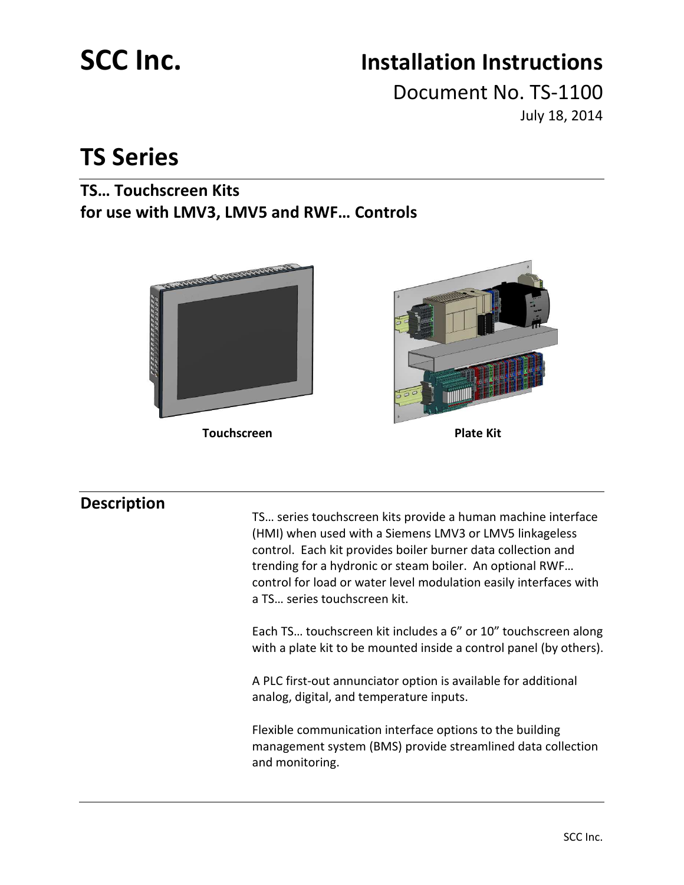# **SCC Inc. Installation Instructions**

Document No. TS-1100 July 18, 2014

## **TS Series**

## **TS… Touchscreen Kits for use with LMV3, LMV5 and RWF… Controls**



**Touchscreen Plate Kit** 



## **Description**

TS… series touchscreen kits provide a human machine interface (HMI) when used with a Siemens LMV3 or LMV5 linkageless control. Each kit provides boiler burner data collection and trending for a hydronic or steam boiler. An optional RWF… control for load or water level modulation easily interfaces with a TS… series touchscreen kit.

Each TS… touchscreen kit includes a 6" or 10" touchscreen along with a plate kit to be mounted inside a control panel (by others).

A PLC first-out annunciator option is available for additional analog, digital, and temperature inputs.

Flexible communication interface options to the building management system (BMS) provide streamlined data collection and monitoring.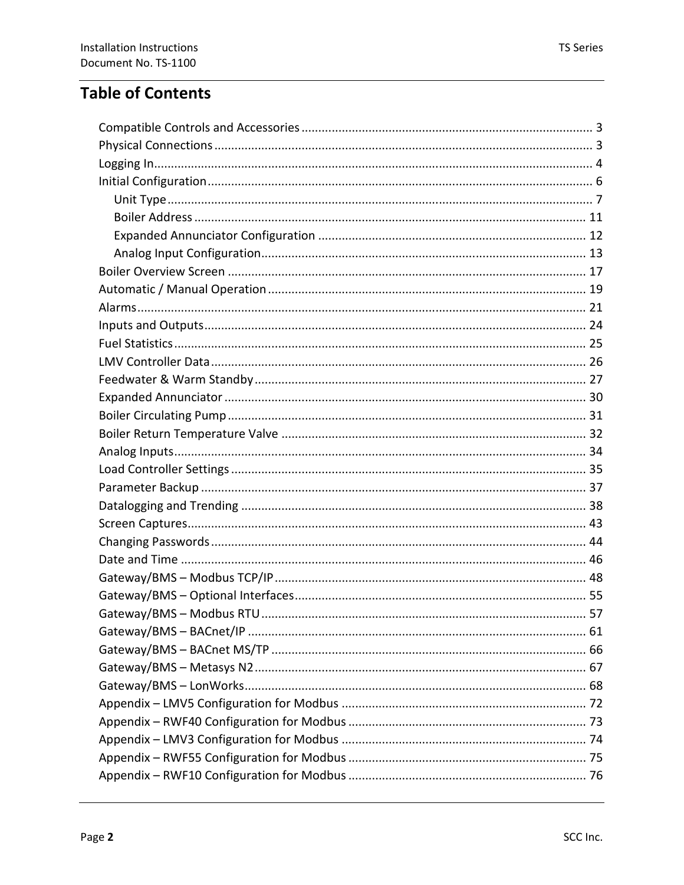## **Table of Contents**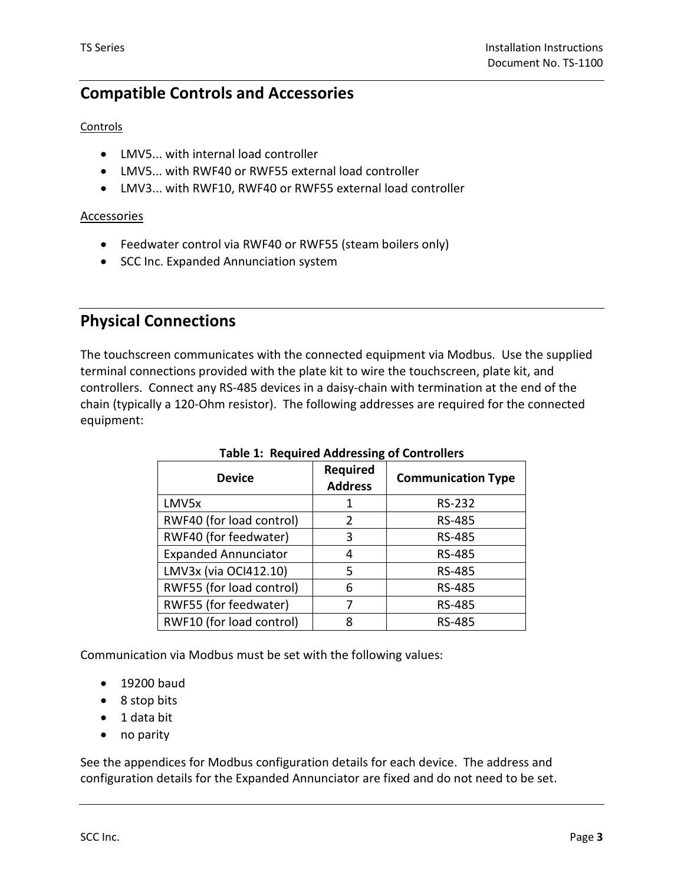## **Compatible Controls and Accessories**

### **Controls**

- LMV5... with internal load controller
- LMV5... with RWF40 or RWF55 external load controller
- LMV3... with RWF10, RWF40 or RWF55 external load controller

### **Accessories**

- Feedwater control via RWF40 or RWF55 (steam boilers only)
- SCC Inc. Expanded Annunciation system

## **Physical Connections**

The touchscreen communicates with the connected equipment via Modbus. Use the supplied terminal connections provided with the plate kit to wire the touchscreen, plate kit, and controllers. Connect any RS-485 devices in a daisy-chain with termination at the end of the chain (typically a 120-Ohm resistor). The following addresses are required for the connected equipment:

| <b>Device</b>               | <b>Required</b><br><b>Address</b> | <b>Communication Type</b> |
|-----------------------------|-----------------------------------|---------------------------|
| LMV5x                       | 1                                 | RS-232                    |
| RWF40 (for load control)    | 2                                 | RS-485                    |
| RWF40 (for feedwater)       | 3                                 | RS-485                    |
| <b>Expanded Annunciator</b> | 4                                 | RS-485                    |
| LMV3x (via OCI412.10)       | 5                                 | RS-485                    |
| RWF55 (for load control)    | 6                                 | RS-485                    |
| RWF55 (for feedwater)       | 7                                 | RS-485                    |
| RWF10 (for load control)    | 8                                 | RS-485                    |

### **Table 1: Required Addressing of Controllers**

Communication via Modbus must be set with the following values:

- 19200 baud
- 8 stop bits
- 1 data bit
- no parity

See the appendices for Modbus configuration details for each device. The address and configuration details for the Expanded Annunciator are fixed and do not need to be set.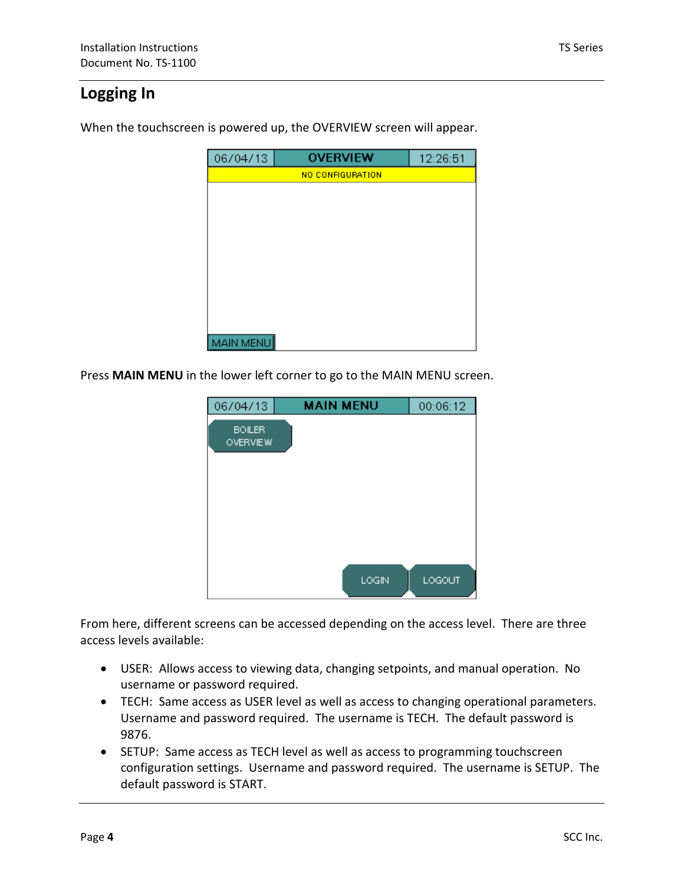## **Logging In**

When the touchscreen is powered up, the OVERVIEW screen will appear.

| 06/04/13  | <b>OVERVIEW</b>  | 12:26:51 |
|-----------|------------------|----------|
|           | NO CONFIGURATION |          |
|           |                  |          |
|           |                  |          |
|           |                  |          |
|           |                  |          |
|           |                  |          |
|           |                  |          |
|           |                  |          |
|           |                  |          |
|           |                  |          |
| MAIN MENU |                  |          |

Press **MAIN MENU** in the lower left corner to go to the MAIN MENU screen.

| <b>MAIN MENU</b> | 00:06:12 |
|------------------|----------|
|                  |          |
|                  |          |
|                  |          |
|                  |          |
|                  |          |
|                  |          |
| LOGIN            | LOGOUT   |
|                  |          |

From here, different screens can be accessed depending on the access level. There are three access levels available:

- USER: Allows access to viewing data, changing setpoints, and manual operation. No username or password required.
- TECH: Same access as USER level as well as access to changing operational parameters. Username and password required. The username is TECH. The default password is 9876.
- SETUP: Same access as TECH level as well as access to programming touchscreen configuration settings. Username and password required. The username is SETUP. The default password is START.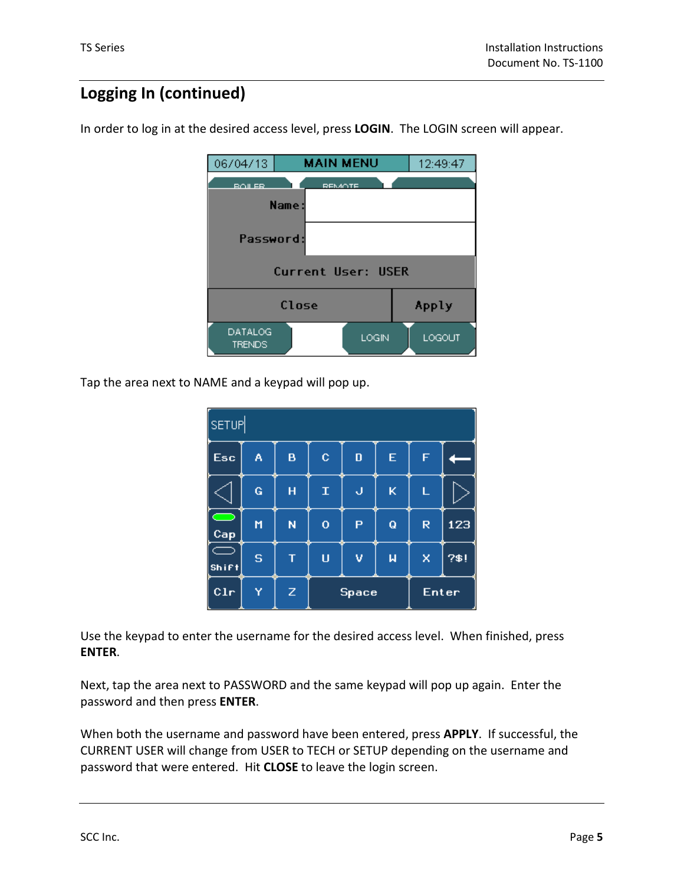## **Logging In (continued)**

In order to log in at the desired access level, press **LOGIN**. The LOGIN screen will appear.

| 06/04/13                 | <b>MAIN MENU</b>          | 12:49:47 |
|--------------------------|---------------------------|----------|
| <b>BOILER</b>            | <b>REMOTE</b>             |          |
|                          | Name:                     |          |
| Password:                |                           |          |
|                          | <b>Current User: USER</b> |          |
|                          | Close                     | Apply    |
| DATALOG<br><b>TRENDS</b> | LOGIN                     | LOGOUT   |

Tap the area next to NAME and a keypad will pop up.

| SETUP                           |              |   |              |   |                         |       |      |
|---------------------------------|--------------|---|--------------|---|-------------------------|-------|------|
| Esc                             | A            | B | $\mathbf{C}$ | D | E                       | F     |      |
|                                 | Ġ            | Ĥ | $\mathbf T$  | J | K                       | Ĺ     |      |
| $\overline{\phantom{a}}$<br>Cap | M            | Ñ | $\mathbf 0$  | P | Q                       | R     | 123  |
| $\equiv$<br><b>Shift</b>        | <sub>S</sub> | т | Ü            | v | $\overline{\mathsf{M}}$ | x     | 7\$! |
| C1r                             | Ÿ            | Z | Space        |   |                         | Enter |      |

Use the keypad to enter the username for the desired access level. When finished, press **ENTER**.

Next, tap the area next to PASSWORD and the same keypad will pop up again. Enter the password and then press **ENTER**.

When both the username and password have been entered, press **APPLY**. If successful, the CURRENT USER will change from USER to TECH or SETUP depending on the username and password that were entered. Hit **CLOSE** to leave the login screen.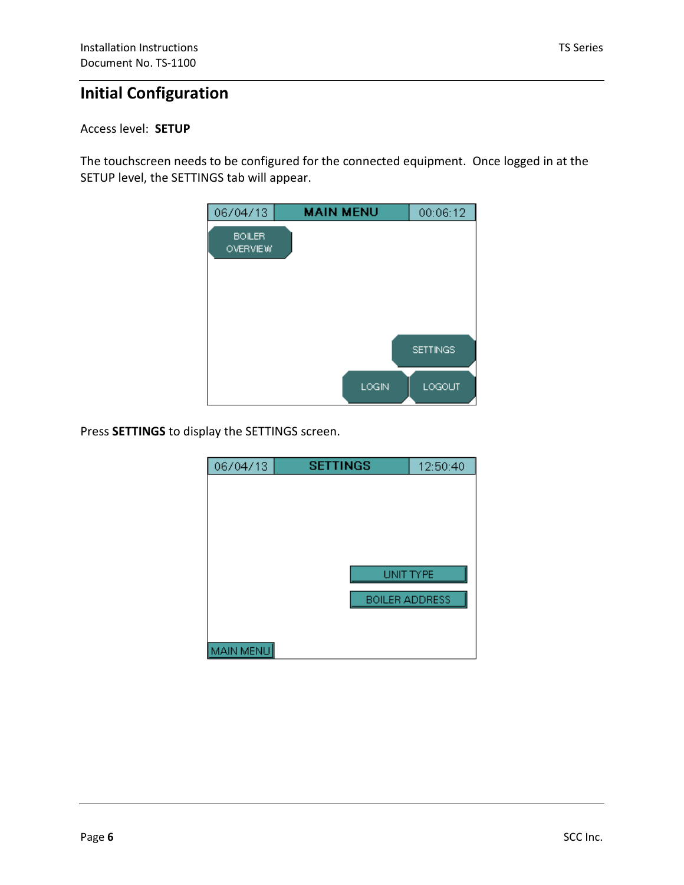## **Initial Configuration**

### Access level: **SETUP**

The touchscreen needs to be configured for the connected equipment. Once logged in at the SETUP level, the SETTINGS tab will appear.

|       | 00:06:12                  |
|-------|---------------------------|
|       |                           |
|       |                           |
|       |                           |
| LOGIN | <b>SETTINGS</b><br>LOGOUT |
|       |                           |

Press **SETTINGS** to display the SETTINGS screen.

| 06/04/13  | <b>SETTINGS</b>       | 12:50:40 |
|-----------|-----------------------|----------|
|           |                       |          |
|           |                       |          |
|           |                       |          |
|           |                       |          |
|           |                       |          |
|           | <b>HNIT TYPE</b>      |          |
|           | <b>BOILER ADDRESS</b> |          |
|           |                       |          |
| MAIN MENU |                       |          |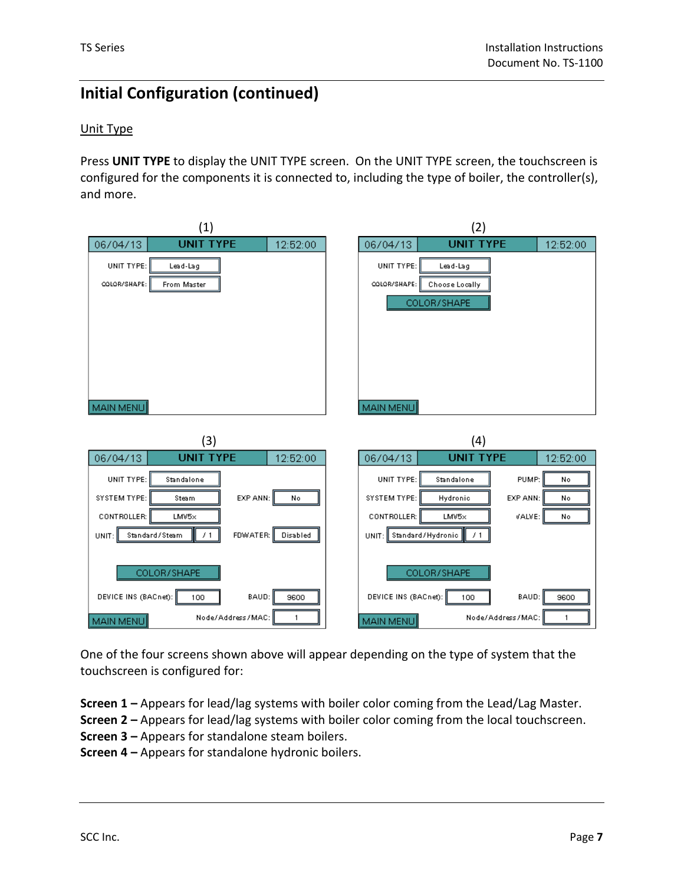### Unit Type

Press **UNIT TYPE** to display the UNIT TYPE screen. On the UNIT TYPE screen, the touchscreen is configured for the components it is connected to, including the type of boiler, the controller(s), and more.

| (1)                                          | (2)                                          |
|----------------------------------------------|----------------------------------------------|
| <b>UNIT TYPE</b><br>06/04/13<br>12:52:00     | <b>UNIT TYPE</b><br>06/04/13<br>12:52:00     |
| UNIT TYPE:<br>Lead-Lag                       | UNIT TYPE:<br>Lead-Lag                       |
| COLOR/SHAPE:<br>From Master                  | COLOR/SHAPE:<br>Choose Locally               |
|                                              | COLOR/SHAPE                                  |
|                                              |                                              |
|                                              |                                              |
|                                              |                                              |
|                                              |                                              |
|                                              |                                              |
|                                              |                                              |
| MAIN MENU                                    | MAIN MENU                                    |
|                                              |                                              |
|                                              |                                              |
| (3)                                          | (4)                                          |
| <b>UNIT TYPE</b><br>06/04/13<br>12:52:00     | <b>UNIT TYPE</b><br>06/04/13<br>12:52:00     |
| UNIT TYPE:<br>Standalone                     | UNIT TYPE:<br>PUMP:<br>Standalone<br>No      |
| EXP ANN:<br>SYSTEM TYPE:<br>Steam<br>No      | SYSTEM TYPE:<br>Hydronic<br>EXP ANN:<br>No   |
| CONTROLLER:<br>LMV5x                         | CONTROLLER:<br>VALVE:<br>LMV5x<br>No         |
| FDWATER:<br>Standard/Steam<br>/1<br>UNIT:    | /1<br>UNIT: I                                |
| Disabled                                     | Standard/Hydronic                            |
|                                              |                                              |
| COLOR/SHAPE                                  | COLOR/SHAPE                                  |
| DEVICE INS (BACnet):<br>BAUD:<br>9600<br>100 | DEVICE INS (BACnet):<br>BAUD:<br>9600<br>100 |

One of the four screens shown above will appear depending on the type of system that the touchscreen is configured for:

- **Screen 1 –** Appears for lead/lag systems with boiler color coming from the Lead/Lag Master.
- **Screen 2 –** Appears for lead/lag systems with boiler color coming from the local touchscreen.
- **Screen 3 –** Appears for standalone steam boilers.
- **Screen 4 –** Appears for standalone hydronic boilers.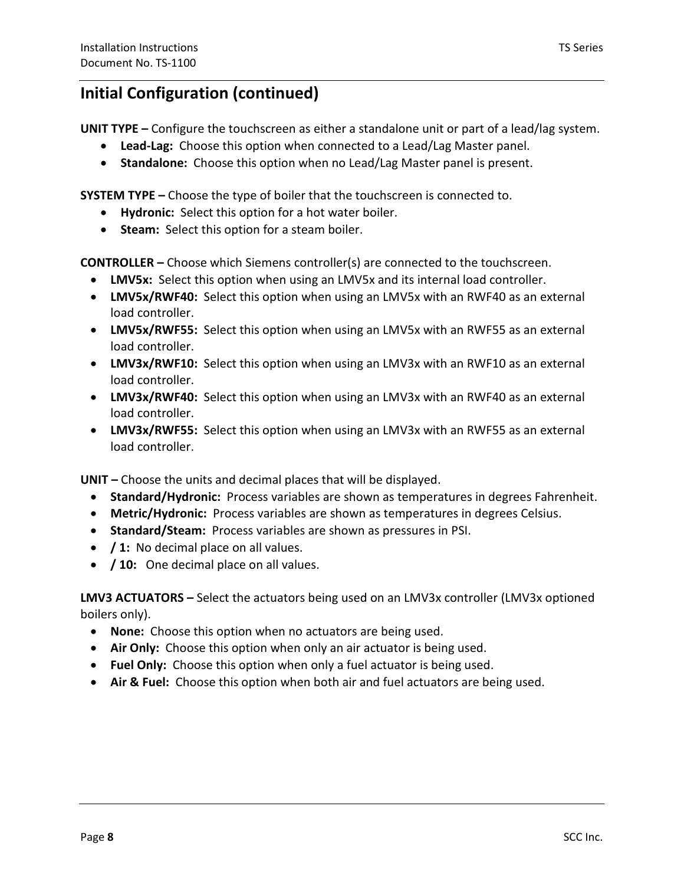**UNIT TYPE –** Configure the touchscreen as either a standalone unit or part of a lead/lag system.

- **Lead-Lag:** Choose this option when connected to a Lead/Lag Master panel.
- **Standalone:** Choose this option when no Lead/Lag Master panel is present.

**SYSTEM TYPE –** Choose the type of boiler that the touchscreen is connected to.

- **Hydronic:** Select this option for a hot water boiler.
- **Steam:** Select this option for a steam boiler.

**CONTROLLER –** Choose which Siemens controller(s) are connected to the touchscreen.

- **LMV5x:** Select this option when using an LMV5x and its internal load controller.
- **LMV5x/RWF40:** Select this option when using an LMV5x with an RWF40 as an external load controller.
- **LMV5x/RWF55:** Select this option when using an LMV5x with an RWF55 as an external load controller.
- **LMV3x/RWF10:** Select this option when using an LMV3x with an RWF10 as an external load controller.
- **LMV3x/RWF40:** Select this option when using an LMV3x with an RWF40 as an external load controller.
- **LMV3x/RWF55:** Select this option when using an LMV3x with an RWF55 as an external load controller.

**UNIT –** Choose the units and decimal places that will be displayed.

- **Standard/Hydronic:** Process variables are shown as temperatures in degrees Fahrenheit.
- **Metric/Hydronic:** Process variables are shown as temperatures in degrees Celsius.
- **Standard/Steam:** Process variables are shown as pressures in PSI.
- **/ 1:** No decimal place on all values.
- **/ 10:** One decimal place on all values.

**LMV3 ACTUATORS –** Select the actuators being used on an LMV3x controller (LMV3x optioned boilers only).

- **None:** Choose this option when no actuators are being used.
- **Air Only:** Choose this option when only an air actuator is being used.
- **Fuel Only:** Choose this option when only a fuel actuator is being used.
- **Air & Fuel:** Choose this option when both air and fuel actuators are being used.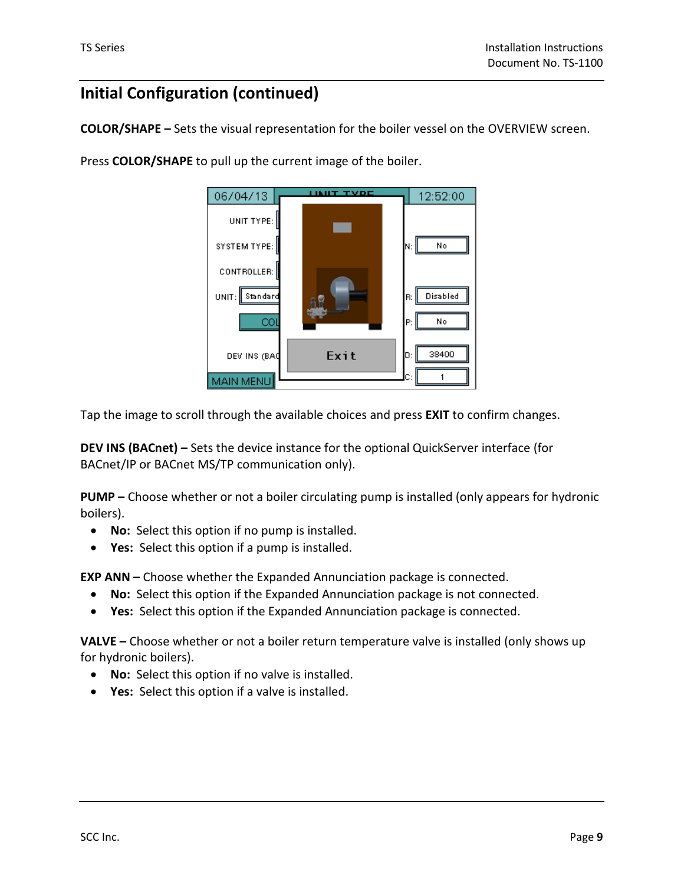**COLOR/SHAPE –** Sets the visual representation for the boiler vessel on the OVERVIEW screen.



Press **COLOR/SHAPE** to pull up the current image of the boiler.

Tap the image to scroll through the available choices and press **EXIT** to confirm changes.

**DEV INS (BACnet) –** Sets the device instance for the optional QuickServer interface (for BACnet/IP or BACnet MS/TP communication only).

**PUMP –** Choose whether or not a boiler circulating pump is installed (only appears for hydronic boilers).

- **No:** Select this option if no pump is installed.
- **Yes:** Select this option if a pump is installed.

**EXP ANN –** Choose whether the Expanded Annunciation package is connected.

- **No:** Select this option if the Expanded Annunciation package is not connected.
- **Yes:** Select this option if the Expanded Annunciation package is connected.

**VALVE –** Choose whether or not a boiler return temperature valve is installed (only shows up for hydronic boilers).

- **No:** Select this option if no valve is installed.
- **Yes:** Select this option if a valve is installed.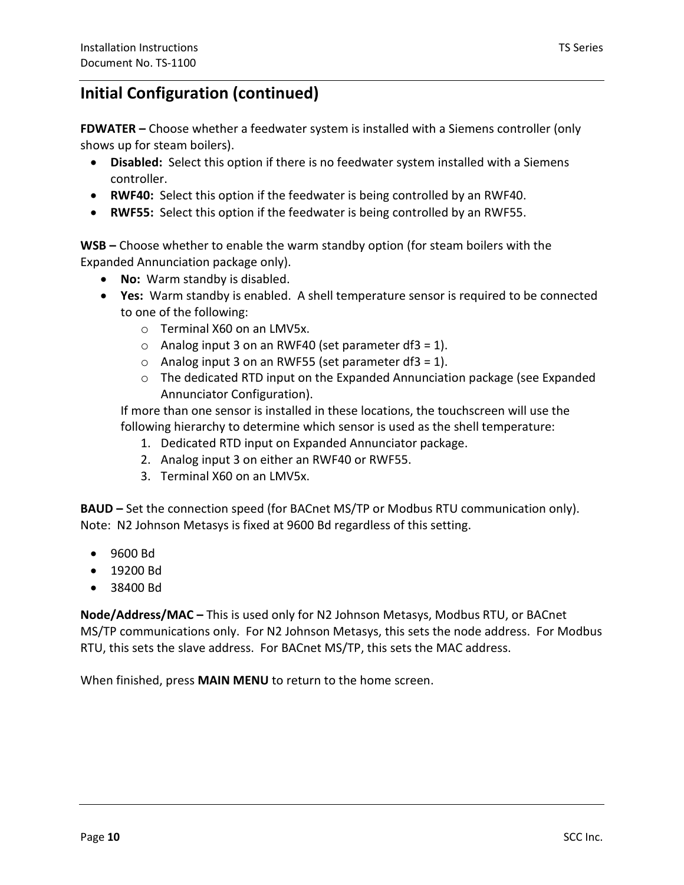**FDWATER –** Choose whether a feedwater system is installed with a Siemens controller (only shows up for steam boilers).

- **Disabled:** Select this option if there is no feedwater system installed with a Siemens controller.
- **RWF40:** Select this option if the feedwater is being controlled by an RWF40.
- **RWF55:** Select this option if the feedwater is being controlled by an RWF55.

**WSB –** Choose whether to enable the warm standby option (for steam boilers with the Expanded Annunciation package only).

- **No:** Warm standby is disabled.
- **Yes:** Warm standby is enabled. A shell temperature sensor is required to be connected to one of the following:
	- o Terminal X60 on an LMV5x.
	- $\circ$  Analog input 3 on an RWF40 (set parameter df3 = 1).
	- $\circ$  Analog input 3 on an RWF55 (set parameter df3 = 1).
	- $\circ$  The dedicated RTD input on the Expanded Annunciation package (see Expanded Annunciator Configuration).

If more than one sensor is installed in these locations, the touchscreen will use the following hierarchy to determine which sensor is used as the shell temperature:

- 1. Dedicated RTD input on Expanded Annunciator package.
- 2. Analog input 3 on either an RWF40 or RWF55.
- 3. Terminal X60 on an LMV5x.

**BAUD –** Set the connection speed (for BACnet MS/TP or Modbus RTU communication only). Note: N2 Johnson Metasys is fixed at 9600 Bd regardless of this setting.

- 9600 Bd
- 19200 Bd
- 38400 Bd

**Node/Address/MAC –** This is used only for N2 Johnson Metasys, Modbus RTU, or BACnet MS/TP communications only. For N2 Johnson Metasys, this sets the node address. For Modbus RTU, this sets the slave address. For BACnet MS/TP, this sets the MAC address.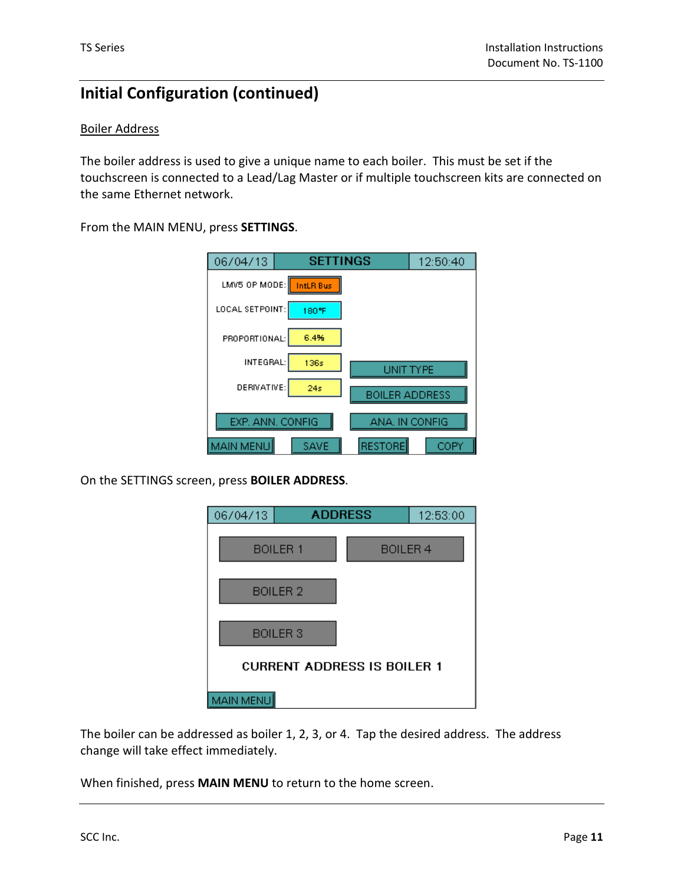### Boiler Address

The boiler address is used to give a unique name to each boiler. This must be set if the touchscreen is connected to a Lead/Lag Master or if multiple touchscreen kits are connected on the same Ethernet network.

From the MAIN MENU, press **SETTINGS**.

| 06/04/13         | <b>SETTINGS</b>  |                       | 12:50:40 |
|------------------|------------------|-----------------------|----------|
| LMV5 OP MODE:    | <b>IntLR Bus</b> |                       |          |
| LOCAL SETPOINT:  | 180°F            |                       |          |
| PROPORTIONAL:    | 6.4%             |                       |          |
| INTEGRAL:        | 136s             | I INIT TYPE           |          |
| DERIVATIVE:      | 24s              | <b>BOILER ADDRESS</b> |          |
| EXP. ANN. CONFIG |                  | ANA. IN CONFIG        |          |
| <b>MAIN MENU</b> | SAVE             | <b>RESTORE</b>        | COPY     |

On the SETTINGS screen, press **BOILER ADDRESS**.



The boiler can be addressed as boiler 1, 2, 3, or 4. Tap the desired address. The address change will take effect immediately.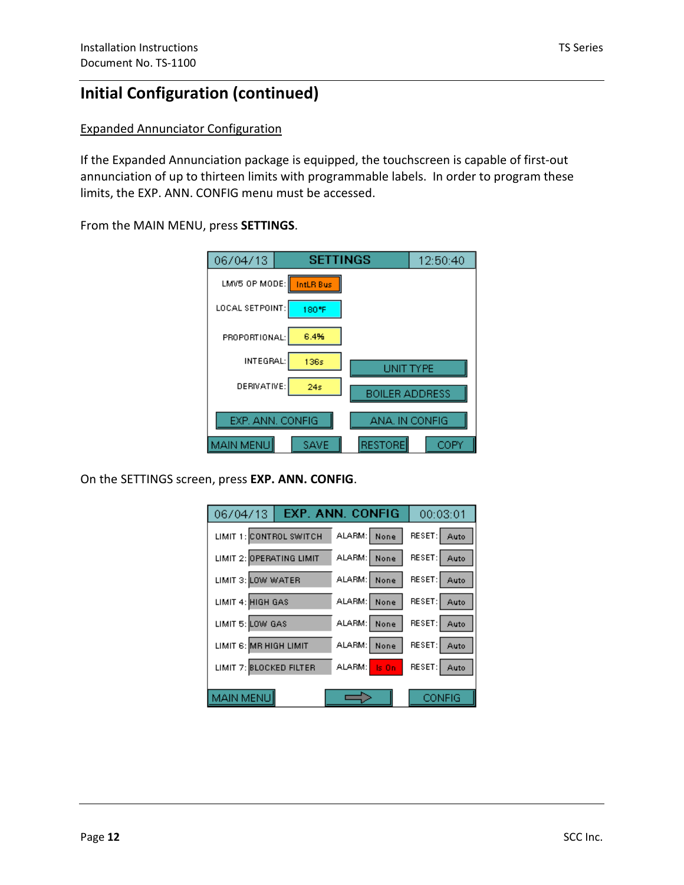### Expanded Annunciator Configuration

If the Expanded Annunciation package is equipped, the touchscreen is capable of first-out annunciation of up to thirteen limits with programmable labels. In order to program these limits, the EXP. ANN. CONFIG menu must be accessed.

From the MAIN MENU, press **SETTINGS**.

| 06/04/13         | <b>SETTINGS</b>  |                | 12:50:40 |
|------------------|------------------|----------------|----------|
| LMV5 OP MODE:    | <b>IntLR Bus</b> |                |          |
| LOCAL SETPOINT:  | 180°F            |                |          |
| PROPORTIONAL:    | 6.4%             |                |          |
| INTEGRAL:        | 136s             | I INIT TYPF    |          |
| DERIVATIVE:      | 24s              | BOILER ADDRESS |          |
| EXP. ANN. CONFIG |                  | ANA. IN CONFIG |          |
| MAIN MENU        | SAVE             | RESTORE        |          |

On the SETTINGS screen, press **EXP. ANN. CONFIG**.

| 06/04/13   EXP. ANN. CONFIG         |              | 00:03:01      |
|-------------------------------------|--------------|---------------|
| LIMIT 1: CONTROL SWITCH             | ALARM: None  | RESET: Auto   |
| LIMIT 2: OPERATING LIMIT            | ALARM: None  | RESET: Auto   |
| LIMIT 3: LOW WATER                  | ALARM: None  | RESET: Auto   |
| LIMIT 4: HIGH GAS                   | ALARM: None  | RESET: Auto   |
| LIMIT 5: LOW GAS                    | ALARM: None  | RESET: Auto   |
| LIMIT 6: <mark>MR HIGH LIMIT</mark> | ALARM: None  | RESET: Auto   |
| LIMIT 7: BLOCKED FILTER             | ALARM: Is On | RESET: Auto   |
| MAIN MENU                           |              | <b>CONFIG</b> |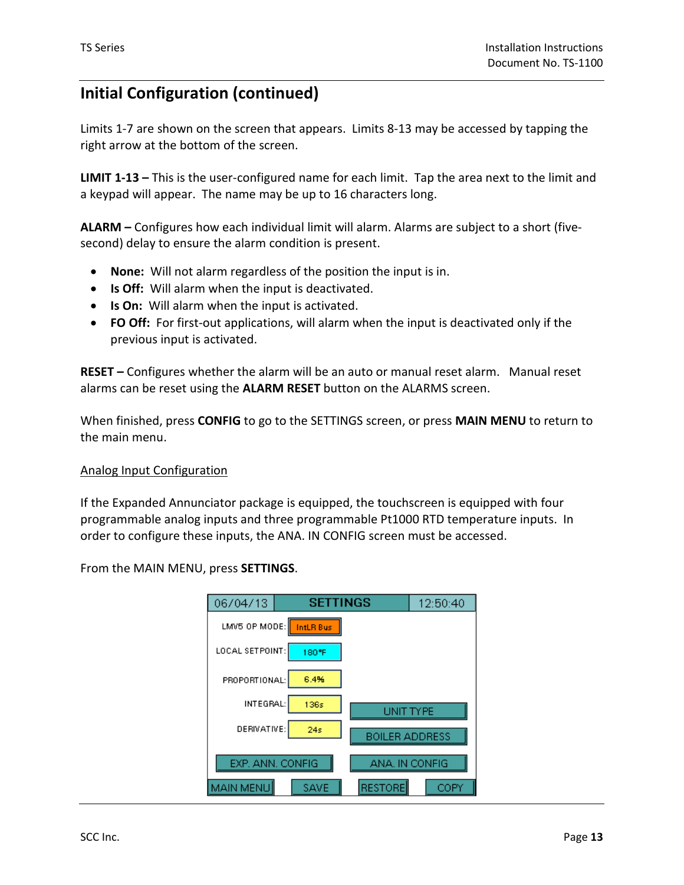Limits 1-7 are shown on the screen that appears. Limits 8-13 may be accessed by tapping the right arrow at the bottom of the screen.

**LIMIT 1-13 –** This is the user-configured name for each limit. Tap the area next to the limit and a keypad will appear. The name may be up to 16 characters long.

**ALARM –** Configures how each individual limit will alarm. Alarms are subject to a short (fivesecond) delay to ensure the alarm condition is present.

- **None:** Will not alarm regardless of the position the input is in.
- **Is Off:** Will alarm when the input is deactivated.
- **Is On:** Will alarm when the input is activated.
- **FO Off:** For first-out applications, will alarm when the input is deactivated only if the previous input is activated.

**RESET –** Configures whether the alarm will be an auto or manual reset alarm. Manual reset alarms can be reset using the **ALARM RESET** button on the ALARMS screen.

When finished, press **CONFIG** to go to the SETTINGS screen, or press **MAIN MENU** to return to the main menu.

### Analog Input Configuration

If the Expanded Annunciator package is equipped, the touchscreen is equipped with four programmable analog inputs and three programmable Pt1000 RTD temperature inputs. In order to configure these inputs, the ANA. IN CONFIG screen must be accessed.

From the MAIN MENU, press **SETTINGS**.

| 06/04/13         | <b>SETTINGS</b> |                       | 12:50:40 |
|------------------|-----------------|-----------------------|----------|
| LMV5 OP MODE:    | IntLR Bus       |                       |          |
| LOCAL SETPOINT:  | 180°F           |                       |          |
| PROPORTIONAL:    | 6.4%            |                       |          |
| INTEGRAL:        | 136s            | I INIT TYPF           |          |
| DERIVATIVE:      | 24s             | <b>BOILER ADDRESS</b> |          |
| EXP. ANN. CONFIG |                 | ANA. IN CONFIG        |          |
| <b>MAIN MENU</b> | SAVE            | <b>RESTORE</b>        |          |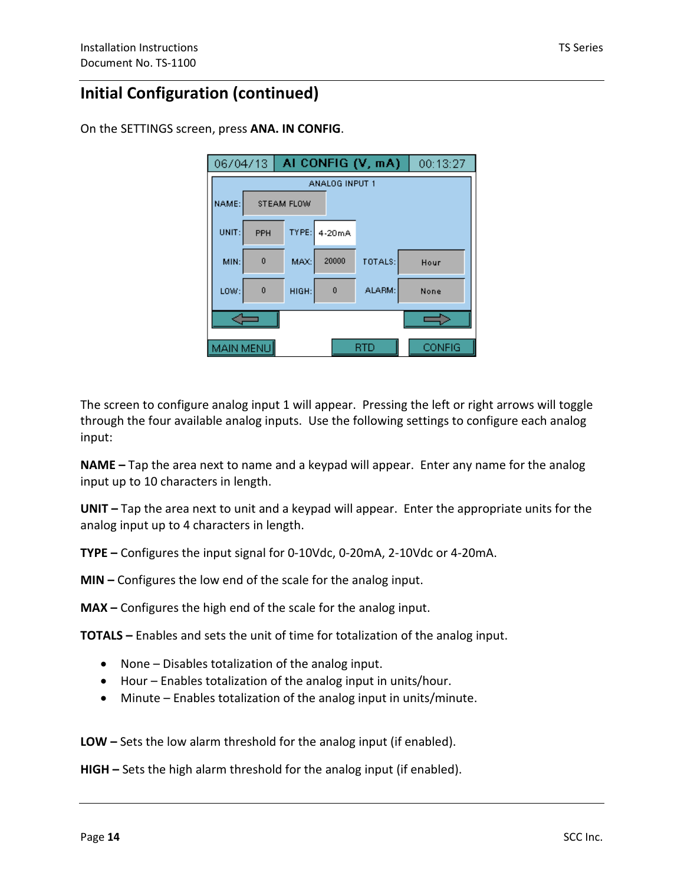On the SETTINGS screen, press **ANA. IN CONFIG**.

| 06/04/13       |           |            |          | AI CONFIG (V, mA) | 00:13:27      |  |  |  |
|----------------|-----------|------------|----------|-------------------|---------------|--|--|--|
| ANALOG INPUT 1 |           |            |          |                   |               |  |  |  |
| NAME:          |           | STEAM FLOW |          |                   |               |  |  |  |
| UNIT:          | PPH       | TYPE:      | $4-20mA$ |                   |               |  |  |  |
| MIN:           | $\bf{0}$  | MAX:       | 20000    | TOTALS:           | Hour          |  |  |  |
| LOW:           | $\theta$  | HIGH:      | $\bf{0}$ | ALARM:            | None          |  |  |  |
|                |           |            |          |                   |               |  |  |  |
|                | MAIN MENU |            |          | R1                | <b>CONFIG</b> |  |  |  |

The screen to configure analog input 1 will appear. Pressing the left or right arrows will toggle through the four available analog inputs. Use the following settings to configure each analog input:

**NAME –** Tap the area next to name and a keypad will appear. Enter any name for the analog input up to 10 characters in length.

**UNIT –** Tap the area next to unit and a keypad will appear. Enter the appropriate units for the analog input up to 4 characters in length.

**TYPE –** Configures the input signal for 0-10Vdc, 0-20mA, 2-10Vdc or 4-20mA.

**MIN –** Configures the low end of the scale for the analog input.

**MAX –** Configures the high end of the scale for the analog input.

**TOTALS –** Enables and sets the unit of time for totalization of the analog input.

- None Disables totalization of the analog input.
- Hour Enables totalization of the analog input in units/hour.
- Minute Enables totalization of the analog input in units/minute.

**LOW –** Sets the low alarm threshold for the analog input (if enabled).

**HIGH –** Sets the high alarm threshold for the analog input (if enabled).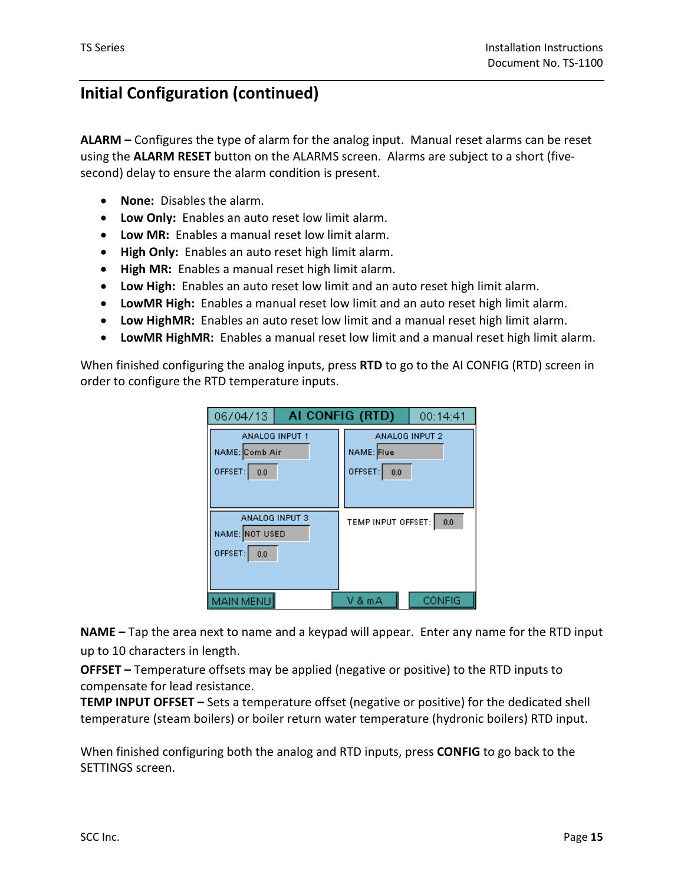**ALARM –** Configures the type of alarm for the analog input. Manual reset alarms can be reset using the **ALARM RESET** button on the ALARMS screen. Alarms are subject to a short (fivesecond) delay to ensure the alarm condition is present.

- **None:** Disables the alarm.
- **Low Only:** Enables an auto reset low limit alarm.
- **Low MR:** Enables a manual reset low limit alarm.
- **High Only:** Enables an auto reset high limit alarm.
- **High MR:** Enables a manual reset high limit alarm.
- **Low High:** Enables an auto reset low limit and an auto reset high limit alarm.
- **LowMR High:** Enables a manual reset low limit and an auto reset high limit alarm.
- **Low HighMR:** Enables an auto reset low limit and a manual reset high limit alarm.
- **LowMR HighMR:** Enables a manual reset low limit and a manual reset high limit alarm.

When finished configuring the analog inputs, press **RTD** to go to the AI CONFIG (RTD) screen in order to configure the RTD temperature inputs.

| 06/04/13                                           | AI CONFIG (RTD)<br>00:14:41                    |  |  |  |
|----------------------------------------------------|------------------------------------------------|--|--|--|
| ANALOG INPUT 1<br>NAME: Comb Air<br>OFFSET:<br>0.0 | ANALOG INPUT 2<br>NAME: Flue<br>OFFSET:<br>0.0 |  |  |  |
| ANALOG INPUT 3<br>NAME: NOT USED<br>OFFSET: 0.0    | TEMP INPUT OFFSET:<br>0.0                      |  |  |  |
| MAIN MENU                                          | <b>CONFIG</b><br>V & m A                       |  |  |  |

**NAME –** Tap the area next to name and a keypad will appear. Enter any name for the RTD input up to 10 characters in length.

**OFFSET –** Temperature offsets may be applied (negative or positive) to the RTD inputs to compensate for lead resistance.

**TEMP INPUT OFFSET –** Sets a temperature offset (negative or positive) for the dedicated shell temperature (steam boilers) or boiler return water temperature (hydronic boilers) RTD input.

When finished configuring both the analog and RTD inputs, press **CONFIG** to go back to the SETTINGS screen.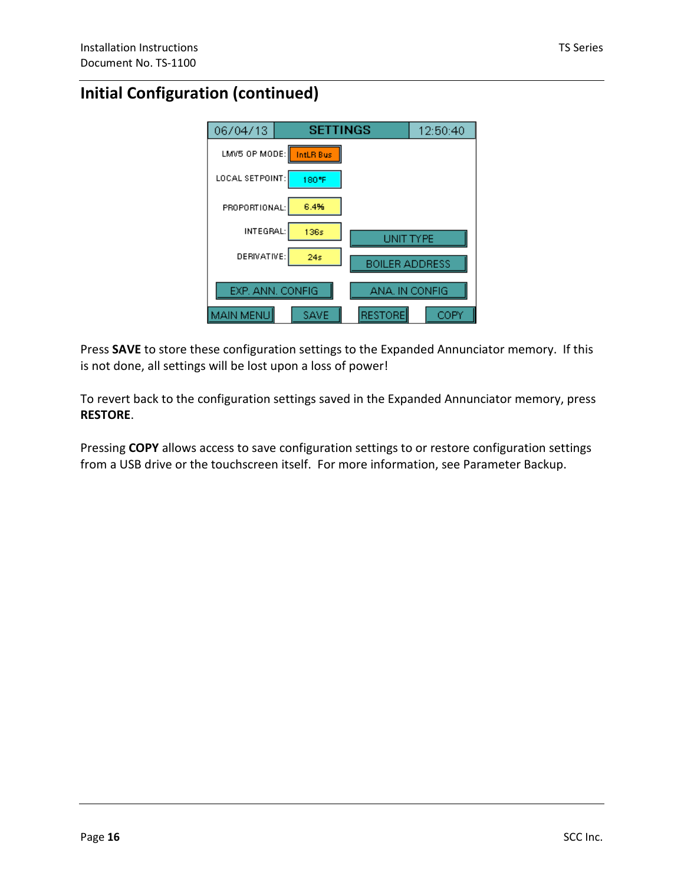

Press **SAVE** to store these configuration settings to the Expanded Annunciator memory. If this is not done, all settings will be lost upon a loss of power!

To revert back to the configuration settings saved in the Expanded Annunciator memory, press **RESTORE**.

Pressing **COPY** allows access to save configuration settings to or restore configuration settings from a USB drive or the touchscreen itself. For more information, see Parameter Backup.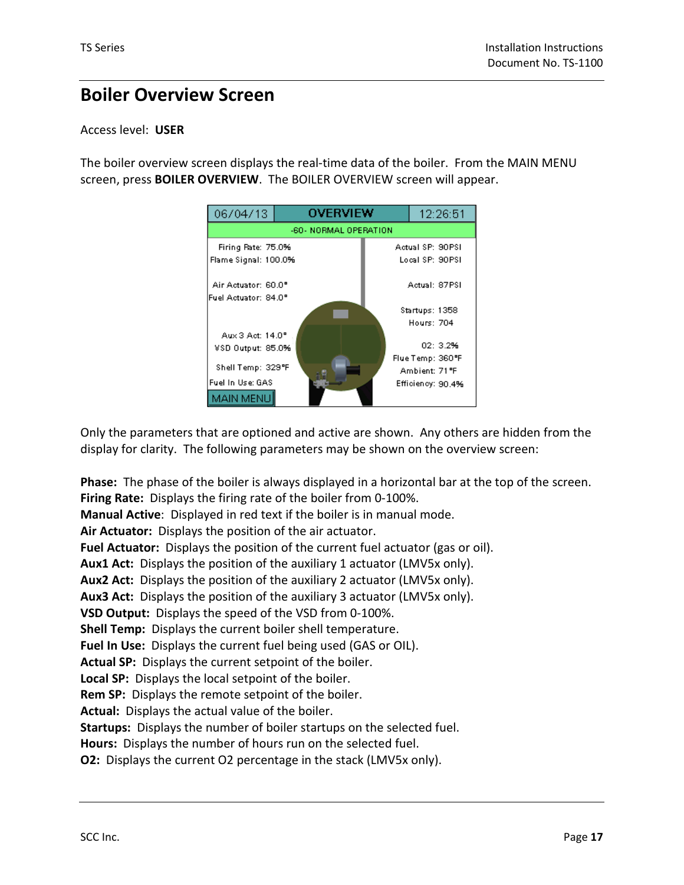## **Boiler Overview Screen**

### Access level: **USER**

The boiler overview screen displays the real-time data of the boiler. From the MAIN MENU screen, press **BOILER OVERVIEW**. The BOILER OVERVIEW screen will appear.



Only the parameters that are optioned and active are shown. Any others are hidden from the display for clarity. The following parameters may be shown on the overview screen:

**Phase:** The phase of the boiler is always displayed in a horizontal bar at the top of the screen. **Firing Rate:** Displays the firing rate of the boiler from 0-100%. **Manual Active**: Displayed in red text if the boiler is in manual mode.

**Air Actuator:** Displays the position of the air actuator.

**Fuel Actuator:** Displays the position of the current fuel actuator (gas or oil).

**Aux1 Act:** Displays the position of the auxiliary 1 actuator (LMV5x only).

**Aux2 Act:** Displays the position of the auxiliary 2 actuator (LMV5x only).

**Aux3 Act:** Displays the position of the auxiliary 3 actuator (LMV5x only).

**VSD Output:** Displays the speed of the VSD from 0-100%.

**Shell Temp:** Displays the current boiler shell temperature.

**Fuel In Use:** Displays the current fuel being used (GAS or OIL).

**Actual SP:** Displays the current setpoint of the boiler.

**Local SP:** Displays the local setpoint of the boiler.

**Rem SP:** Displays the remote setpoint of the boiler.

**Actual:** Displays the actual value of the boiler.

**Startups:** Displays the number of boiler startups on the selected fuel.

**Hours:** Displays the number of hours run on the selected fuel.

**O2:** Displays the current O2 percentage in the stack (LMV5x only).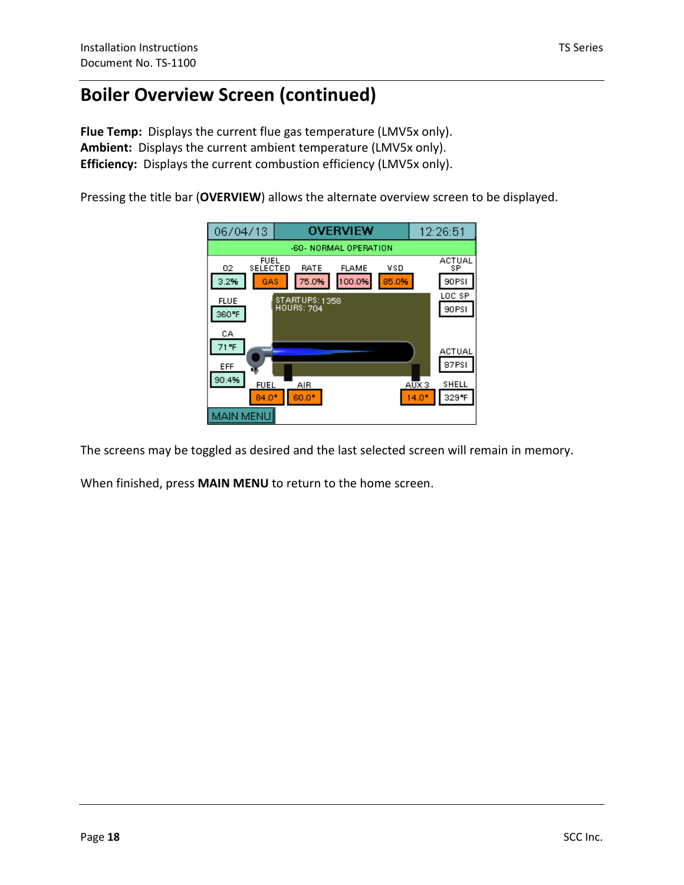## **Boiler Overview Screen (continued)**

**Flue Temp:** Displays the current flue gas temperature (LMV5x only). **Ambient:** Displays the current ambient temperature (LMV5x only). **Efficiency:** Displays the current combustion efficiency (LMV5x only).

Pressing the title bar (**OVERVIEW**) allows the alternate overview screen to be displayed.



The screens may be toggled as desired and the last selected screen will remain in memory.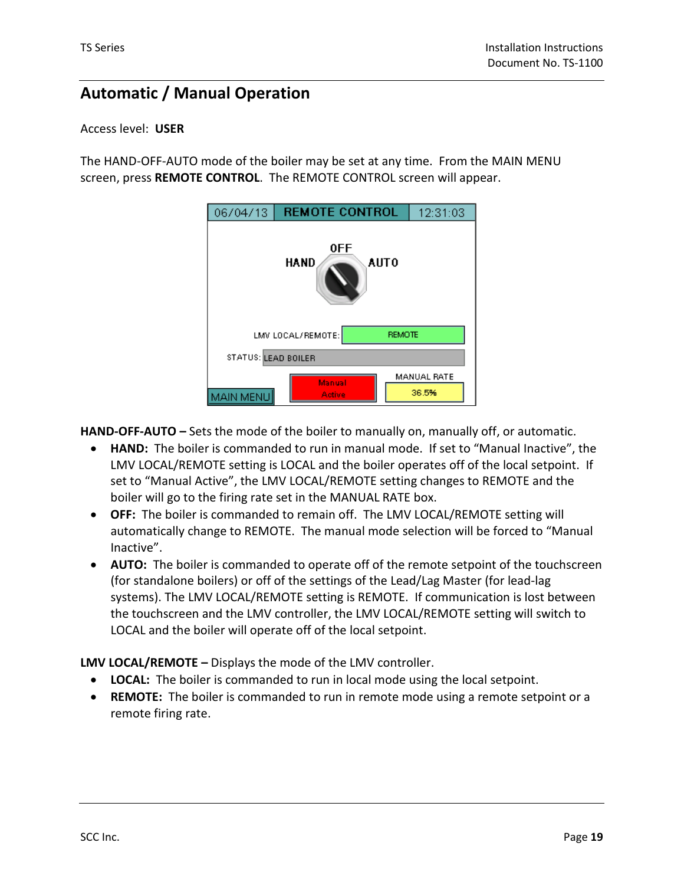## **Automatic / Manual Operation**

### Access level: **USER**

The HAND-OFF-AUTO mode of the boiler may be set at any time. From the MAIN MENU screen, press **REMOTE CONTROL**. The REMOTE CONTROL screen will appear.

| 06/04/13                   | <b>REMOTE CONTROL</b>              |  | 12:31:03             |  |  |  |  |  |
|----------------------------|------------------------------------|--|----------------------|--|--|--|--|--|
| 0FF<br><b>AUTO</b><br>HAND |                                    |  |                      |  |  |  |  |  |
|                            | LMV LOCAL/REMOTE:<br><b>REMOTE</b> |  |                      |  |  |  |  |  |
| STATUS: LEAD BOILER        |                                    |  |                      |  |  |  |  |  |
| MAIN MENU                  | Manual<br>Active                   |  | MANUAL RATE<br>36.5% |  |  |  |  |  |

**HAND-OFF-AUTO –** Sets the mode of the boiler to manually on, manually off, or automatic.

- **HAND:** The boiler is commanded to run in manual mode. If set to "Manual Inactive", the LMV LOCAL/REMOTE setting is LOCAL and the boiler operates off of the local setpoint. If set to "Manual Active", the LMV LOCAL/REMOTE setting changes to REMOTE and the boiler will go to the firing rate set in the MANUAL RATE box.
- **OFF:** The boiler is commanded to remain off. The LMV LOCAL/REMOTE setting will automatically change to REMOTE. The manual mode selection will be forced to "Manual Inactive".
- **AUTO:** The boiler is commanded to operate off of the remote setpoint of the touchscreen (for standalone boilers) or off of the settings of the Lead/Lag Master (for lead-lag systems). The LMV LOCAL/REMOTE setting is REMOTE. If communication is lost between the touchscreen and the LMV controller, the LMV LOCAL/REMOTE setting will switch to LOCAL and the boiler will operate off of the local setpoint.

**LMV LOCAL/REMOTE –** Displays the mode of the LMV controller.

- **LOCAL:** The boiler is commanded to run in local mode using the local setpoint.
- **REMOTE:** The boiler is commanded to run in remote mode using a remote setpoint or a remote firing rate.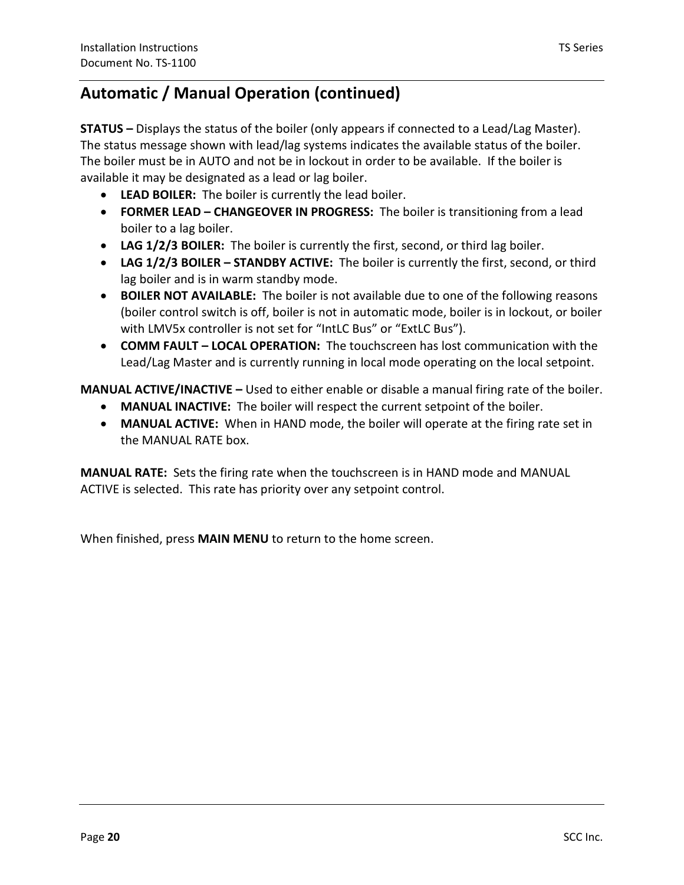## **Automatic / Manual Operation (continued)**

**STATUS –** Displays the status of the boiler (only appears if connected to a Lead/Lag Master). The status message shown with lead/lag systems indicates the available status of the boiler. The boiler must be in AUTO and not be in lockout in order to be available. If the boiler is available it may be designated as a lead or lag boiler.

- **LEAD BOILER:** The boiler is currently the lead boiler.
- **FORMER LEAD CHANGEOVER IN PROGRESS:** The boiler is transitioning from a lead boiler to a lag boiler.
- **LAG 1/2/3 BOILER:** The boiler is currently the first, second, or third lag boiler.
- **LAG 1/2/3 BOILER STANDBY ACTIVE:** The boiler is currently the first, second, or third lag boiler and is in warm standby mode.
- **BOILER NOT AVAILABLE:** The boiler is not available due to one of the following reasons (boiler control switch is off, boiler is not in automatic mode, boiler is in lockout, or boiler with LMV5x controller is not set for "IntLC Bus" or "ExtLC Bus").
- **COMM FAULT LOCAL OPERATION:** The touchscreen has lost communication with the Lead/Lag Master and is currently running in local mode operating on the local setpoint.

**MANUAL ACTIVE/INACTIVE –** Used to either enable or disable a manual firing rate of the boiler.

- **MANUAL INACTIVE:** The boiler will respect the current setpoint of the boiler.
- **MANUAL ACTIVE:** When in HAND mode, the boiler will operate at the firing rate set in the MANUAL RATE box.

**MANUAL RATE:** Sets the firing rate when the touchscreen is in HAND mode and MANUAL ACTIVE is selected. This rate has priority over any setpoint control.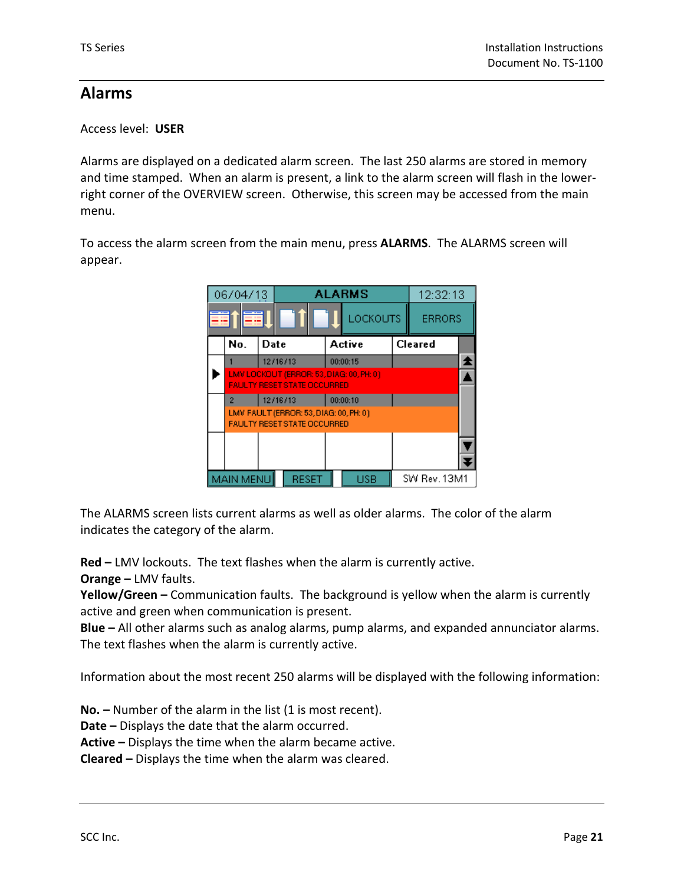## **Alarms**

Access level: **USER** 

Alarms are displayed on a dedicated alarm screen. The last 250 alarms are stored in memory and time stamped. When an alarm is present, a link to the alarm screen will flash in the lowerright corner of the OVERVIEW screen. Otherwise, this screen may be accessed from the main menu.

To access the alarm screen from the main menu, press **ALARMS**. The ALARMS screen will appear.

|   | 06/04/13                                                                       |                                                                              | <b>ALARMS</b> |                 |  | 12:32:13      |  |
|---|--------------------------------------------------------------------------------|------------------------------------------------------------------------------|---------------|-----------------|--|---------------|--|
| æ |                                                                                |                                                                              |               | <b>LOCKOUTS</b> |  | <b>ERRORS</b> |  |
|   | No.                                                                            | Date                                                                         |               | Active          |  | Cleared       |  |
|   |                                                                                | 12/16/13                                                                     |               | 00:00:15        |  |               |  |
|   | LMV LOCKOUT (ERROR: 53, DIAG: 00, PH: 0)<br><b>FAULTY RESET STATE OCCURRED</b> |                                                                              |               |                 |  |               |  |
|   | $\overline{2}$                                                                 | 12/16/13                                                                     |               | 00:00:10        |  |               |  |
|   |                                                                                | LMV FAULT (ERROR: 53, DIAG: 00, PH: 0)<br><b>FAULTY RESET STATE OCCURRED</b> |               |                 |  |               |  |
|   |                                                                                |                                                                              |               |                 |  |               |  |
|   | <b>MAIN MENU</b>                                                               | <b>RESET</b>                                                                 |               | USB             |  | SW Rev. 13M1  |  |

The ALARMS screen lists current alarms as well as older alarms. The color of the alarm indicates the category of the alarm.

**Red –** LMV lockouts. The text flashes when the alarm is currently active.

**Orange –** LMV faults.

**Yellow/Green –** Communication faults. The background is yellow when the alarm is currently active and green when communication is present.

**Blue –** All other alarms such as analog alarms, pump alarms, and expanded annunciator alarms. The text flashes when the alarm is currently active.

Information about the most recent 250 alarms will be displayed with the following information:

**No. –** Number of the alarm in the list (1 is most recent).

**Date –** Displays the date that the alarm occurred.

**Active –** Displays the time when the alarm became active.

**Cleared –** Displays the time when the alarm was cleared.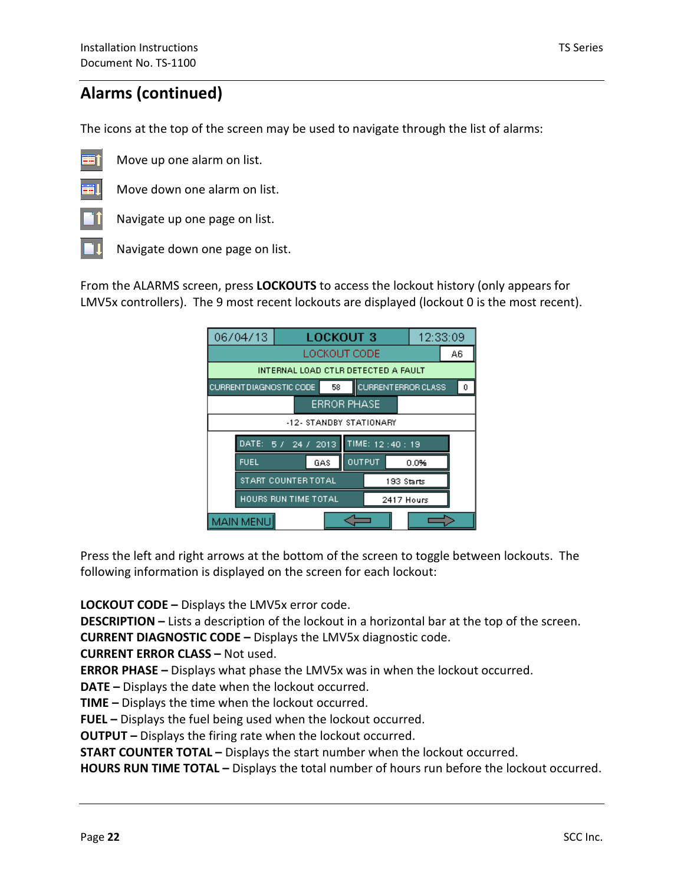## **Alarms (continued)**

The icons at the top of the screen may be used to navigate through the list of alarms:



Move up one alarm on list.



Move down one alarm on list. Navigate up one page on list.

-11

Navigate down one page on list.

From the ALARMS screen, press **LOCKOUTS** to access the lockout history (only appears for LMV5x controllers). The 9 most recent lockouts are displayed (lockout 0 is the most recent).

| 06/04/13                                                                |                                     |  |                         |  | <b>LOCKOUT 3</b>   |                  |            | 12:33:09 |  |
|-------------------------------------------------------------------------|-------------------------------------|--|-------------------------|--|--------------------|------------------|------------|----------|--|
|                                                                         | LOCKOUT CODE<br>A6                  |  |                         |  |                    |                  |            |          |  |
|                                                                         | INTERNAL LOAD CTLR DETECTED A FAULT |  |                         |  |                    |                  |            |          |  |
| <b>CURRENT ERROR CLASS</b><br><b>CURRENT DIAGNOSTIC CODE</b><br>58<br>0 |                                     |  |                         |  |                    |                  |            |          |  |
|                                                                         |                                     |  |                         |  | <b>ERROR PHASE</b> |                  |            |          |  |
|                                                                         |                                     |  | -12- STANDBY STATIONARY |  |                    |                  |            |          |  |
|                                                                         | DATE: 5 / 24 / 2013                 |  |                         |  |                    | TIME: $12:40:19$ |            |          |  |
|                                                                         | <b>FUEL</b>                         |  | GAS                     |  | <b>OUTPUT</b>      |                  |            | 0.0%     |  |
|                                                                         | START COUNTER TOTAL                 |  |                         |  |                    |                  | 193 Starts |          |  |
| HOURS RUN TIME TOTAL<br>2417 Hours                                      |                                     |  |                         |  |                    |                  |            |          |  |
| <b>MAIN MENU</b>                                                        |                                     |  |                         |  |                    |                  |            |          |  |

Press the left and right arrows at the bottom of the screen to toggle between lockouts. The following information is displayed on the screen for each lockout:

**LOCKOUT CODE –** Displays the LMV5x error code.

**DESCRIPTION –** Lists a description of the lockout in a horizontal bar at the top of the screen.

**CURRENT DIAGNOSTIC CODE –** Displays the LMV5x diagnostic code.

**CURRENT ERROR CLASS –** Not used.

**ERROR PHASE –** Displays what phase the LMV5x was in when the lockout occurred.

**DATE –** Displays the date when the lockout occurred.

**TIME –** Displays the time when the lockout occurred.

**FUEL –** Displays the fuel being used when the lockout occurred.

**OUTPUT –** Displays the firing rate when the lockout occurred.

**START COUNTER TOTAL –** Displays the start number when the lockout occurred.

**HOURS RUN TIME TOTAL –** Displays the total number of hours run before the lockout occurred.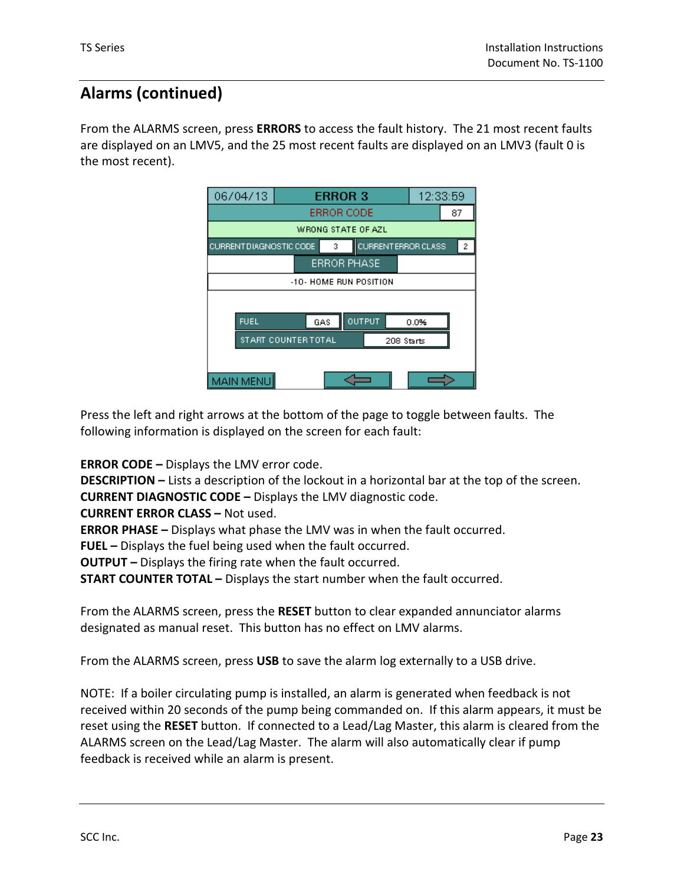## **Alarms (continued)**

From the ALARMS screen, press **ERRORS** to access the fault history. The 21 most recent faults are displayed on an LMV5, and the 25 most recent faults are displayed on an LMV3 (fault 0 is the most recent).



Press the left and right arrows at the bottom of the page to toggle between faults. The following information is displayed on the screen for each fault:

**ERROR CODE –** Displays the LMV error code.

**DESCRIPTION –** Lists a description of the lockout in a horizontal bar at the top of the screen. **CURRENT DIAGNOSTIC CODE –** Displays the LMV diagnostic code.

**CURRENT ERROR CLASS –** Not used.

**ERROR PHASE –** Displays what phase the LMV was in when the fault occurred.

**FUEL –** Displays the fuel being used when the fault occurred.

**OUTPUT –** Displays the firing rate when the fault occurred.

**START COUNTER TOTAL –** Displays the start number when the fault occurred.

From the ALARMS screen, press the **RESET** button to clear expanded annunciator alarms designated as manual reset. This button has no effect on LMV alarms.

From the ALARMS screen, press **USB** to save the alarm log externally to a USB drive.

NOTE: If a boiler circulating pump is installed, an alarm is generated when feedback is not received within 20 seconds of the pump being commanded on. If this alarm appears, it must be reset using the **RESET** button. If connected to a Lead/Lag Master, this alarm is cleared from the ALARMS screen on the Lead/Lag Master. The alarm will also automatically clear if pump feedback is received while an alarm is present.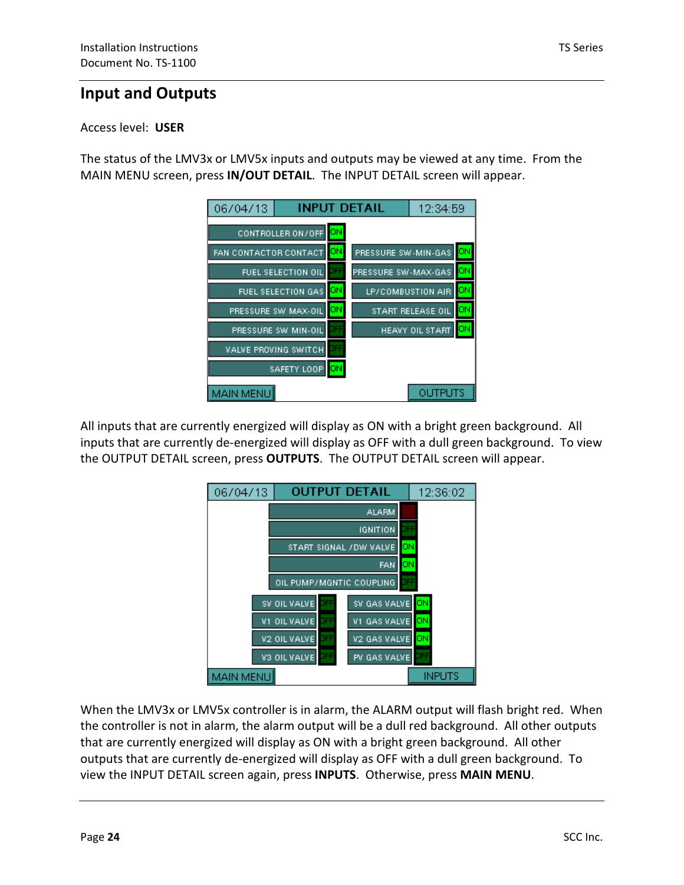## **Input and Outputs**

### Access level: **USER**

The status of the LMV3x or LMV5x inputs and outputs may be viewed at any time. From the MAIN MENU screen, press **IN/OUT DETAIL**. The INPUT DETAIL screen will appear.



All inputs that are currently energized will display as ON with a bright green background. All inputs that are currently de-energized will display as OFF with a dull green background. To view the OUTPUT DETAIL screen, press **OUTPUTS**. The OUTPUT DETAIL screen will appear.



When the LMV3x or LMV5x controller is in alarm, the ALARM output will flash bright red. When the controller is not in alarm, the alarm output will be a dull red background. All other outputs that are currently energized will display as ON with a bright green background. All other outputs that are currently de-energized will display as OFF with a dull green background. To view the INPUT DETAIL screen again, press **INPUTS**. Otherwise, press **MAIN MENU**.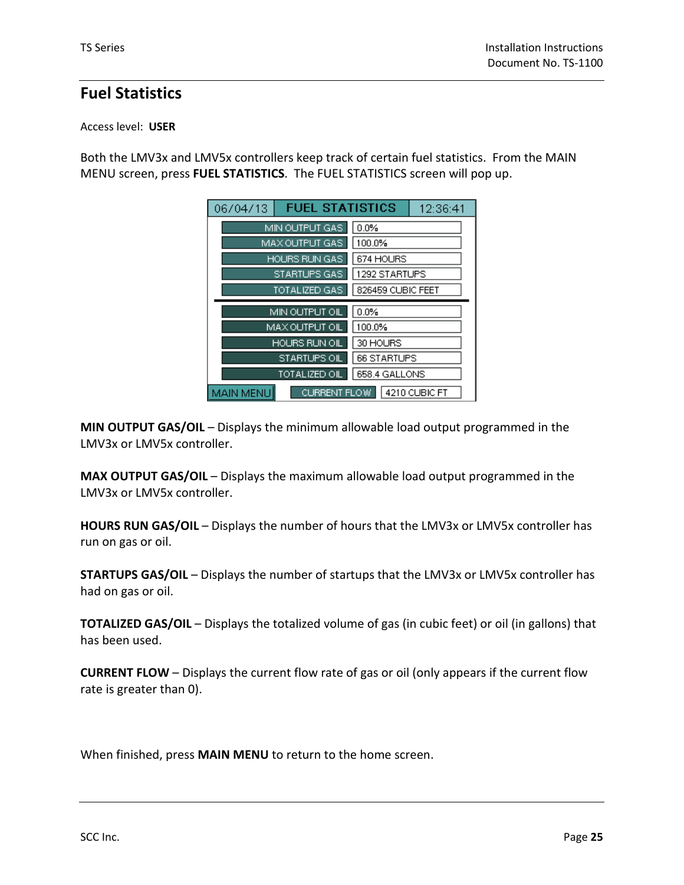## **Fuel Statistics**

### Access level: **USER**

Both the LMV3x and LMV5x controllers keep track of certain fuel statistics. From the MAIN MENU screen, press **FUEL STATISTICS**. The FUEL STATISTICS screen will pop up.

| 06/04/13 | <b>FUEL STATISTICS</b> |                   | 12:36:41 |
|----------|------------------------|-------------------|----------|
|          | MIN OUTPUT GAS         | 0.0%              |          |
|          | MAX OUTPUT GAS         | 100.0%            |          |
|          | <b>HOURS RUN GAS</b>   | 674 HOURS         |          |
|          | STARTUPS GAS           | 1292 STARTUPS     |          |
|          | TOTALIZED GAS          | 826459 CUBIC FEET |          |
|          |                        |                   |          |
|          | MIN OUTPUT OIL         | 0.0%              |          |
|          | MAX OUTPUT OIL         | 100.0%            |          |
|          | HOURS RUN OIL          | 30 HOURS          |          |
|          | STARTUPS OIL           | 66 STARTUPS       |          |
|          | TOTALIZED OIL          | 658.4 GALLONS     |          |

**MIN OUTPUT GAS/OIL** – Displays the minimum allowable load output programmed in the LMV3x or LMV5x controller.

**MAX OUTPUT GAS/OIL** – Displays the maximum allowable load output programmed in the LMV3x or LMV5x controller.

**HOURS RUN GAS/OIL** – Displays the number of hours that the LMV3x or LMV5x controller has run on gas or oil.

**STARTUPS GAS/OIL** – Displays the number of startups that the LMV3x or LMV5x controller has had on gas or oil.

**TOTALIZED GAS/OIL** – Displays the totalized volume of gas (in cubic feet) or oil (in gallons) that has been used.

**CURRENT FLOW** – Displays the current flow rate of gas or oil (only appears if the current flow rate is greater than 0).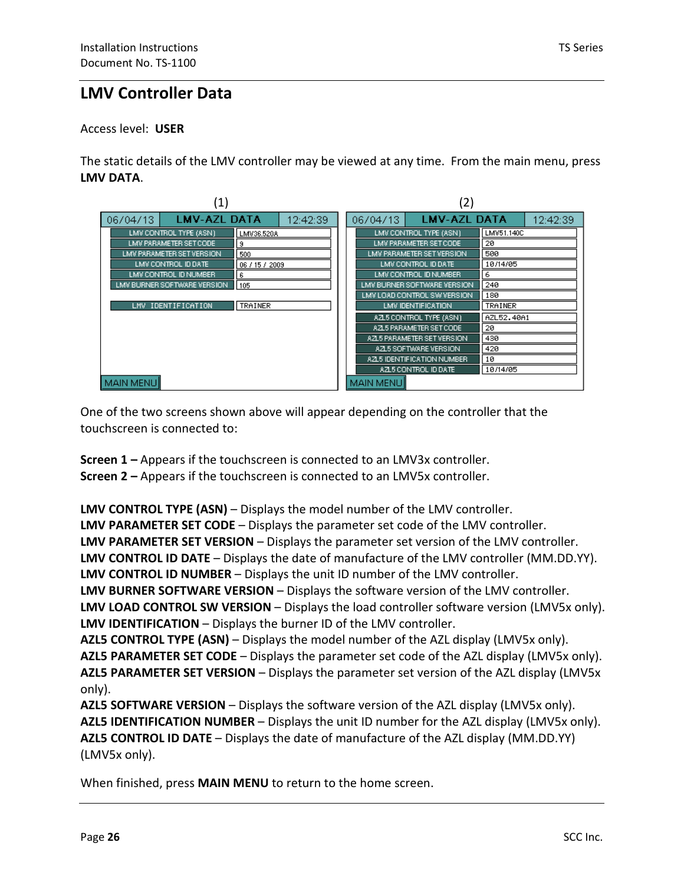## **LMV Controller Data**

Access level: **USER** 

The static details of the LMV controller may be viewed at any time. From the main menu, press **LMV DATA**.

|                   | $\left( 1\right)$                                                                                                                                                                   |                                                                 |          | $\left( 2\right)$               |                   |                                                                                                                                                                                                                     |                                                                          |  |
|-------------------|-------------------------------------------------------------------------------------------------------------------------------------------------------------------------------------|-----------------------------------------------------------------|----------|---------------------------------|-------------------|---------------------------------------------------------------------------------------------------------------------------------------------------------------------------------------------------------------------|--------------------------------------------------------------------------|--|
| 06/04/13          | <b>LMV-AZL DATA</b>                                                                                                                                                                 |                                                                 | 12:42:39 | <b>LMV-AZL DATA</b><br>06/04/13 |                   |                                                                                                                                                                                                                     | 12:42:39                                                                 |  |
|                   | LMV CONTROL TYPE (ASN)<br>LMV PARAMETER SET CODE<br>LMV PARAMETER SET VERSION<br>LMV CONTROL ID DATE<br>LMV CONTROL ID NUMBER<br>LMV BURNER SOFTWARE VERSION.<br>LMV IDENTIFICATION | LMV36.520A<br>9<br>500<br>06 / 15 / 2009<br>6<br>105<br>TRAINER |          |                                 |                   | LMV CONTROL TYPE (ASN)<br>LMV PARAMETER SET CODE<br>LMV PARAMETER SET VERSION.<br>LMV CONTROL ID DATE<br>LMV CONTROL ID NUMBER<br>LMV BURNER SOFTWARE VERSION<br>LMV LOAD CONTROL SW VERSION.<br>LMV IDENTIFICATION | LMV51.140C<br>20<br>500<br>10/14/05<br>6<br>240<br>180<br><b>TRAINER</b> |  |
| <b>MAIN MENUI</b> |                                                                                                                                                                                     |                                                                 |          |                                 | <b>MAIN MENUI</b> | AZL5 CONTROL TYPE (ASN)<br>AZL5 PARAMETER SET CODE<br>AZL5 PARAMETER SET VERSION.<br>AZL5 SOFTWARE VERSION<br>AZL5 IDENTIFICATION NUMBER<br>AZL5 CONTROL ID DATE                                                    | AZL52,40A1<br>20<br>430<br>420<br>10<br>10/14/05                         |  |

One of the two screens shown above will appear depending on the controller that the touchscreen is connected to:

**Screen 1 –** Appears if the touchscreen is connected to an LMV3x controller. **Screen 2 –** Appears if the touchscreen is connected to an LMV5x controller.

**LMV CONTROL TYPE (ASN)** – Displays the model number of the LMV controller. **LMV PARAMETER SET CODE** – Displays the parameter set code of the LMV controller. **LMV PARAMETER SET VERSION** – Displays the parameter set version of the LMV controller. **LMV CONTROL ID DATE** – Displays the date of manufacture of the LMV controller (MM.DD.YY). **LMV CONTROL ID NUMBER** – Displays the unit ID number of the LMV controller. **LMV BURNER SOFTWARE VERSION** – Displays the software version of the LMV controller. **LMV LOAD CONTROL SW VERSION** – Displays the load controller software version (LMV5x only). **LMV IDENTIFICATION** – Displays the burner ID of the LMV controller. **AZL5 CONTROL TYPE (ASN)** – Displays the model number of the AZL display (LMV5x only). **AZL5 PARAMETER SET CODE** – Displays the parameter set code of the AZL display (LMV5x only). **AZL5 PARAMETER SET VERSION** – Displays the parameter set version of the AZL display (LMV5x only).

**AZL5 SOFTWARE VERSION** – Displays the software version of the AZL display (LMV5x only). **AZL5 IDENTIFICATION NUMBER** – Displays the unit ID number for the AZL display (LMV5x only). **AZL5 CONTROL ID DATE** – Displays the date of manufacture of the AZL display (MM.DD.YY) (LMV5x only).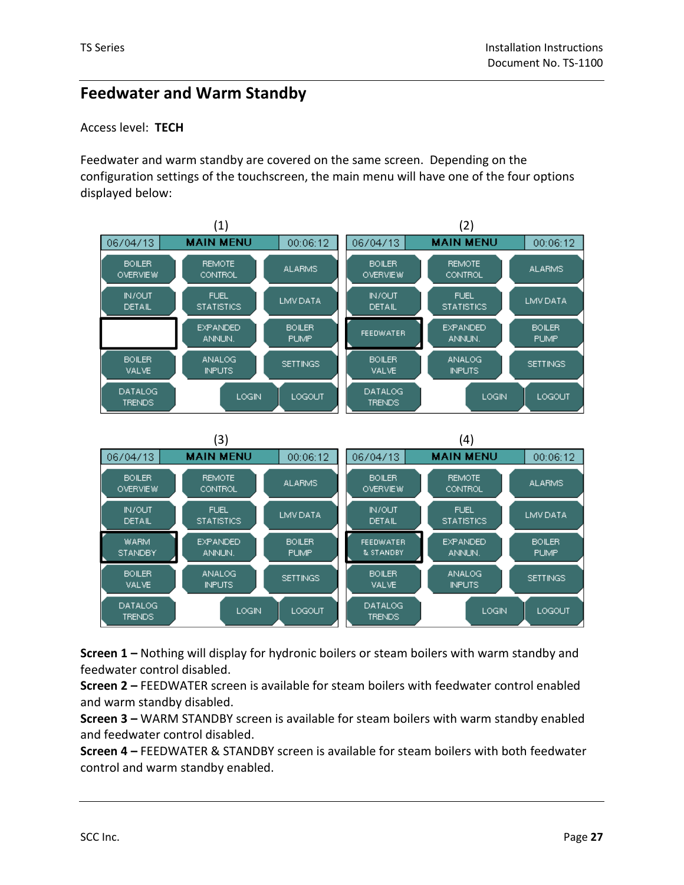## **Feedwater and Warm Standby**

### Access level: **TECH**

Feedwater and warm standby are covered on the same screen. Depending on the configuration settings of the touchscreen, the main menu will have one of the four options displayed below:



**Screen 1 –** Nothing will display for hydronic boilers or steam boilers with warm standby and feedwater control disabled.

**Screen 2 –** FEEDWATER screen is available for steam boilers with feedwater control enabled and warm standby disabled.

**Screen 3 –** WARM STANDBY screen is available for steam boilers with warm standby enabled and feedwater control disabled.

**Screen 4 –** FEEDWATER & STANDBY screen is available for steam boilers with both feedwater control and warm standby enabled.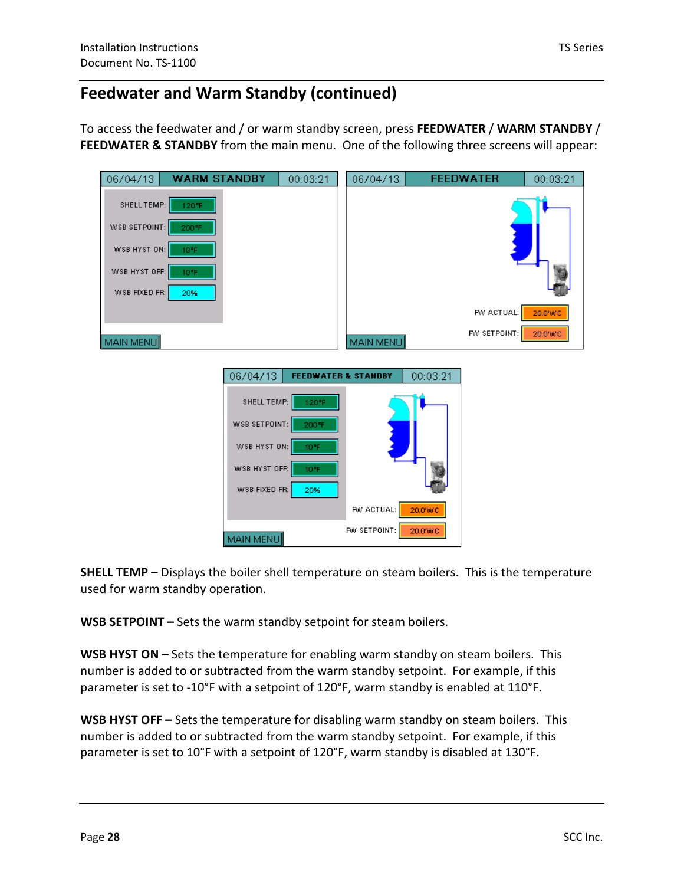To access the feedwater and / or warm standby screen, press **FEEDWATER** / **WARM STANDBY** / **FEEDWATER & STANDBY** from the main menu. One of the following three screens will appear:

| 06/04/13                       | <b>WARM STANDBY</b> |             | 00:03:21 | 06/04/13                       |          | <b>FEEDWATER</b> | 00:03:21 |
|--------------------------------|---------------------|-------------|----------|--------------------------------|----------|------------------|----------|
| SHELL TEMP:                    | 120°F.              |             |          |                                |          |                  |          |
| WSB SETPOINT:                  | 200°F               |             |          |                                |          |                  |          |
| WSB HYST ON:                   | 10°F                |             |          |                                |          |                  |          |
| WSB HYST OFF:<br>WSB FIXED FR: | 10°F<br>20%         |             |          |                                |          |                  |          |
|                                |                     |             |          |                                |          | FW ACTUAL:       | 20.0%/C  |
| MAIN MENU                      |                     |             |          | MAIN MENU                      |          | FW SETPOINT:     | 20.0'WC  |
|                                |                     |             |          |                                |          |                  |          |
|                                |                     | 06/04/13    |          | <b>FEEDWATER &amp; STANDBY</b> | 00:03:21 |                  |          |
|                                |                     | SHELL TEMP: | 120°F    |                                |          |                  |          |

**SHELL TEMP –** Displays the boiler shell temperature on steam boilers. This is the temperature used for warm standby operation.

⢠-

FW ACTUAL:

FW SETPOINT:

20.0%/C

20.0'WC

**WSB SETPOINT –** Sets the warm standby setpoint for steam boilers.

**WSB HYST ON –** Sets the temperature for enabling warm standby on steam boilers. This number is added to or subtracted from the warm standby setpoint. For example, if this parameter is set to -10°F with a setpoint of 120°F, warm standby is enabled at 110°F.

**WSB HYST OFF –** Sets the temperature for disabling warm standby on steam boilers. This number is added to or subtracted from the warm standby setpoint. For example, if this parameter is set to 10°F with a setpoint of 120°F, warm standby is disabled at 130°F.

10%

20%

WSB SETPOINT:

WSB HYST ON:

WISB FIXED FR:

MAIN MENU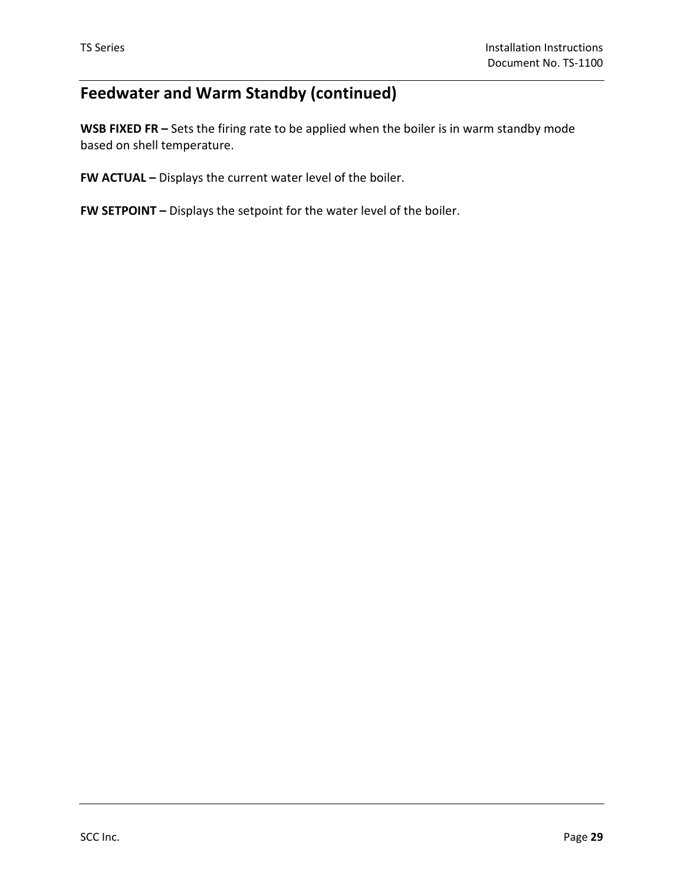## **Feedwater and Warm Standby (continued)**

**WSB FIXED FR –** Sets the firing rate to be applied when the boiler is in warm standby mode based on shell temperature.

**FW ACTUAL –** Displays the current water level of the boiler.

**FW SETPOINT –** Displays the setpoint for the water level of the boiler.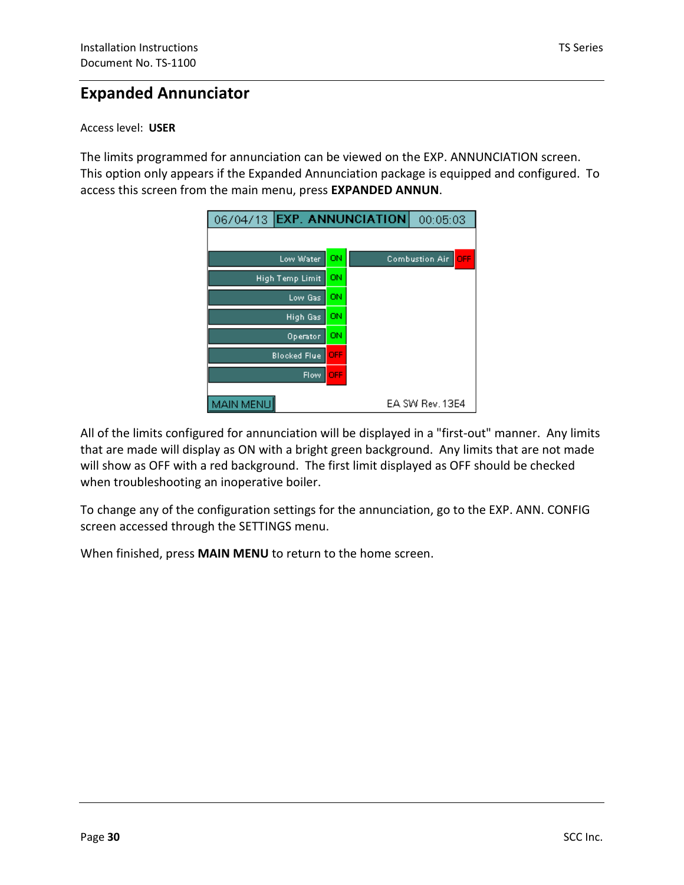## **Expanded Annunciator**

### Access level: **USER**

The limits programmed for annunciation can be viewed on the EXP. ANNUNCIATION screen. This option only appears if the Expanded Annunciation package is equipped and configured. To access this screen from the main menu, press **EXPANDED ANNUN**.

| 06/04/13 EXP. ANNUNCIATION |            | 00:05:03              |     |
|----------------------------|------------|-----------------------|-----|
|                            |            |                       |     |
| Low Water                  | ON         | <b>Combustion Air</b> | OFF |
| <b>High Temp Limit</b>     | ON         |                       |     |
| Low Gas                    | ON         |                       |     |
| High Gas                   | ON         |                       |     |
| Operator                   | ON         |                       |     |
| <b>Blocked Flue</b>        | <b>OFF</b> |                       |     |
| Flow                       | <b>OFF</b> |                       |     |
| MAIN MENU                  |            | EA SW Rev. 13E4       |     |

that are made will display as ON with a bright green background. Any limits that are not made All of the limits configured for annunciation will be displayed in a "first-out" manner. Any limits will show as OFF with a red background. The first limit displayed as OFF should be checked when troubleshooting an inoperative boiler.

To change any of the configuration settings for the annunciation, go to the EXP. ANN. CONFIG screen accessed through the SETTINGS menu.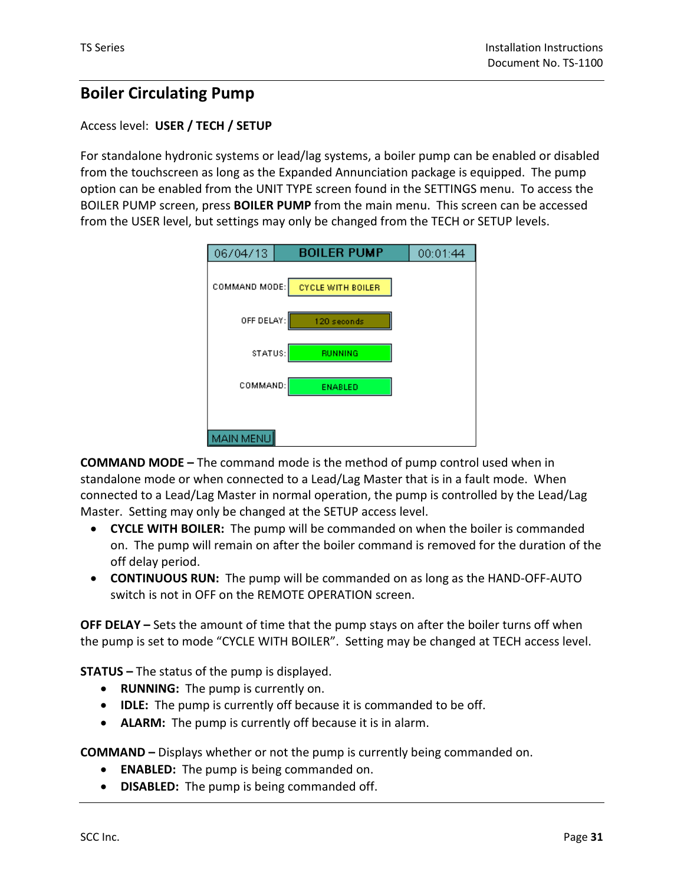## **Boiler Circulating Pump**

### Access level: **USER / TECH / SETUP**

For standalone hydronic systems or lead/lag systems, a boiler pump can be enabled or disabled from the touchscreen as long as the Expanded Annunciation package is equipped. The pump option can be enabled from the UNIT TYPE screen found in the SETTINGS menu. To access the BOILER PUMP screen, press **BOILER PUMP** from the main menu. This screen can be accessed from the USER level, but settings may only be changed from the TECH or SETUP levels.

| 06/04/13         | <b>BOILER PUMP</b>       | 00:01:44 |
|------------------|--------------------------|----------|
|                  |                          |          |
| COMMAND MODE:    | <b>CYCLE WITH BOILER</b> |          |
|                  |                          |          |
| OFF DELAY:       | 120 seconds              |          |
|                  |                          |          |
| STATUS:          | <b>RUNNING</b>           |          |
|                  |                          |          |
| COMMAND:         | <b>ENABLED</b>           |          |
|                  |                          |          |
|                  |                          |          |
| <b>MAIN MENU</b> |                          |          |

**COMMAND MODE –** The command mode is the method of pump control used when in standalone mode or when connected to a Lead/Lag Master that is in a fault mode. When connected to a Lead/Lag Master in normal operation, the pump is controlled by the Lead/Lag Master. Setting may only be changed at the SETUP access level.

- **CYCLE WITH BOILER:** The pump will be commanded on when the boiler is commanded on. The pump will remain on after the boiler command is removed for the duration of the off delay period.
- **CONTINUOUS RUN:** The pump will be commanded on as long as the HAND-OFF-AUTO switch is not in OFF on the REMOTE OPERATION screen.

**OFF DELAY –** Sets the amount of time that the pump stays on after the boiler turns off when the pump is set to mode "CYCLE WITH BOILER". Setting may be changed at TECH access level.

**STATUS –** The status of the pump is displayed.

- **RUNNING:** The pump is currently on.
- **IDLE:** The pump is currently off because it is commanded to be off.
- **ALARM:** The pump is currently off because it is in alarm.

**COMMAND –** Displays whether or not the pump is currently being commanded on.

- **ENABLED:** The pump is being commanded on.
- **DISABLED:** The pump is being commanded off.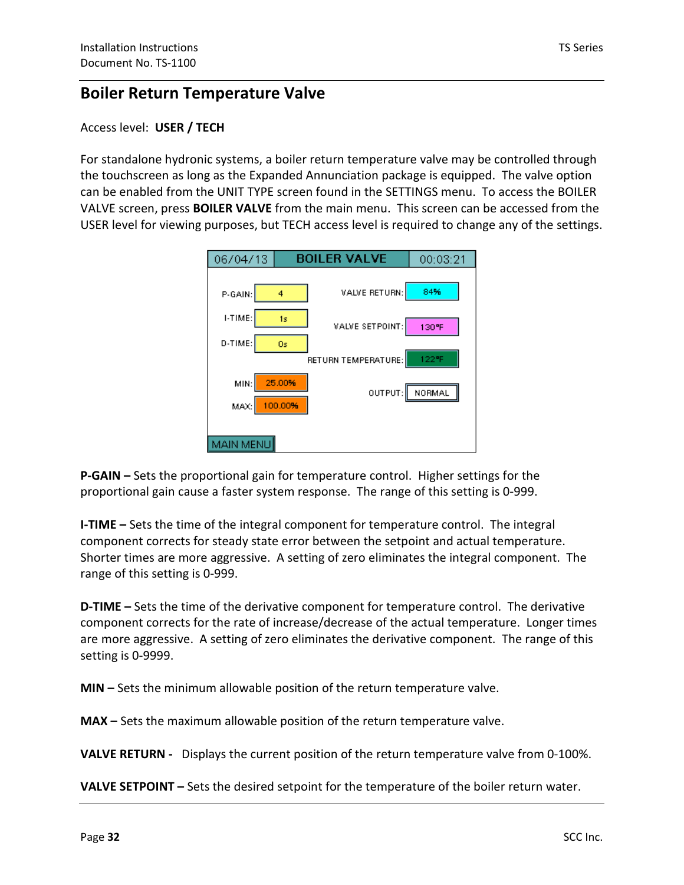## **Boiler Return Temperature Valve**

### Access level: **USER / TECH**

For standalone hydronic systems, a boiler return temperature valve may be controlled through the touchscreen as long as the Expanded Annunciation package is equipped. The valve option can be enabled from the UNIT TYPE screen found in the SETTINGS menu. To access the BOILER VALVE screen, press **BOILER VALVE** from the main menu. This screen can be accessed from the USER level for viewing purposes, but TECH access level is required to change any of the settings.

| 06/04/13         |                   | <b>BOILER VALVE</b> | 00:03:21 |
|------------------|-------------------|---------------------|----------|
| P-GAIN:          | 4                 | VALVE RETURN:       | 84%      |
| I-TIME:          | 1s                | VALVE SETPOINT:     | 130°F    |
| D-TIME:          | 0s                | RETURN TEMPERATURE: | 122°F    |
| MIN:<br>MAX:     | 25,00%<br>100.00% | OUTPUT:             | NORMAL   |
| <b>MAIN MENU</b> |                   |                     |          |

**P-GAIN –** Sets the proportional gain for temperature control. Higher settings for the proportional gain cause a faster system response. The range of this setting is 0-999.

**I-TIME –** Sets the time of the integral component for temperature control. The integral component corrects for steady state error between the setpoint and actual temperature. Shorter times are more aggressive. A setting of zero eliminates the integral component. The range of this setting is 0-999.

**D-TIME –** Sets the time of the derivative component for temperature control. The derivative component corrects for the rate of increase/decrease of the actual temperature. Longer times are more aggressive. A setting of zero eliminates the derivative component. The range of this setting is 0-9999.

**MIN –** Sets the minimum allowable position of the return temperature valve.

**MAX –** Sets the maximum allowable position of the return temperature valve.

**VALVE RETURN -** Displays the current position of the return temperature valve from 0-100%.

**VALVE SETPOINT –** Sets the desired setpoint for the temperature of the boiler return water.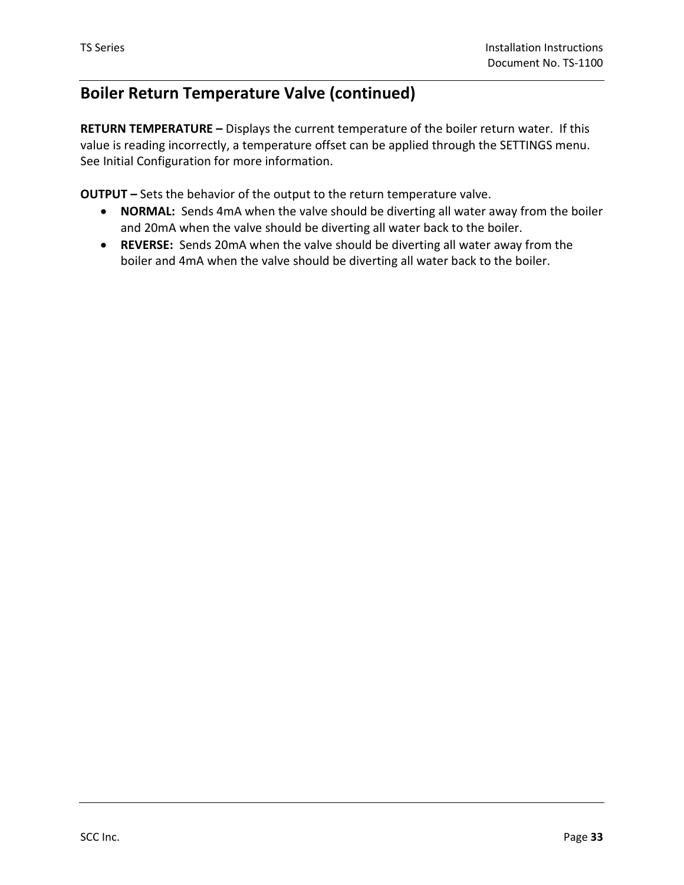## **Boiler Return Temperature Valve (continued)**

**RETURN TEMPERATURE –** Displays the current temperature of the boiler return water. If this value is reading incorrectly, a temperature offset can be applied through the SETTINGS menu. See Initial Configuration for more information.

**OUTPUT –** Sets the behavior of the output to the return temperature valve.

- **NORMAL:** Sends 4mA when the valve should be diverting all water away from the boiler and 20mA when the valve should be diverting all water back to the boiler.
- **REVERSE:** Sends 20mA when the valve should be diverting all water away from the boiler and 4mA when the valve should be diverting all water back to the boiler.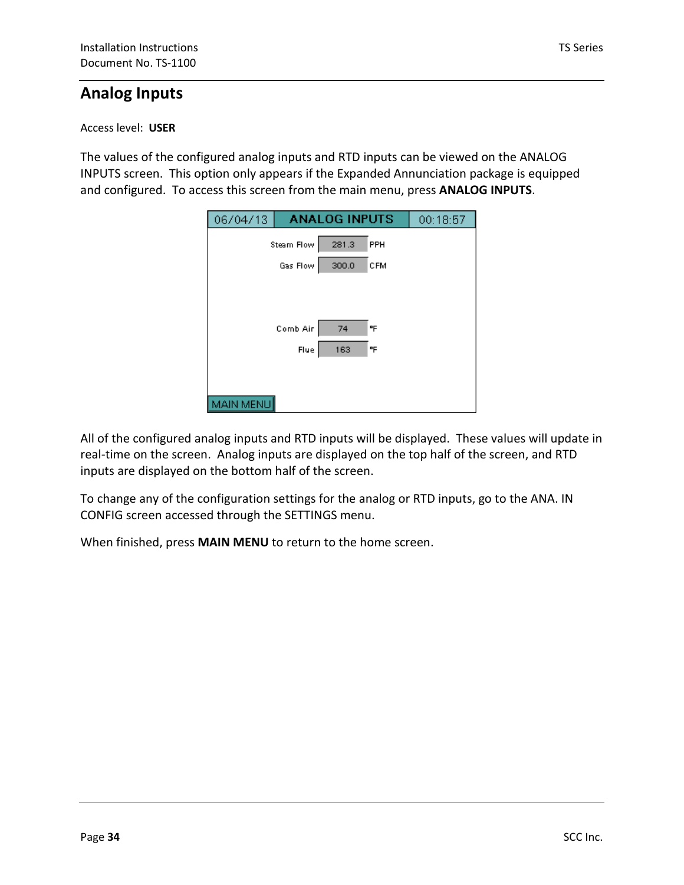## **Analog Inputs**

### Access level: **USER**

The values of the configured analog inputs and RTD inputs can be viewed on the ANALOG INPUTS screen. This option only appears if the Expanded Annunciation package is equipped and configured. To access this screen from the main menu, press **ANALOG INPUTS**.

| 06/04/13   |      | <b>ANALOG INPUTS</b> |     | 00:18:57 |
|------------|------|----------------------|-----|----------|
| Steam Flow |      | 281.3                | PPH |          |
| Gas Flow   |      | 300.0                | CFM |          |
|            |      |                      |     |          |
|            |      |                      |     |          |
| Comb Air   |      | 74                   | ۹F  |          |
|            | Flue | 163                  | ᅂ   |          |
|            |      |                      |     |          |
|            |      |                      |     |          |
| MAIN MENU  |      |                      |     |          |

All of the configured analog inputs and RTD inputs will be displayed. These values will update in real-time on the screen. Analog inputs are displayed on the top half of the screen, and RTD inputs are displayed on the bottom half of the screen.

To change any of the configuration settings for the analog or RTD inputs, go to the ANA. IN CONFIG screen accessed through the SETTINGS menu.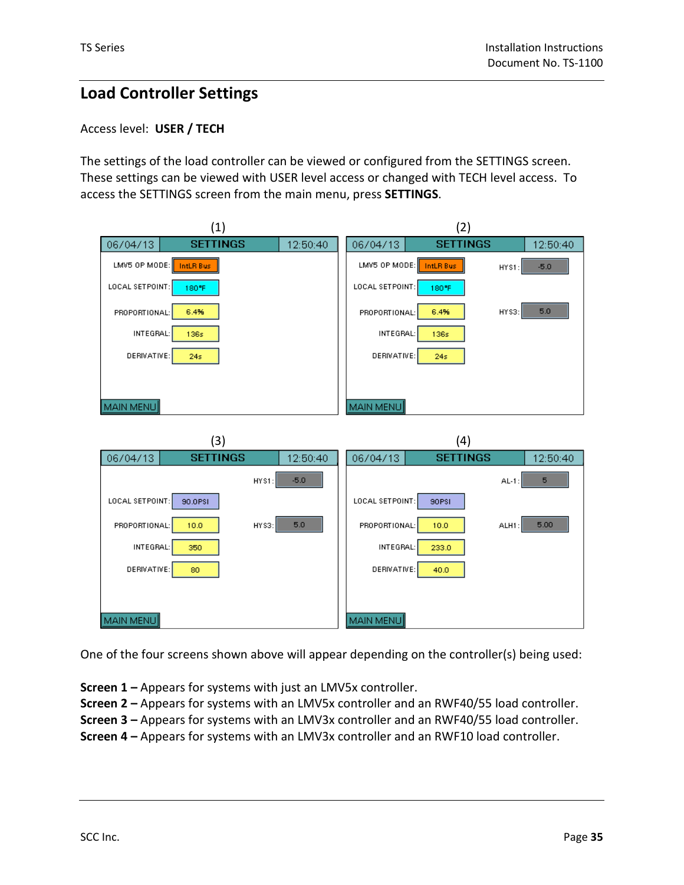## **Load Controller Settings**

### Access level: **USER / TECH**

The settings of the load controller can be viewed or configured from the SETTINGS screen. These settings can be viewed with USER level access or changed with TECH level access. To access the SETTINGS screen from the main menu, press **SETTINGS**.



One of the four screens shown above will appear depending on the controller(s) being used:

**Screen 1 –** Appears for systems with just an LMV5x controller.

**Screen 2 –** Appears for systems with an LMV5x controller and an RWF40/55 load controller.

**Screen 3 –** Appears for systems with an LMV3x controller and an RWF40/55 load controller.

**Screen 4 –** Appears for systems with an LMV3x controller and an RWF10 load controller.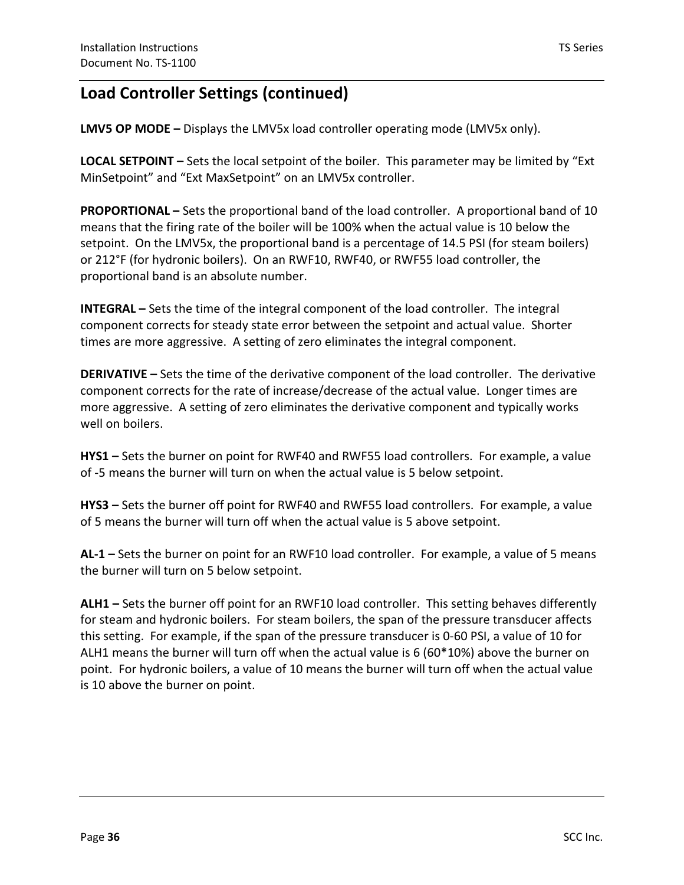## **Load Controller Settings (continued)**

**LMV5 OP MODE –** Displays the LMV5x load controller operating mode (LMV5x only).

**LOCAL SETPOINT –** Sets the local setpoint of the boiler. This parameter may be limited by "Ext MinSetpoint" and "Ext MaxSetpoint" on an LMV5x controller.

**PROPORTIONAL –** Sets the proportional band of the load controller. A proportional band of 10 means that the firing rate of the boiler will be 100% when the actual value is 10 below the setpoint. On the LMV5x, the proportional band is a percentage of 14.5 PSI (for steam boilers) or 212°F (for hydronic boilers). On an RWF10, RWF40, or RWF55 load controller, the proportional band is an absolute number.

**INTEGRAL –** Sets the time of the integral component of the load controller. The integral component corrects for steady state error between the setpoint and actual value. Shorter times are more aggressive. A setting of zero eliminates the integral component.

**DERIVATIVE –** Sets the time of the derivative component of the load controller. The derivative component corrects for the rate of increase/decrease of the actual value. Longer times are more aggressive. A setting of zero eliminates the derivative component and typically works well on boilers.

**HYS1 –** Sets the burner on point for RWF40 and RWF55 load controllers. For example, a value of -5 means the burner will turn on when the actual value is 5 below setpoint.

**HYS3 –** Sets the burner off point for RWF40 and RWF55 load controllers. For example, a value of 5 means the burner will turn off when the actual value is 5 above setpoint.

**AL-1 –** Sets the burner on point for an RWF10 load controller. For example, a value of 5 means the burner will turn on 5 below setpoint.

**ALH1 –** Sets the burner off point for an RWF10 load controller. This setting behaves differently for steam and hydronic boilers. For steam boilers, the span of the pressure transducer affects this setting. For example, if the span of the pressure transducer is 0-60 PSI, a value of 10 for ALH1 means the burner will turn off when the actual value is 6 (60\*10%) above the burner on point. For hydronic boilers, a value of 10 means the burner will turn off when the actual value is 10 above the burner on point.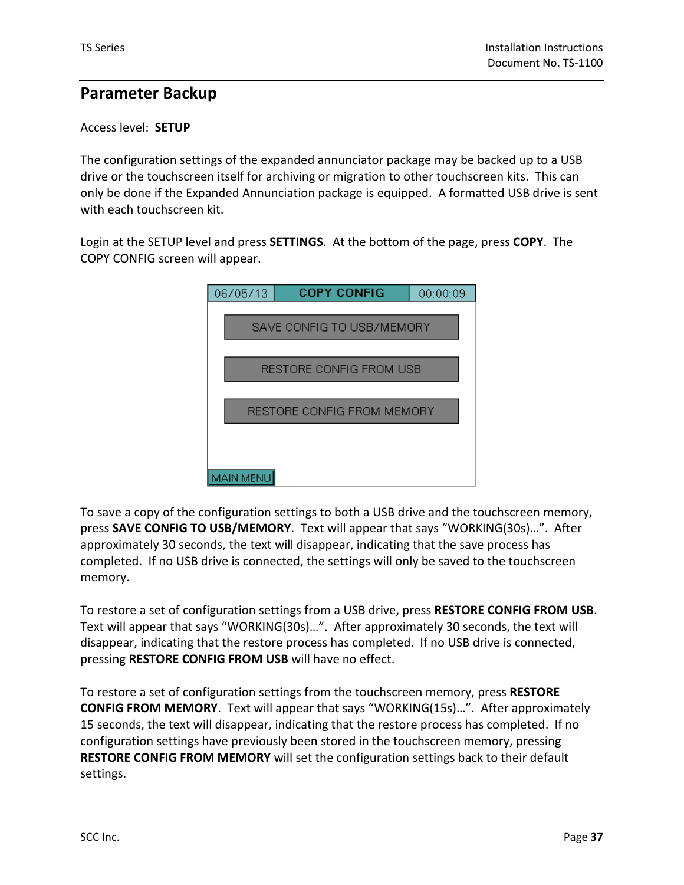### **Parameter Backup**

#### Access level: **SETUP**

The configuration settings of the expanded annunciator package may be backed up to a USB drive or the touchscreen itself for archiving or migration to other touchscreen kits. This can only be done if the Expanded Annunciation package is equipped. A formatted USB drive is sent with each touchscreen kit.

Login at the SETUP level and press **SETTINGS**. At the bottom of the page, press **COPY**. The COPY CONFIG screen will appear.

| 06/05/13         | <b>COPY CONFIG</b>         | 00:00:09 |
|------------------|----------------------------|----------|
|                  |                            |          |
|                  | SAVE CONFIG TO USB/MEMORY  |          |
|                  |                            |          |
|                  | RESTORE CONFIG FROM USB    |          |
|                  |                            |          |
|                  | RESTORE CONFIG FROM MEMORY |          |
|                  |                            |          |
|                  |                            |          |
|                  |                            |          |
| <b>MAIN MENU</b> |                            |          |

To save a copy of the configuration settings to both a USB drive and the touchscreen memory, press **SAVE CONFIG TO USB/MEMORY**. Text will appear that says "WORKING(30s)…". After approximately 30 seconds, the text will disappear, indicating that the save process has completed. If no USB drive is connected, the settings will only be saved to the touchscreen memory.

To restore a set of configuration settings from a USB drive, press **RESTORE CONFIG FROM USB**. Text will appear that says "WORKING(30s)…". After approximately 30 seconds, the text will disappear, indicating that the restore process has completed. If no USB drive is connected, pressing **RESTORE CONFIG FROM USB** will have no effect.

To restore a set of configuration settings from the touchscreen memory, press **RESTORE CONFIG FROM MEMORY**. Text will appear that says "WORKING(15s)…". After approximately 15 seconds, the text will disappear, indicating that the restore process has completed. If no configuration settings have previously been stored in the touchscreen memory, pressing **RESTORE CONFIG FROM MEMORY** will set the configuration settings back to their default settings.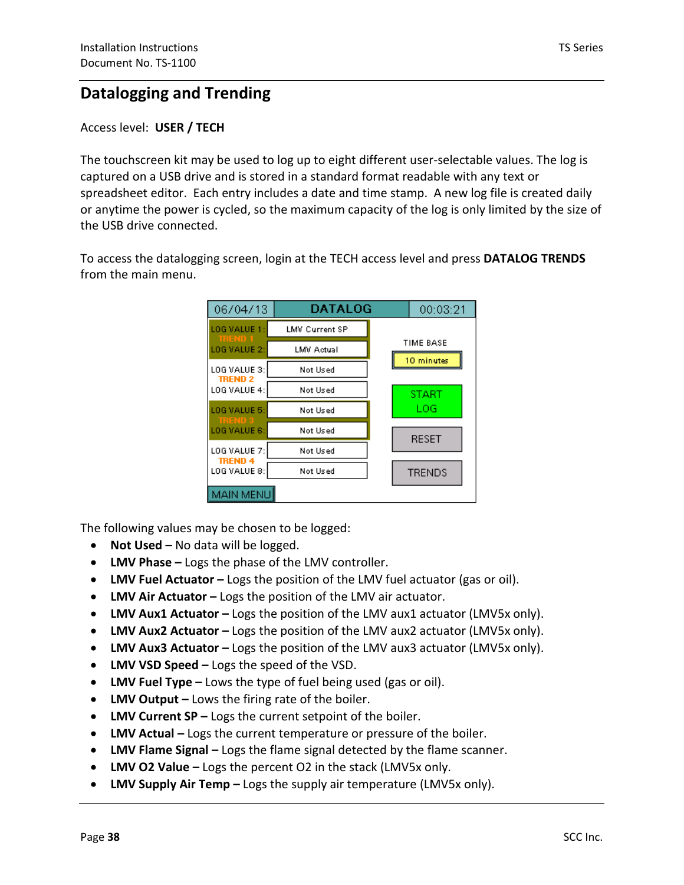### **Datalogging and Trending**

#### Access level: **USER / TECH**

The touchscreen kit may be used to log up to eight different user-selectable values. The log is captured on a USB drive and is stored in a standard format readable with any text or spreadsheet editor. Each entry includes a date and time stamp. A new log file is created daily or anytime the power is cycled, so the maximum capacity of the log is only limited by the size of the USB drive connected.

To access the datalogging screen, login at the TECH access level and press **DATALOG TRENDS** from the main menu.

| 06/04/13                       | DATALOG               | 00:03:21      |
|--------------------------------|-----------------------|---------------|
| LOG VALUE 1:<br>TREND          | <b>LMV Current SP</b> |               |
| LOG VALUE 2:                   | LMV Actual            | TIME BASE     |
| LOG VALUE 3:<br><b>TREND 2</b> | Not Used              | 10 minutes    |
| LOG VALUE 4:                   | Not Used              | <b>START</b>  |
| LOG VALUE 5:                   | Not Used              | LOG           |
| man<br>LOG VALUE 6:            | Not Used              | <b>RESET</b>  |
| LOG VALUE 7:<br><b>TREND 4</b> | Not Used              |               |
| LOG VALUE 8:                   | Not Used              | <b>TRENDS</b> |
| <b>MAIN MENU</b>               |                       |               |

The following values may be chosen to be logged:

- **Not Used** No data will be logged.
- **LMV Phase –** Logs the phase of the LMV controller.
- **LMV Fuel Actuator –** Logs the position of the LMV fuel actuator (gas or oil).
- **LMV Air Actuator –** Logs the position of the LMV air actuator.
- **LMV Aux1 Actuator –** Logs the position of the LMV aux1 actuator (LMV5x only).
- **LMV Aux2 Actuator –** Logs the position of the LMV aux2 actuator (LMV5x only).
- **LMV Aux3 Actuator –** Logs the position of the LMV aux3 actuator (LMV5x only).
- **LMV VSD Speed –** Logs the speed of the VSD.
- **LMV Fuel Type –** Lows the type of fuel being used (gas or oil).
- **LMV Output –** Lows the firing rate of the boiler.
- **LMV Current SP –** Logs the current setpoint of the boiler.
- **LMV Actual –** Logs the current temperature or pressure of the boiler.
- **LMV Flame Signal –** Logs the flame signal detected by the flame scanner.
- **LMV O2 Value –** Logs the percent O2 in the stack (LMV5x only.
- **LMV Supply Air Temp –** Logs the supply air temperature (LMV5x only).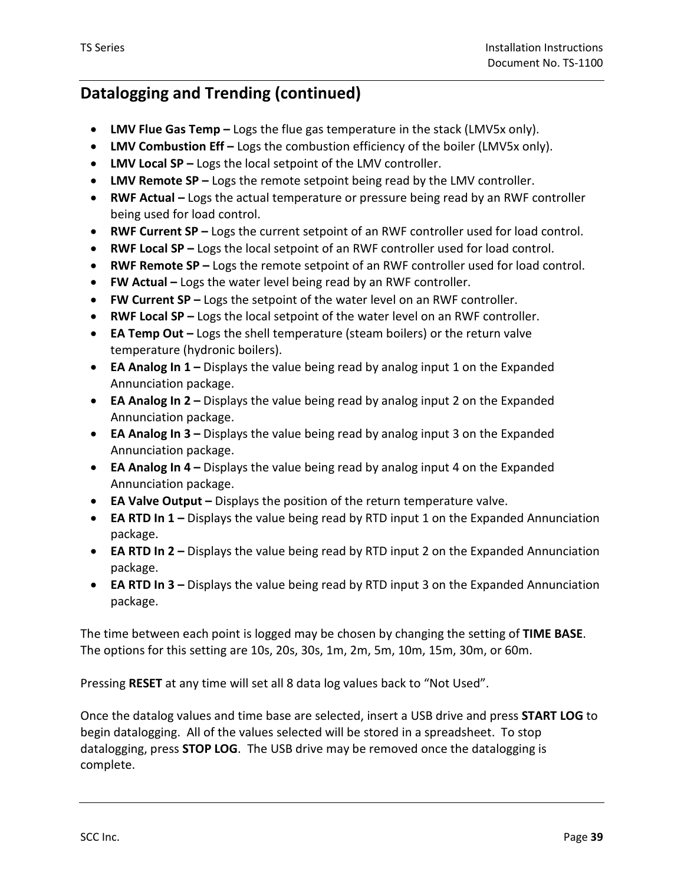- **LMV Flue Gas Temp –** Logs the flue gas temperature in the stack (LMV5x only).
- **LMV Combustion Eff –** Logs the combustion efficiency of the boiler (LMV5x only).
- **LMV Local SP –** Logs the local setpoint of the LMV controller.
- **LMV Remote SP –** Logs the remote setpoint being read by the LMV controller.
- **RWF Actual –** Logs the actual temperature or pressure being read by an RWF controller being used for load control.
- **RWF Current SP –** Logs the current setpoint of an RWF controller used for load control.
- **RWF Local SP –** Logs the local setpoint of an RWF controller used for load control.
- **RWF Remote SP –** Logs the remote setpoint of an RWF controller used for load control.
- **FW Actual –** Logs the water level being read by an RWF controller.
- **FW Current SP –** Logs the setpoint of the water level on an RWF controller.
- **RWF Local SP –** Logs the local setpoint of the water level on an RWF controller.
- **EA Temp Out –** Logs the shell temperature (steam boilers) or the return valve temperature (hydronic boilers).
- **EA Analog In 1 –** Displays the value being read by analog input 1 on the Expanded Annunciation package.
- **EA Analog In 2 –** Displays the value being read by analog input 2 on the Expanded Annunciation package.
- **EA Analog In 3** Displays the value being read by analog input 3 on the Expanded Annunciation package.
- **EA Analog In 4 –** Displays the value being read by analog input 4 on the Expanded Annunciation package.
- **EA Valve Output –** Displays the position of the return temperature valve.
- **EA RTD In 1 –** Displays the value being read by RTD input 1 on the Expanded Annunciation package.
- **EA RTD In 2 –** Displays the value being read by RTD input 2 on the Expanded Annunciation package.
- **EA RTD In 3 –** Displays the value being read by RTD input 3 on the Expanded Annunciation package.

The time between each point is logged may be chosen by changing the setting of **TIME BASE**. The options for this setting are 10s, 20s, 30s, 1m, 2m, 5m, 10m, 15m, 30m, or 60m.

Pressing **RESET** at any time will set all 8 data log values back to "Not Used".

Once the datalog values and time base are selected, insert a USB drive and press **START LOG** to begin datalogging. All of the values selected will be stored in a spreadsheet. To stop datalogging, press **STOP LOG**. The USB drive may be removed once the datalogging is complete.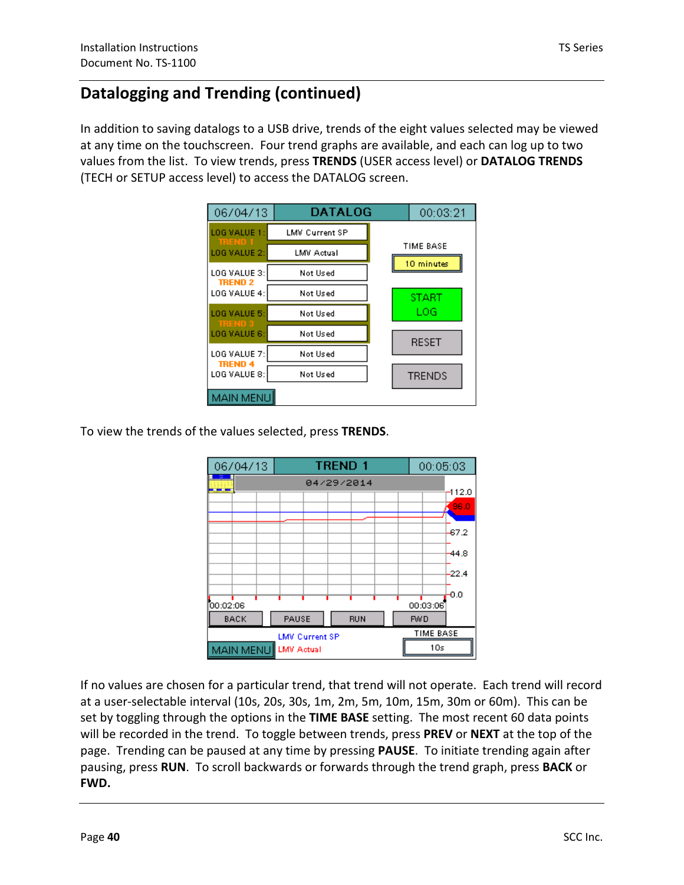In addition to saving datalogs to a USB drive, trends of the eight values selected may be viewed at any time on the touchscreen. Four trend graphs are available, and each can log up to two values from the list. To view trends, press **TRENDS** (USER access level) or **DATALOG TRENDS** (TECH or SETUP access level) to access the DATALOG screen.

| 06/04/13                       | <b>DATALOG</b>        | 00:03:21      |
|--------------------------------|-----------------------|---------------|
| LOG VALUE 1:<br>meni           | <b>LMV Current SP</b> |               |
| LOG VALUE 2:                   | LMV Actual            | TIME BASE     |
| LOG VALUE 3:                   | Not Used              | 10 minutes    |
| <b>TREND 2</b><br>LOG VALUE 4: | Not Used              | <b>START</b>  |
| LOG VALUE 5:                   | Not Used              | LOG           |
| <b>TREND:</b><br>LOG VALUE 6:  | Not Used              | <b>RESET</b>  |
| LOG VALUE 7:                   | Not Used              |               |
| <b>TREND 4</b><br>LOG VALUE 8: | Not Used              | <b>TRENDS</b> |
| <b>MAIN MENU</b>               |                       |               |

To view the trends of the values selected, press **TRENDS**.



If no values are chosen for a particular trend, that trend will not operate. Each trend will record at a user-selectable interval (10s, 20s, 30s, 1m, 2m, 5m, 10m, 15m, 30m or 60m). This can be set by toggling through the options in the **TIME BASE** setting. The most recent 60 data points will be recorded in the trend. To toggle between trends, press **PREV** or **NEXT** at the top of the page. Trending can be paused at any time by pressing **PAUSE**. To initiate trending again after pausing, press **RUN**. To scroll backwards or forwards through the trend graph, press **BACK** or **FWD.**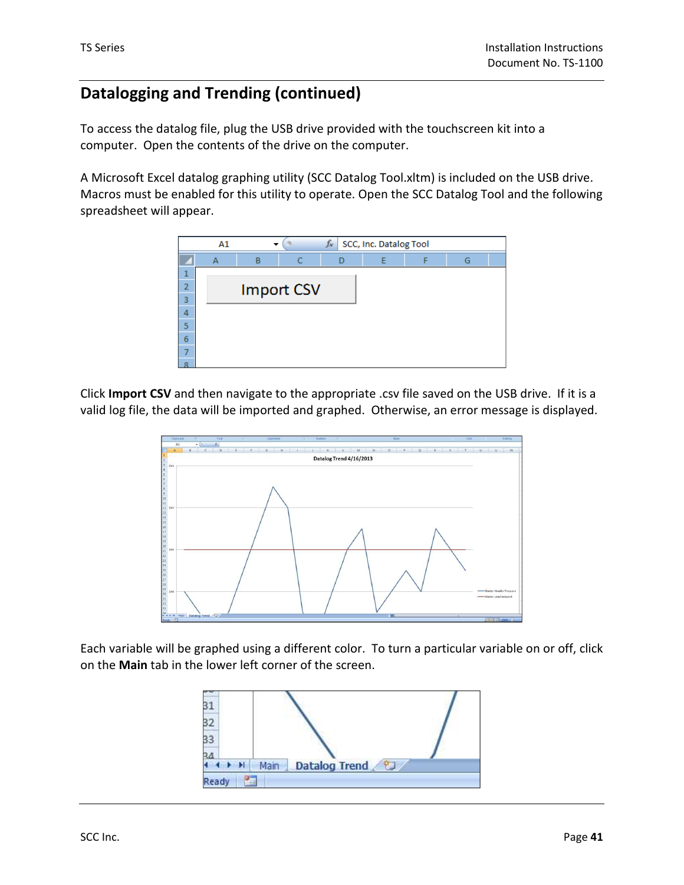To access the datalog file, plug the USB drive provided with the touchscreen kit into a computer. Open the contents of the drive on the computer.

A Microsoft Excel datalog graphing utility (SCC Datalog Tool.xltm) is included on the USB drive. Macros must be enabled for this utility to operate. Open the SCC Datalog Tool and the following spreadsheet will appear.



Click **Import CSV** and then navigate to the appropriate .csv file saved on the USB drive. If it is a valid log file, the data will be imported and graphed. Otherwise, an error message is displayed.



Each variable will be graphed using a different color. To turn a particular variable on or off, click on the **Main** tab in the lower left corner of the screen.

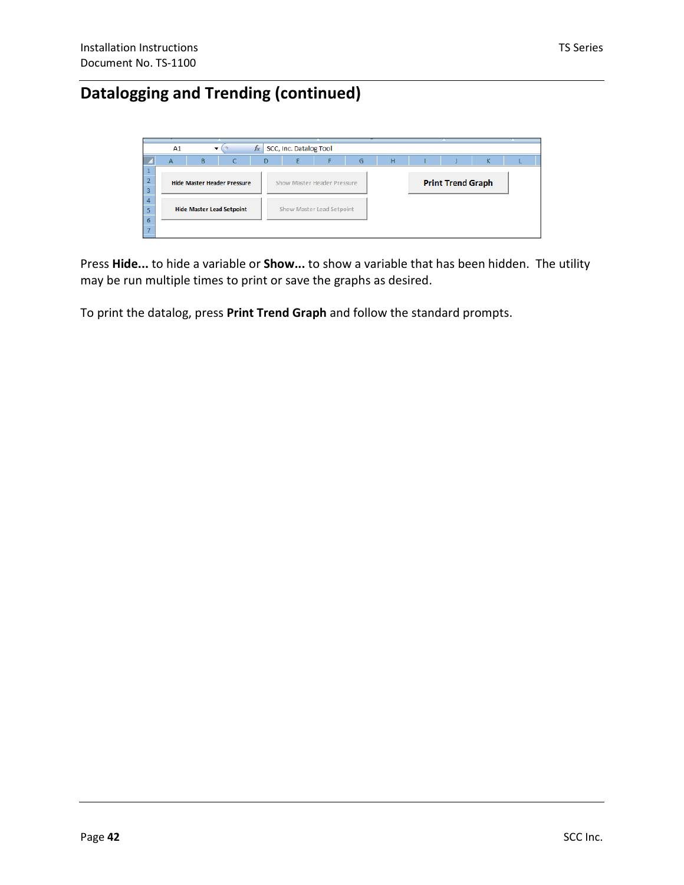|          | A1 | ▼                                  |   | $f_x$ | SCC, Inc. Datalog Tool             |   |   |                          |   |  |
|----------|----|------------------------------------|---|-------|------------------------------------|---|---|--------------------------|---|--|
|          | A  | <sub>B</sub>                       | C | D     |                                    | G | н |                          | κ |  |
|          |    |                                    |   |       |                                    |   |   |                          |   |  |
| ۰        |    | <b>Hide Master Header Pressure</b> |   |       | <b>Show Master Header Pressure</b> |   |   | <b>Print Trend Graph</b> |   |  |
| 3        |    |                                    |   |       |                                    |   |   |                          |   |  |
| $\Delta$ |    |                                    |   |       |                                    |   |   |                          |   |  |
|          |    | <b>Hide Master Lead Setpoint</b>   |   |       | Show Master Lead Setpoint          |   |   |                          |   |  |
| 6        |    |                                    |   |       |                                    |   |   |                          |   |  |
|          |    |                                    |   |       |                                    |   |   |                          |   |  |

Press **Hide...** to hide a variable or **Show...** to show a variable that has been hidden. The utility may be run multiple times to print or save the graphs as desired.

To print the datalog, press **Print Trend Graph** and follow the standard prompts.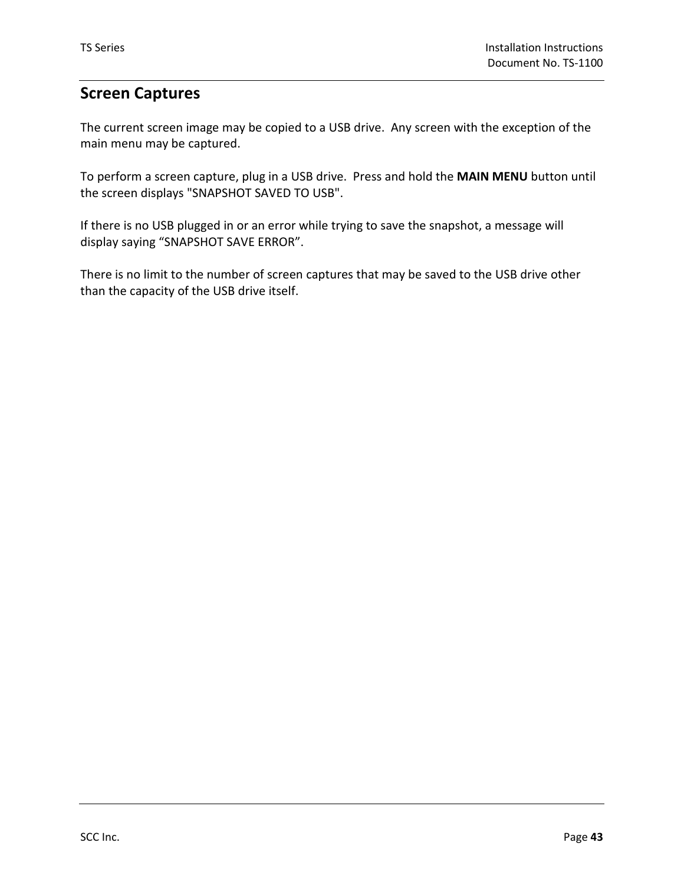#### **Screen Captures**

The current screen image may be copied to a USB drive. Any screen with the exception of the main menu may be captured.

To perform a screen capture, plug in a USB drive. Press and hold the **MAIN MENU** button until the screen displays "SNAPSHOT SAVED TO USB".

If there is no USB plugged in or an error while trying to save the snapshot, a message will display saying "SNAPSHOT SAVE ERROR".

There is no limit to the number of screen captures that may be saved to the USB drive other than the capacity of the USB drive itself.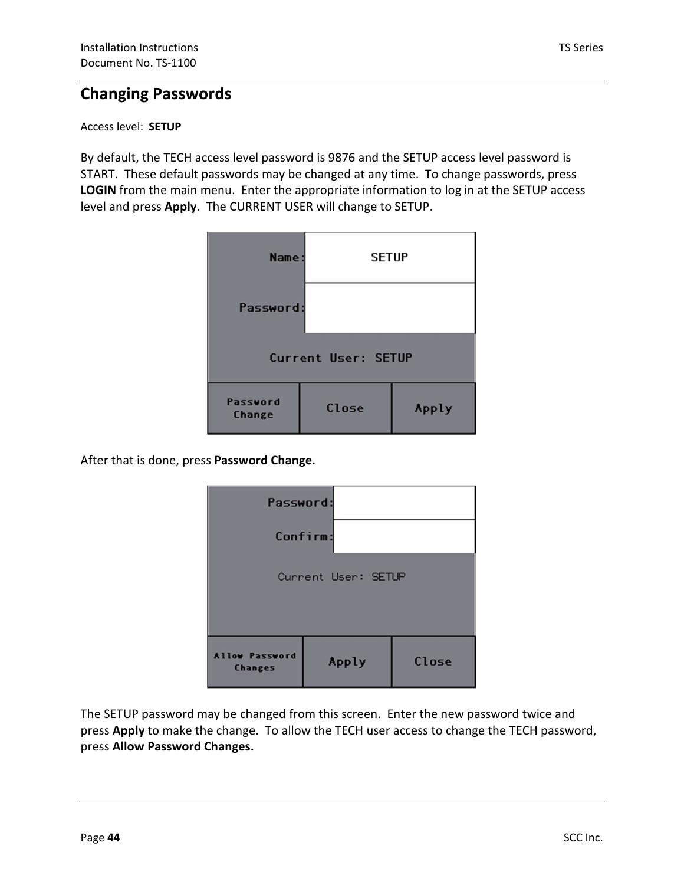#### **Changing Passwords**

#### Access level: **SETUP**

By default, the TECH access level password is 9876 and the SETUP access level password is START. These default passwords may be changed at any time. To change passwords, press **LOGIN** from the main menu. Enter the appropriate information to log in at the SETUP access level and press **Apply**. The CURRENT USER will change to SETUP.

| Name:                      | <b>SETUP</b> |       |  |  |
|----------------------------|--------------|-------|--|--|
| Password:                  |              |       |  |  |
| <b>Current User: SETUP</b> |              |       |  |  |
| Password<br><b>Change</b>  | Close        | Apply |  |  |

After that is done, press **Password Change.**

| Password:                               |       |       |  |  |  |
|-----------------------------------------|-------|-------|--|--|--|
| Confirm:                                |       |       |  |  |  |
| Current User: SETUP                     |       |       |  |  |  |
| <b>Allow Password</b><br><b>Changes</b> | Apply | Close |  |  |  |

The SETUP password may be changed from this screen. Enter the new password twice and press **Apply** to make the change. To allow the TECH user access to change the TECH password, press **Allow Password Changes.**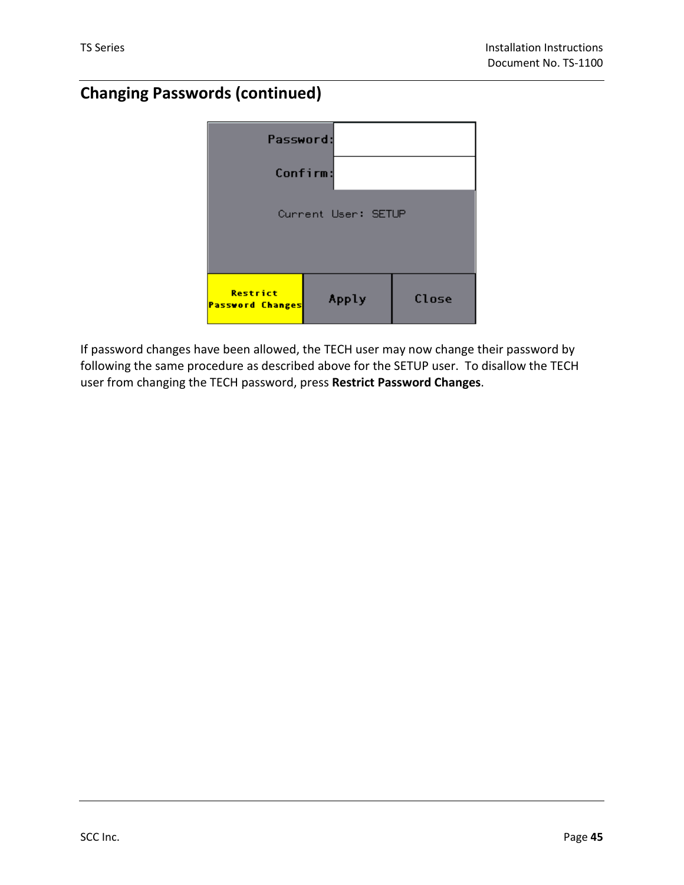## **Changing Passwords (continued)**



If password changes have been allowed, the TECH user may now change their password by following the same procedure as described above for the SETUP user. To disallow the TECH user from changing the TECH password, press **Restrict Password Changes**.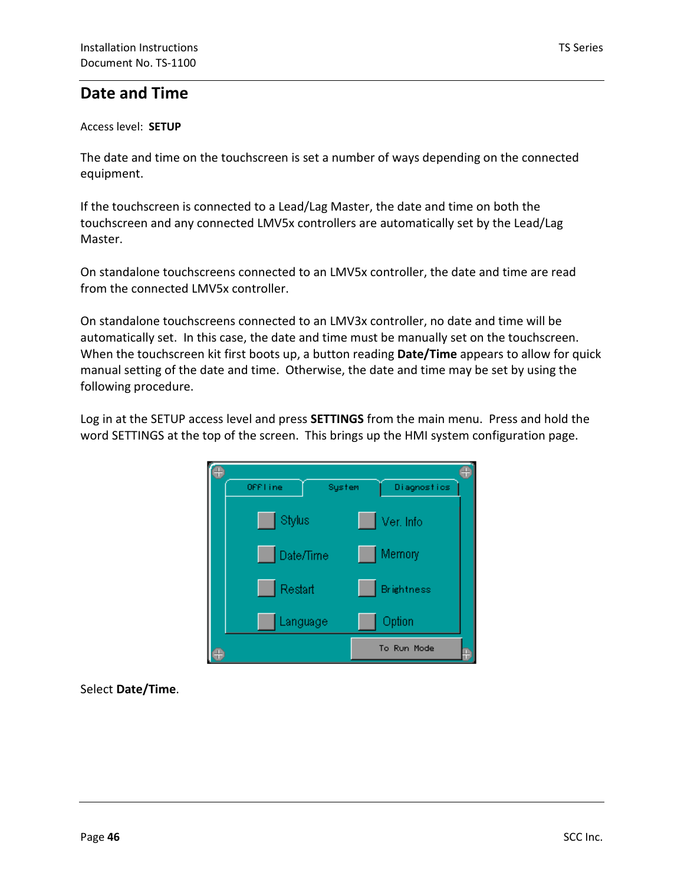#### **Date and Time**

#### Access level: **SETUP**

The date and time on the touchscreen is set a number of ways depending on the connected equipment.

If the touchscreen is connected to a Lead/Lag Master, the date and time on both the touchscreen and any connected LMV5x controllers are automatically set by the Lead/Lag Master.

On standalone touchscreens connected to an LMV5x controller, the date and time are read from the connected LMV5x controller.

On standalone touchscreens connected to an LMV3x controller, no date and time will be automatically set. In this case, the date and time must be manually set on the touchscreen. When the touchscreen kit first boots up, a button reading **Date/Time** appears to allow for quick manual setting of the date and time. Otherwise, the date and time may be set by using the following procedure.

word SETTINGS at the top of the screen. This brings up the HMI system configuration page. Log in at the SETUP access level and press **SETTINGS** from the main menu. Press and hold the



Select **Date/Time**.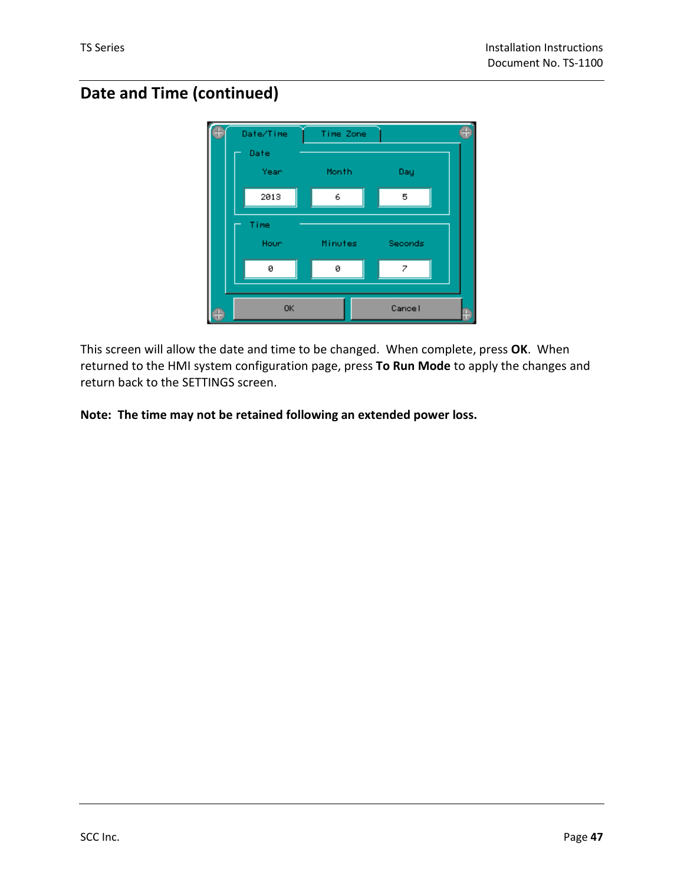## **Date and Time (continued)**



This screen will allow the date and time to be changed. When complete, press **OK**. When returned to the HMI system configuration page, press **To Run Mode** to apply the changes and return back to the SETTINGS screen.

**Note: The time may not be retained following an extended power loss.**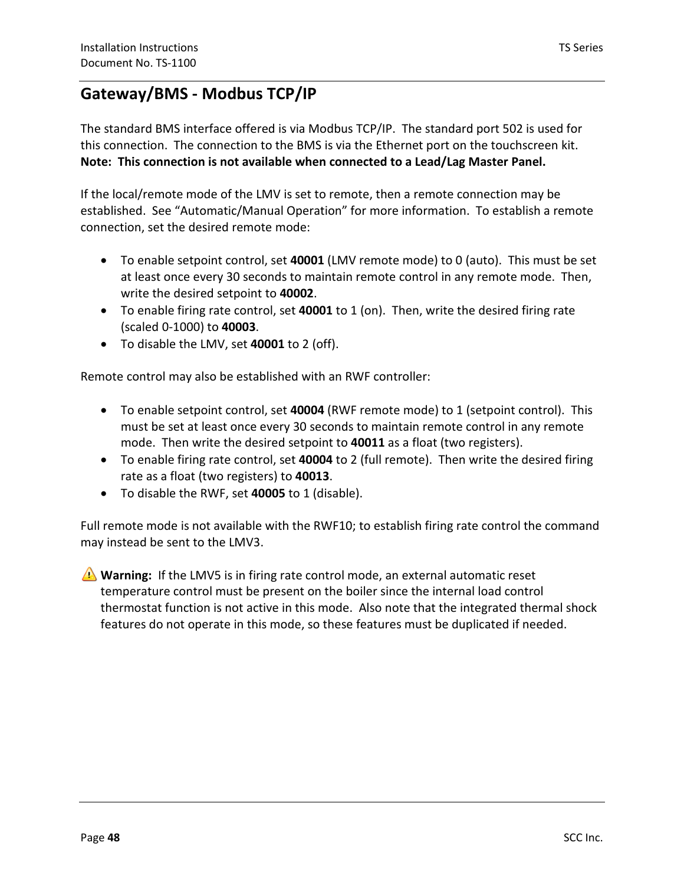### **Gateway/BMS - Modbus TCP/IP**

The standard BMS interface offered is via Modbus TCP/IP. The standard port 502 is used for this connection. The connection to the BMS is via the Ethernet port on the touchscreen kit. **Note: This connection is not available when connected to a Lead/Lag Master Panel.**

If the local/remote mode of the LMV is set to remote, then a remote connection may be established. See "Automatic/Manual Operation" for more information. To establish a remote connection, set the desired remote mode:

- To enable setpoint control, set **40001** (LMV remote mode) to 0 (auto). This must be set at least once every 30 seconds to maintain remote control in any remote mode. Then, write the desired setpoint to **40002**.
- To enable firing rate control, set **40001** to 1 (on). Then, write the desired firing rate (scaled 0-1000) to **40003**.
- To disable the LMV, set **40001** to 2 (off).

Remote control may also be established with an RWF controller:

- mode. Then write the desired setpoint to 40011 as a float (two registers). • To enable setpoint control, set **40004** (RWF remote mode) to 1 (setpoint control). This must be set at least once every 30 seconds to maintain remote control in any remote
- To enable firing rate control, set **40004** to 2 (full remote). Then write the desired firing rate as a float (two registers) to **40013**.
- To disable the RWF, set **40005** to 1 (disable).

Full remote mode is not available with the RWF10; to establish firing rate control the command may instead be sent to the LMV3.

**Warning:** If the LMV5 is in firing rate control mode, an external automatic reset temperature control must be present on the boiler since the internal load control thermostat function is not active in this mode. Also note that the integrated thermal shock features do not operate in this mode, so these features must be duplicated if needed.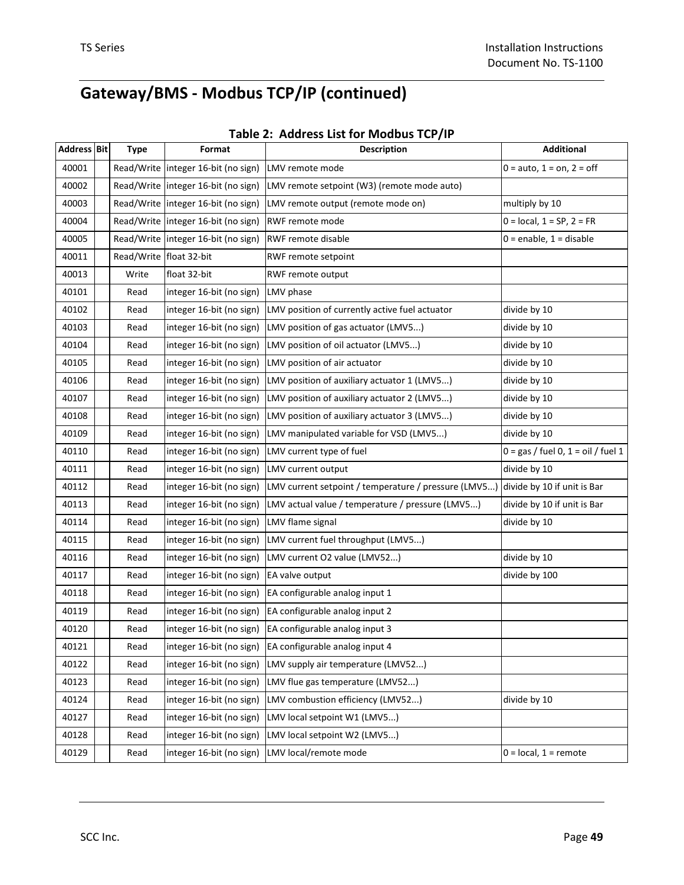|  | Table 2: Address List for Modbus TCP/IP |  |  |  |
|--|-----------------------------------------|--|--|--|
|--|-----------------------------------------|--|--|--|

| <b>Address Bit</b> | <b>Type</b>               | Format                                | <b>Description</b>                                   | <b>Additional</b>                    |
|--------------------|---------------------------|---------------------------------------|------------------------------------------------------|--------------------------------------|
| 40001              |                           | Read/Write   integer 16-bit (no sign) | LMV remote mode                                      | $0 = auto, 1 = on, 2 = off$          |
| 40002              |                           | Read/Write integer 16-bit (no sign)   | LMV remote setpoint (W3) (remote mode auto)          |                                      |
| 40003              |                           | Read/Write   integer 16-bit (no sign) | LMV remote output (remote mode on)                   | multiply by 10                       |
| 40004              |                           | Read/Write integer 16-bit (no sign)   | RWF remote mode                                      | $0 = local, 1 = SP, 2 = FR$          |
| 40005              |                           | Read/Write   integer 16-bit (no sign) | <b>RWF remote disable</b>                            | $0 =$ enable, $1 =$ disable          |
| 40011              | Read/Write   float 32-bit |                                       | RWF remote setpoint                                  |                                      |
| 40013              | Write                     | float 32-bit                          | RWF remote output                                    |                                      |
| 40101              | Read                      | integer 16-bit (no sign)              | LMV phase                                            |                                      |
| 40102              | Read                      | integer 16-bit (no sign)              | LMV position of currently active fuel actuator       | divide by 10                         |
| 40103              | Read                      | integer 16-bit (no sign)              | LMV position of gas actuator (LMV5)                  | divide by 10                         |
| 40104              | Read                      | integer 16-bit (no sign)              | LMV position of oil actuator (LMV5)                  | divide by 10                         |
| 40105              | Read                      | integer 16-bit (no sign)              | LMV position of air actuator                         | divide by 10                         |
| 40106              | Read                      | integer 16-bit (no sign)              | LMV position of auxiliary actuator 1 (LMV5)          | divide by 10                         |
| 40107              | Read                      | integer 16-bit (no sign)              | LMV position of auxiliary actuator 2 (LMV5)          | divide by 10                         |
| 40108              | Read                      | integer 16-bit (no sign)              | LMV position of auxiliary actuator 3 (LMV5)          | divide by 10                         |
| 40109              | Read                      | integer 16-bit (no sign)              | LMV manipulated variable for VSD (LMV5)              | divide by 10                         |
| 40110              | Read                      | integer 16-bit (no sign)              | LMV current type of fuel                             | $0 = gas / fuel 0, 1 = oil / fuel 1$ |
| 40111              | Read                      | integer 16-bit (no sign)              | LMV current output                                   | divide by 10                         |
| 40112              | Read                      | integer 16-bit (no sign)              | LMV current setpoint / temperature / pressure (LMV5) | divide by 10 if unit is Bar          |
| 40113              | Read                      | integer 16-bit (no sign)              | LMV actual value / temperature / pressure (LMV5)     | divide by 10 if unit is Bar          |
| 40114              | Read                      | integer 16-bit (no sign)              | LMV flame signal                                     | divide by 10                         |
| 40115              | Read                      | integer 16-bit (no sign)              | LMV current fuel throughput (LMV5)                   |                                      |
| 40116              | Read                      | integer 16-bit (no sign)              | LMV current O2 value (LMV52)                         | divide by 10                         |
| 40117              | Read                      | integer 16-bit (no sign)              | EA valve output                                      | divide by 100                        |
| 40118              | Read                      | integer 16-bit (no sign)              | EA configurable analog input 1                       |                                      |
| 40119              | Read                      | integer 16-bit (no sign)              | EA configurable analog input 2                       |                                      |
| 40120              | Read                      | integer 16-bit (no sign)              | EA configurable analog input 3                       |                                      |
| 40121              | Read                      | integer 16-bit (no sign)              | EA configurable analog input 4                       |                                      |
| 40122              | Read                      | integer 16-bit (no sign)              | LMV supply air temperature (LMV52)                   |                                      |
| 40123              | Read                      | integer 16-bit (no sign)              | LMV flue gas temperature (LMV52)                     |                                      |
| 40124              | Read                      | integer 16-bit (no sign)              | LMV combustion efficiency (LMV52)                    | divide by 10                         |
| 40127              | Read                      | integer 16-bit (no sign)              | LMV local setpoint W1 (LMV5)                         |                                      |
| 40128              | Read                      | integer 16-bit (no sign)              | LMV local setpoint W2 (LMV5)                         |                                      |
| 40129              | Read                      | integer 16-bit (no sign)              | LMV local/remote mode                                | $0 = local, 1 = remote$              |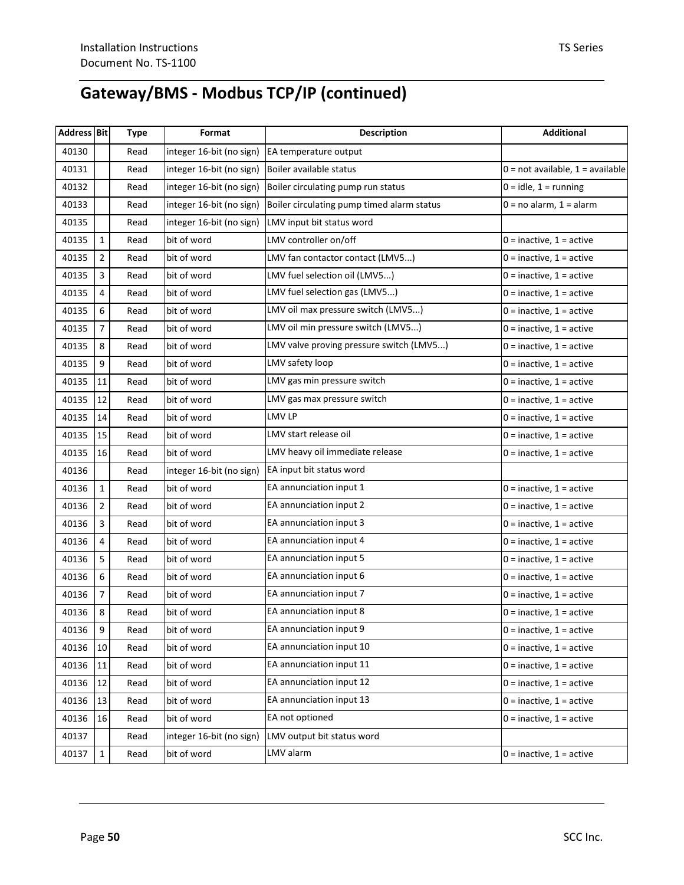| Address Bit |                  | <b>Type</b> | Format                   | <b>Description</b>                         | <b>Additional</b>                  |
|-------------|------------------|-------------|--------------------------|--------------------------------------------|------------------------------------|
| 40130       |                  | Read        | integer 16-bit (no sign) | EA temperature output                      |                                    |
| 40131       |                  | Read        | integer 16-bit (no sign) | Boiler available status                    | $0 = not available, 1 = available$ |
| 40132       |                  | Read        | integer 16-bit (no sign) | Boiler circulating pump run status         | $0 = id$ e, 1 = running            |
| 40133       |                  | Read        | integer 16-bit (no sign) | Boiler circulating pump timed alarm status | $0 = no$ alarm, $1 =$ alarm        |
| 40135       |                  | Read        | integer 16-bit (no sign) | LMV input bit status word                  |                                    |
| 40135       | $\mathbf{1}$     | Read        | bit of word              | LMV controller on/off                      | $0 =$ inactive, $1 =$ active       |
| 40135       | $\overline{2}$   | Read        | bit of word              | LMV fan contactor contact (LMV5)           | $0 =$ inactive, $1 =$ active       |
| 40135       | 3                | Read        | bit of word              | LMV fuel selection oil (LMV5)              | $0 =$ inactive, $1 =$ active       |
| 40135       | 4                | Read        | bit of word              | LMV fuel selection gas (LMV5)              | $0 =$ inactive, $1 =$ active       |
| 40135       | 6                | Read        | bit of word              | LMV oil max pressure switch (LMV5)         | $0 =$ inactive, $1 =$ active       |
| 40135       | $\overline{7}$   | Read        | bit of word              | LMV oil min pressure switch (LMV5)         | $0 =$ inactive, $1 =$ active       |
| 40135       | 8                | Read        | bit of word              | LMV valve proving pressure switch (LMV5)   | $0 =$ inactive, $1 =$ active       |
| 40135       | 9                | Read        | bit of word              | LMV safety loop                            | $0 =$ inactive, $1 =$ active       |
| 40135       | 11               | Read        | bit of word              | LMV gas min pressure switch                | $0 =$ inactive, $1 =$ active       |
| 40135       | 12               | Read        | bit of word              | LMV gas max pressure switch                | $0 =$ inactive, $1 =$ active       |
| 40135       | 14               | Read        | bit of word              | LMV LP                                     | $0 =$ inactive, $1 =$ active       |
| 40135       | 15               | Read        | bit of word              | LMV start release oil                      | $0 =$ inactive, $1 =$ active       |
| 40135       | 16               | Read        | bit of word              | LMV heavy oil immediate release            | $0 =$ inactive, $1 =$ active       |
| 40136       |                  | Read        | integer 16-bit (no sign) | EA input bit status word                   |                                    |
| 40136       | $1\,$            | Read        | bit of word              | EA annunciation input 1                    | $0 =$ inactive, $1 =$ active       |
| 40136       | $\overline{2}$   | Read        | bit of word              | EA annunciation input 2                    | $0 =$ inactive, $1 =$ active       |
| 40136       | 3                | Read        | bit of word              | EA annunciation input 3                    | $0 =$ inactive, $1 =$ active       |
| 40136       | 4                | Read        | bit of word              | EA annunciation input 4                    | $0 =$ inactive, $1 =$ active       |
| 40136       | 5                | Read        | bit of word              | EA annunciation input 5                    | $0 =$ inactive, $1 =$ active       |
| 40136       | 6                | Read        | bit of word              | EA annunciation input 6                    | $0 =$ inactive, $1 =$ active       |
| 40136       | $\overline{7}$   | Read        | bit of word              | EA annunciation input 7                    | $0 =$ inactive, $1 =$ active       |
| 40136       | 8                | Read        | bit of word              | EA annunciation input 8                    | $0 =$ inactive, $1 =$ active       |
| 40136       | $\boldsymbol{9}$ | Read        | bit of word              | EA annunciation input 9                    | $0 =$ inactive, $1 =$ active       |
| 40136       | 10               | Read        | bit of word              | EA annunciation input 10                   | $0 =$ inactive, $1 =$ active       |
| 40136       | 11               | Read        | bit of word              | EA annunciation input 11                   | $0 =$ inactive, $1 =$ active       |
| 40136       | 12               | Read        | bit of word              | EA annunciation input 12                   | $0 =$ inactive, $1 =$ active       |
| 40136       | 13               | Read        | bit of word              | EA annunciation input 13                   | $0 =$ inactive, $1 =$ active       |
| 40136       | 16               | Read        | bit of word              | EA not optioned                            | $0 =$ inactive, $1 =$ active       |
| 40137       |                  | Read        | integer 16-bit (no sign) | LMV output bit status word                 |                                    |
| 40137       | $1\,$            | Read        | bit of word              | LMV alarm                                  | $0 =$ inactive, $1 =$ active       |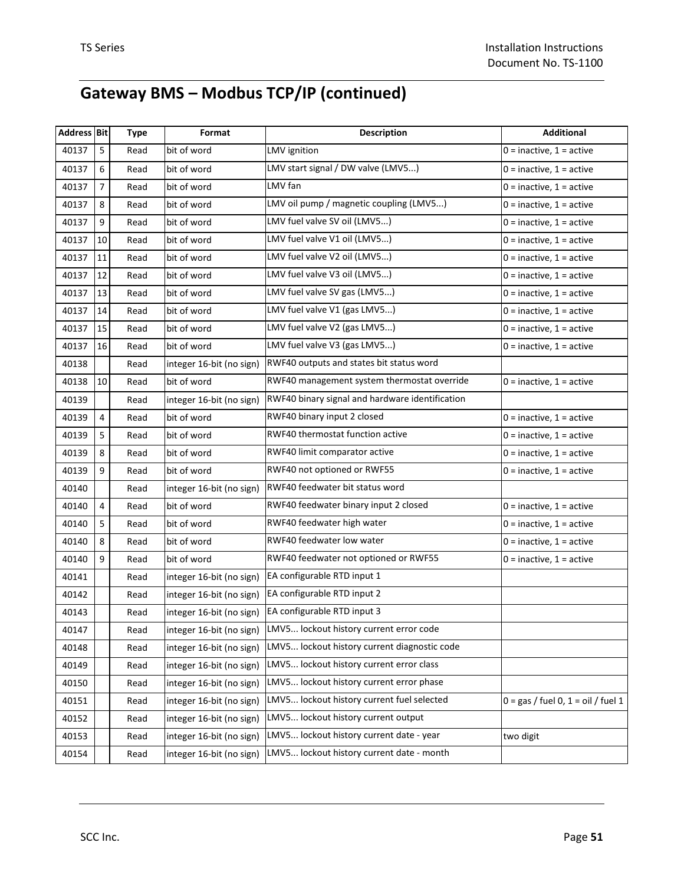| <b>Address Bit</b> |                | <b>Type</b> | Format                   | <b>Description</b>                              | <b>Additional</b>                    |
|--------------------|----------------|-------------|--------------------------|-------------------------------------------------|--------------------------------------|
| 40137              | 5              | Read        | bit of word              | LMV ignition                                    | $0 =$ inactive, $1 =$ active         |
| 40137              | 6              | Read        | bit of word              | LMV start signal / DW valve (LMV5)              | $0 =$ inactive, $1 =$ active         |
| 40137              | 7              | Read        | bit of word              | LMV fan                                         | $0 =$ inactive, $1 =$ active         |
| 40137              | 8              | Read        | bit of word              | LMV oil pump / magnetic coupling (LMV5)         | $0 =$ inactive, $1 =$ active         |
| 40137              | 9              | Read        | bit of word              | LMV fuel valve SV oil (LMV5)                    | $0 =$ inactive, $1 =$ active         |
| 40137              | 10             | Read        | bit of word              | LMV fuel valve V1 oil (LMV5)                    | $0 =$ inactive, $1 =$ active         |
| 40137              | 11             | Read        | bit of word              | LMV fuel valve V2 oil (LMV5)                    | $0 =$ inactive, $1 =$ active         |
| 40137              | 12             | Read        | bit of word              | LMV fuel valve V3 oil (LMV5)                    | $0 =$ inactive, $1 =$ active         |
| 40137              | 13             | Read        | bit of word              | LMV fuel valve SV gas (LMV5)                    | $0 =$ inactive, $1 =$ active         |
| 40137              | 14             | Read        | bit of word              | LMV fuel valve V1 (gas LMV5)                    | $0 =$ inactive, $1 =$ active         |
| 40137              | 15             | Read        | bit of word              | LMV fuel valve V2 (gas LMV5)                    | $0 =$ inactive, $1 =$ active         |
| 40137              | 16             | Read        | bit of word              | LMV fuel valve V3 (gas LMV5)                    | $0 =$ inactive, $1 =$ active         |
| 40138              |                | Read        | integer 16-bit (no sign) | RWF40 outputs and states bit status word        |                                      |
| 40138              | 10             | Read        | bit of word              | RWF40 management system thermostat override     | $0 =$ inactive, $1 =$ active         |
| 40139              |                | Read        | integer 16-bit (no sign) | RWF40 binary signal and hardware identification |                                      |
| 40139              | 4              | Read        | bit of word              | RWF40 binary input 2 closed                     | $0 =$ inactive, $1 =$ active         |
| 40139              | 5              | Read        | bit of word              | RWF40 thermostat function active                | $0 =$ inactive, $1 =$ active         |
| 40139              | 8              | Read        | bit of word              | RWF40 limit comparator active                   | $0 =$ inactive, $1 =$ active         |
| 40139              | 9              | Read        | bit of word              | RWF40 not optioned or RWF55                     | $0 =$ inactive, $1 =$ active         |
| 40140              |                | Read        | integer 16-bit (no sign) | RWF40 feedwater bit status word                 |                                      |
| 40140              | $\overline{4}$ | Read        | bit of word              | RWF40 feedwater binary input 2 closed           | $0 =$ inactive, $1 =$ active         |
| 40140              | 5              | Read        | bit of word              | RWF40 feedwater high water                      | $0 =$ inactive, $1 =$ active         |
| 40140              | 8              | Read        | bit of word              | RWF40 feedwater low water                       | $0 =$ inactive, $1 =$ active         |
| 40140              | 9              | Read        | bit of word              | RWF40 feedwater not optioned or RWF55           | $0 =$ inactive, $1 =$ active         |
| 40141              |                | Read        | integer 16-bit (no sign) | EA configurable RTD input 1                     |                                      |
| 40142              |                | Read        | integer 16-bit (no sign) | EA configurable RTD input 2                     |                                      |
| 40143              |                | Read        | integer 16-bit (no sign) | EA configurable RTD input 3                     |                                      |
| 40147              |                | Read        | integer 16-bit (no sign) | LMV5 lockout history current error code         |                                      |
| 40148              |                | Read        | integer 16-bit (no sign) | LMV5 lockout history current diagnostic code    |                                      |
| 40149              |                | Read        | integer 16-bit (no sign) | LMV5 lockout history current error class        |                                      |
| 40150              |                | Read        | integer 16-bit (no sign) | LMV5 lockout history current error phase        |                                      |
| 40151              |                | Read        | integer 16-bit (no sign) | LMV5 lockout history current fuel selected      | $0 = gas / fuel 0, 1 = oil / fuel 1$ |
| 40152              |                | Read        | integer 16-bit (no sign) | LMV5 lockout history current output             |                                      |
| 40153              |                | Read        | integer 16-bit (no sign) | LMV5 lockout history current date - year        | two digit                            |
| 40154              |                | Read        | integer 16-bit (no sign) | LMV5 lockout history current date - month       |                                      |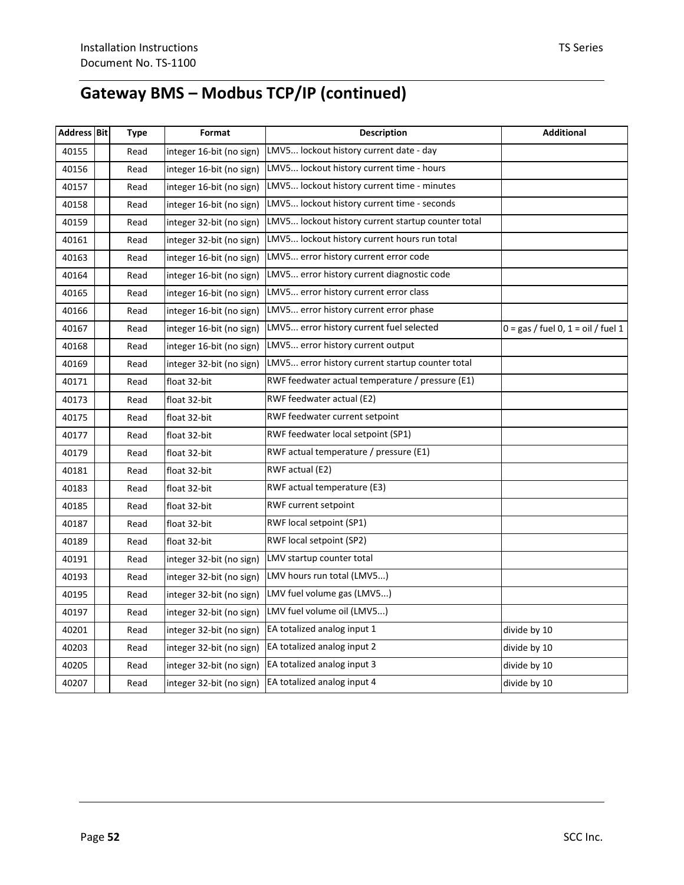| <b>Address Bit</b> | Type | Format                   | <b>Description</b>                                 | Additional                           |
|--------------------|------|--------------------------|----------------------------------------------------|--------------------------------------|
| 40155              | Read | integer 16-bit (no sign) | LMV5 lockout history current date - day            |                                      |
| 40156              | Read | integer 16-bit (no sign) | LMV5 lockout history current time - hours          |                                      |
| 40157              | Read | integer 16-bit (no sign) | LMV5 lockout history current time - minutes        |                                      |
| 40158              | Read | integer 16-bit (no sign) | LMV5 lockout history current time - seconds        |                                      |
| 40159              | Read | integer 32-bit (no sign) | LMV5 lockout history current startup counter total |                                      |
| 40161              | Read | integer 32-bit (no sign) | LMV5 lockout history current hours run total       |                                      |
| 40163              | Read | integer 16-bit (no sign) | LMV5 error history current error code              |                                      |
| 40164              | Read | integer 16-bit (no sign) | LMV5 error history current diagnostic code         |                                      |
| 40165              | Read | integer 16-bit (no sign) | LMV5 error history current error class             |                                      |
| 40166              | Read | integer 16-bit (no sign) | LMV5 error history current error phase             |                                      |
| 40167              | Read | integer 16-bit (no sign) | LMV5 error history current fuel selected           | $0 = gas /$ fuel 0, 1 = oil / fuel 1 |
| 40168              | Read | integer 16-bit (no sign) | LMV5 error history current output                  |                                      |
| 40169              | Read | integer 32-bit (no sign) | LMV5 error history current startup counter total   |                                      |
| 40171              | Read | float 32-bit             | RWF feedwater actual temperature / pressure (E1)   |                                      |
| 40173              | Read | float 32-bit             | RWF feedwater actual (E2)                          |                                      |
| 40175              | Read | float 32-bit             | RWF feedwater current setpoint                     |                                      |
| 40177              | Read | float 32-bit             | RWF feedwater local setpoint (SP1)                 |                                      |
| 40179              | Read | float 32-bit             | RWF actual temperature / pressure (E1)             |                                      |
| 40181              | Read | float 32-bit             | RWF actual (E2)                                    |                                      |
| 40183              | Read | float 32-bit             | RWF actual temperature (E3)                        |                                      |
| 40185              | Read | float 32-bit             | RWF current setpoint                               |                                      |
| 40187              | Read | float 32-bit             | RWF local setpoint (SP1)                           |                                      |
| 40189              | Read | float 32-bit             | RWF local setpoint (SP2)                           |                                      |
| 40191              | Read | integer 32-bit (no sign) | LMV startup counter total                          |                                      |
| 40193              | Read | integer 32-bit (no sign) | LMV hours run total (LMV5)                         |                                      |
| 40195              | Read | integer 32-bit (no sign) | LMV fuel volume gas (LMV5)                         |                                      |
| 40197              | Read | integer 32-bit (no sign) | LMV fuel volume oil (LMV5)                         |                                      |
| 40201              | Read | integer 32-bit (no sign) | EA totalized analog input 1                        | divide by 10                         |
| 40203              | Read | integer 32-bit (no sign) | EA totalized analog input 2                        | divide by 10                         |
| 40205              | Read | integer 32-bit (no sign) | EA totalized analog input 3                        | divide by 10                         |
| 40207              | Read | integer 32-bit (no sign) | EA totalized analog input 4                        | divide by 10                         |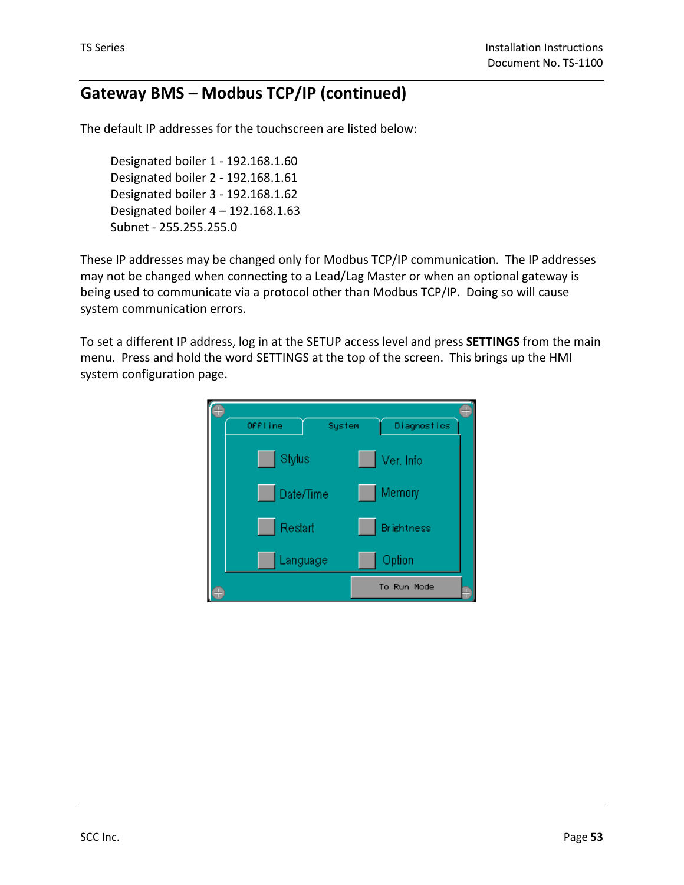The default IP addresses for the touchscreen are listed below:

Designated boiler 1 - 192.168.1.60 Designated boiler 2 - 192.168.1.61 Designated boiler 3 - 192.168.1.62 Designated boiler 4 – 192.168.1.63 Subnet - 255.255.255.0

These IP addresses may be changed only for Modbus TCP/IP communication. The IP addresses may not be changed when connecting to a Lead/Lag Master or when an optional gateway is being used to communicate via a protocol other than Modbus TCP/IP. Doing so will cause system communication errors.

To set a different IP address, log in at the SETUP access level and press **SETTINGS** from the main menu. Press and hold the word SETTINGS at the top of the screen. This brings up the HMI system configuration page.

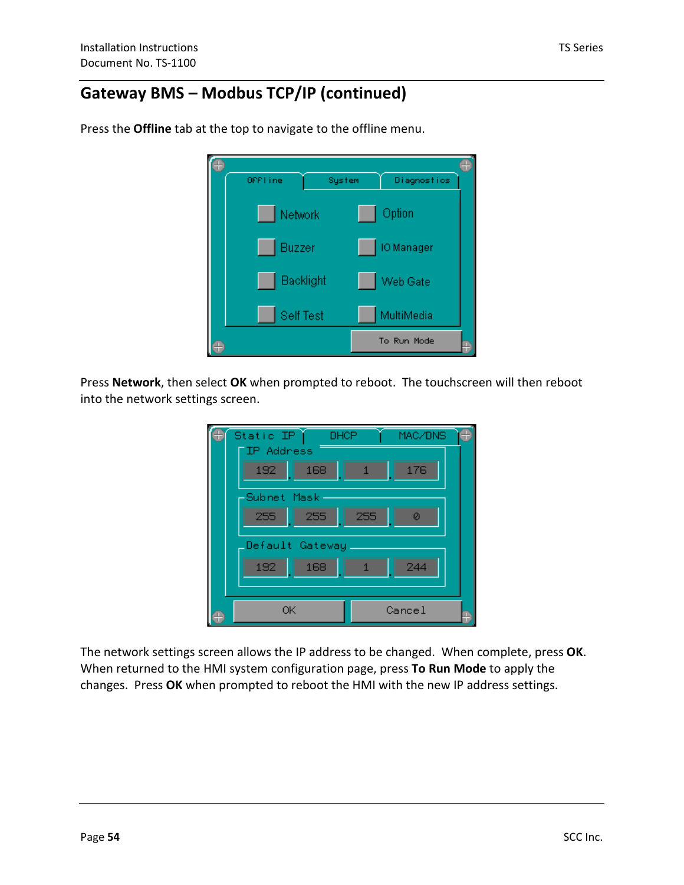| OFF1 ine |           | System | Diagnostics |  |
|----------|-----------|--------|-------------|--|
|          | Network   |        | Option      |  |
|          | Buzzer    |        | IO Manager  |  |
|          | Backlight |        | Web Gate    |  |
|          | Self Test |        | MultiMedia  |  |
|          |           |        | To Run Mode |  |

Press the **Offline** tab at the top to navigate to the offline menu.

Press **Network**, then select **OK** when prompted to reboot. The touchscreen will then reboot into the network settings screen.

| Static IP<br>DHCP | MAC/DNS  |
|-------------------|----------|
| <b>IP</b> Address |          |
| 192<br>168        | 176<br>1 |
| -Subnet Mask      |          |
| 255<br>255        | 255<br>ø |
|                   |          |
| Default Gateway_  |          |
| 168<br>192        | 244      |
|                   |          |
| ОK                | Cancel   |
|                   |          |

The network settings screen allows the IP address to be changed. When complete, press **OK**. When returned to the HMI system configuration page, press **To Run Mode** to apply the changes. Press **OK** when prompted to reboot the HMI with the new IP address settings.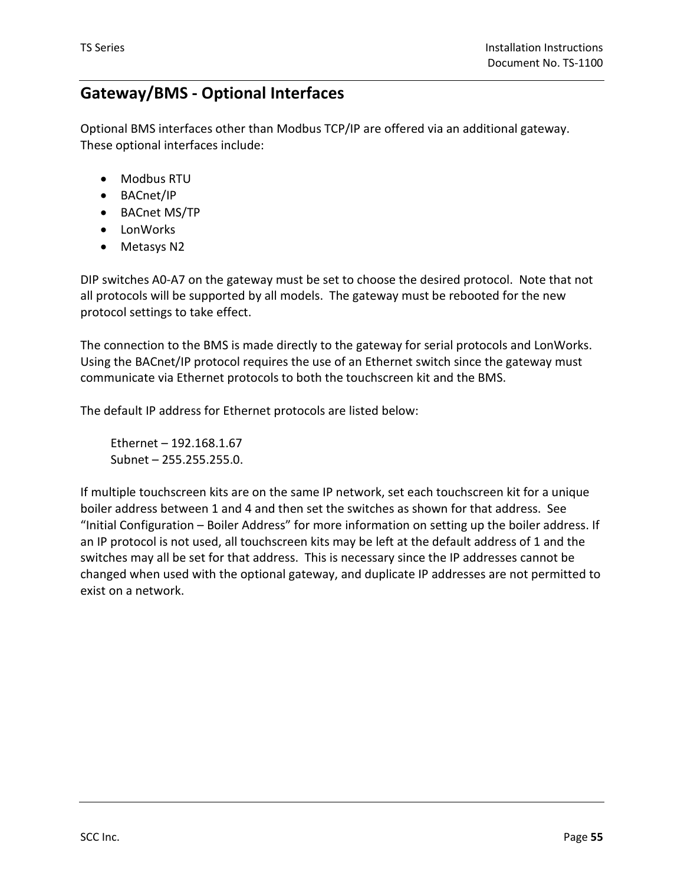### **Gateway/BMS - Optional Interfaces**

Optional BMS interfaces other than Modbus TCP/IP are offered via an additional gateway. These optional interfaces include:

- Modbus RTU
- BACnet/IP
- BACnet MS/TP
- LonWorks
- Metasys N2

DIP switches A0-A7 on the gateway must be set to choose the desired protocol. Note that not all protocols will be supported by all models. The gateway must be rebooted for the new protocol settings to take effect.

The connection to the BMS is made directly to the gateway for serial protocols and LonWorks. Using the BACnet/IP protocol requires the use of an Ethernet switch since the gateway must communicate via Ethernet protocols to both the touchscreen kit and the BMS.

The default IP address for Ethernet protocols are listed below:

Ethernet – 192.168.1.67 Subnet – 255.255.255.0.

If multiple touchscreen kits are on the same IP network, set each touchscreen kit for a unique boiler address between 1 and 4 and then set the switches as shown for that address. See "Initial Configuration – Boiler Address" for more information on setting up the boiler address. If an IP protocol is not used, all touchscreen kits may be left at the default address of 1 and the switches may all be set for that address. This is necessary since the IP addresses cannot be changed when used with the optional gateway, and duplicate IP addresses are not permitted to exist on a network.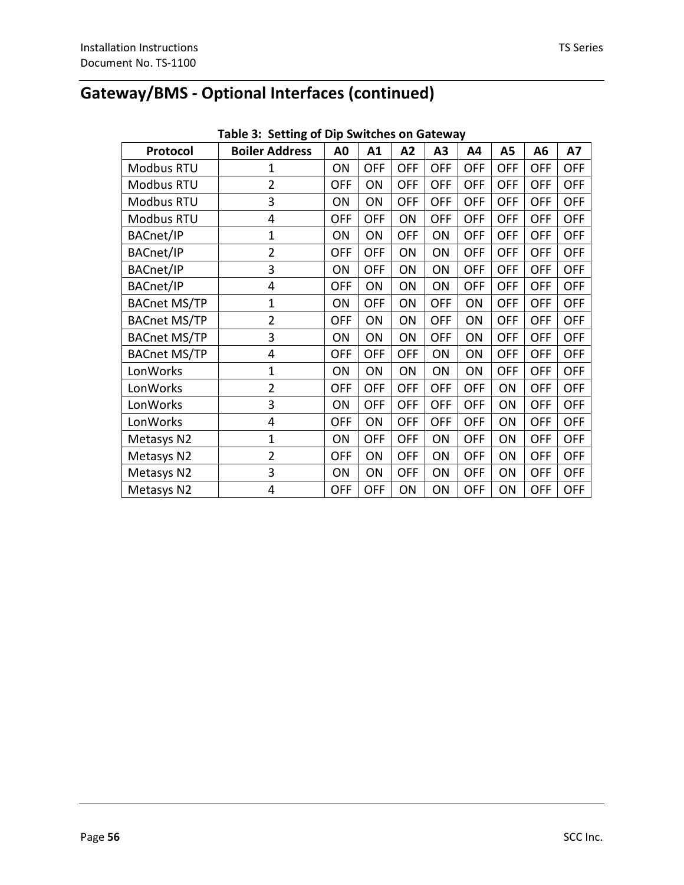| Table 3: Setting of Dip Switches on Gateway |                       |                |            |            |            |            |            |                |            |
|---------------------------------------------|-----------------------|----------------|------------|------------|------------|------------|------------|----------------|------------|
| Protocol                                    | <b>Boiler Address</b> | A <sub>0</sub> | A1         | A2         | A3         | A4         | A5         | A <sub>6</sub> | <b>A7</b>  |
| Modbus RTU                                  | 1                     | ON             | OFF        | OFF        | <b>OFF</b> | <b>OFF</b> | <b>OFF</b> | <b>OFF</b>     | <b>OFF</b> |
| Modbus RTU                                  | $\overline{2}$        | <b>OFF</b>     | ON         | OFF        | <b>OFF</b> | OFF        | OFF        | <b>OFF</b>     | OFF        |
| Modbus RTU                                  | 3                     | ON             | ON         | <b>OFF</b> | <b>OFF</b> | <b>OFF</b> | <b>OFF</b> | OFF            | <b>OFF</b> |
| Modbus RTU                                  | 4                     | <b>OFF</b>     | OFF        | ON         | <b>OFF</b> | <b>OFF</b> | <b>OFF</b> | <b>OFF</b>     | OFF        |
| BACnet/IP                                   | $\mathbf{1}$          | ON             | ON         | <b>OFF</b> | ON         | OFF        | OFF        | OFF            | <b>OFF</b> |
| BACnet/IP                                   | $\overline{2}$        | <b>OFF</b>     | OFF        | ON         | ON         | <b>OFF</b> | <b>OFF</b> | <b>OFF</b>     | OFF        |
| BACnet/IP                                   | 3                     | ON             | <b>OFF</b> | ON         | ON         | <b>OFF</b> | OFF        | <b>OFF</b>     | OFF        |
| BACnet/IP                                   | 4                     | <b>OFF</b>     | ON         | ON         | ON         | <b>OFF</b> | <b>OFF</b> | <b>OFF</b>     | <b>OFF</b> |
| <b>BACnet MS/TP</b>                         | $\mathbf{1}$          | ON             | <b>OFF</b> | ON         | <b>OFF</b> | ON         | OFF        | <b>OFF</b>     | OFF        |
| <b>BACnet MS/TP</b>                         | $\overline{2}$        | <b>OFF</b>     | ON         | ON         | <b>OFF</b> | ON         | <b>OFF</b> | <b>OFF</b>     | OFF        |
| <b>BACnet MS/TP</b>                         | 3                     | ON             | ON         | ON         | <b>OFF</b> | ON         | <b>OFF</b> | OFF            | <b>OFF</b> |
| <b>BACnet MS/TP</b>                         | 4                     | <b>OFF</b>     | OFF        | <b>OFF</b> | ON         | ON         | OFF        | OFF            | OFF        |
| LonWorks                                    | $\mathbf{1}$          | ON             | ON         | ON         | ON         | ON         | OFF        | <b>OFF</b>     | OFF        |
| LonWorks                                    | $\overline{2}$        | <b>OFF</b>     | OFF        | OFF        | <b>OFF</b> | <b>OFF</b> | ON         | OFF            | <b>OFF</b> |
| LonWorks                                    | 3                     | ON             | OFF        | OFF        | <b>OFF</b> | OFF        | ON         | <b>OFF</b>     | OFF        |
| LonWorks                                    | 4                     | <b>OFF</b>     | ON         | <b>OFF</b> | OFF        | OFF        | ON         | <b>OFF</b>     | <b>OFF</b> |
| Metasys N2                                  | $\mathbf{1}$          | ON             | OFF        | <b>OFF</b> | ON         | <b>OFF</b> | ON         | <b>OFF</b>     | OFF        |
| Metasys N2                                  | $\overline{2}$        | <b>OFF</b>     | ON         | <b>OFF</b> | ON         | OFF        | ON         | <b>OFF</b>     | OFF        |
| Metasys N2                                  | 3                     | ON             | ON         | <b>OFF</b> | ON         | <b>OFF</b> | ON         | <b>OFF</b>     | <b>OFF</b> |
| Metasys N2                                  | 4                     | <b>OFF</b>     | OFF        | ON         | ON         | OFF        | ON         | OFF            | <b>OFF</b> |

**Table 3: Setting of Dip Switches on Gateway**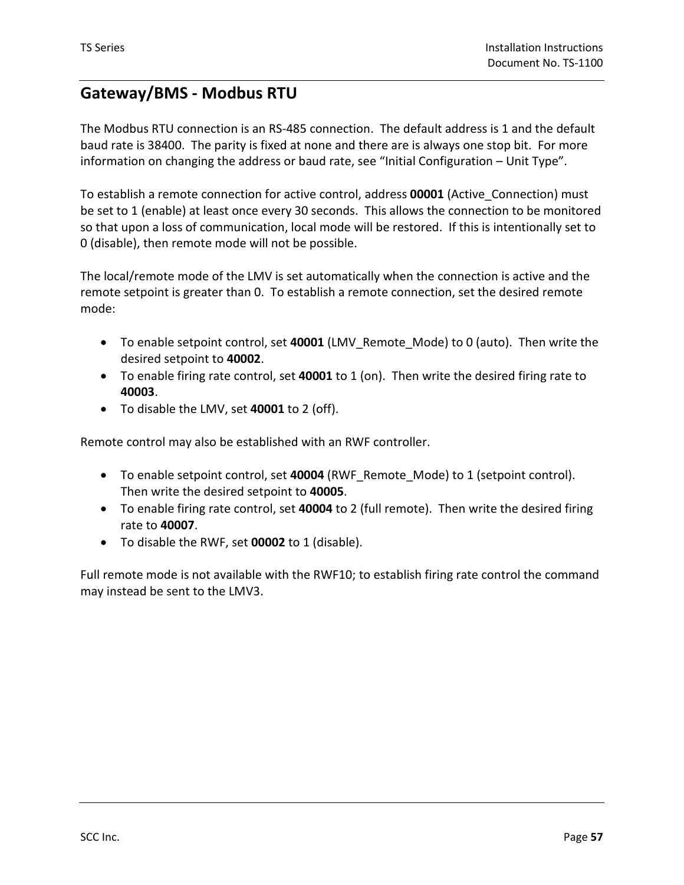### **Gateway/BMS - Modbus RTU**

The Modbus RTU connection is an RS-485 connection. The default address is 1 and the default baud rate is 38400. The parity is fixed at none and there are is always one stop bit. For more information on changing the address or baud rate, see "Initial Configuration – Unit Type".

To establish a remote connection for active control, address **00001** (Active\_Connection) must be set to 1 (enable) at least once every 30 seconds. This allows the connection to be monitored so that upon a loss of communication, local mode will be restored. If this is intentionally set to 0 (disable), then remote mode will not be possible.

The local/remote mode of the LMV is set automatically when the connection is active and the remote setpoint is greater than 0. To establish a remote connection, set the desired remote mode:

- To enable setpoint control, set **40001** (LMV\_Remote\_Mode) to 0 (auto). Then write the desired setpoint to **40002**.
- To enable firing rate control, set **40001** to 1 (on). Then write the desired firing rate to **40003**.
- To disable the LMV, set **40001** to 2 (off).

Remote control may also be established with an RWF controller.

- To enable setpoint control, set **40004** (RWF\_Remote\_Mode) to 1 (setpoint control). Then write the desired setpoint to **40005**.
- To enable firing rate control, set **40004** to 2 (full remote). Then write the desired firing rate to **40007**.
- To disable the RWF, set **00002** to 1 (disable).

Full remote mode is not available with the RWF10; to establish firing rate control the command may instead be sent to the LMV3.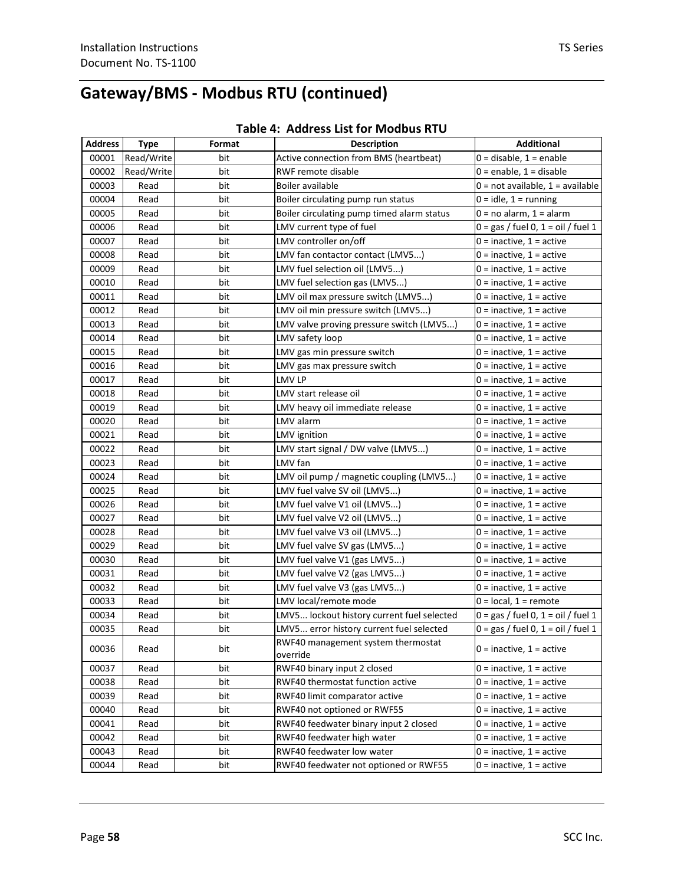# **Gateway/BMS - Modbus RTU (continued)**

| <b>Address</b> | <b>Type</b> | Format | <b>Description</b>                             | <b>Additional</b>                    |
|----------------|-------------|--------|------------------------------------------------|--------------------------------------|
| 00001          | Read/Write  | bit    | Active connection from BMS (heartbeat)         | $0 =$ disable, $1 =$ enable          |
| 00002          | Read/Write  | bit    | RWF remote disable                             | $0 =$ enable, $1 =$ disable          |
| 00003          | Read        | bit    | Boiler available                               | $0 = not available, 1 = available$   |
| 00004          | Read        | bit    | Boiler circulating pump run status             | $0 = id$ le, $1 =$ running           |
| 00005          | Read        | bit    | Boiler circulating pump timed alarm status     | $0 = no$ alarm, $1 =$ alarm          |
| 00006          | Read        | bit    | LMV current type of fuel                       | $0 = gas / fuel 0, 1 = oil / fuel 1$ |
| 00007          | Read        | bit    | LMV controller on/off                          | $0 =$ inactive, $1 =$ active         |
| 00008          | Read        | bit    | LMV fan contactor contact (LMV5)               | $0 =$ inactive, $1 =$ active         |
| 00009          | Read        | bit    | LMV fuel selection oil (LMV5)                  | $0 =$ inactive, $1 =$ active         |
| 00010          | Read        | bit    | LMV fuel selection gas (LMV5)                  | $0 =$ inactive, $1 =$ active         |
| 00011          | Read        | bit    | LMV oil max pressure switch (LMV5)             | $0 =$ inactive, $1 =$ active         |
| 00012          | Read        | bit    | LMV oil min pressure switch (LMV5)             | $0 =$ inactive, $1 =$ active         |
| 00013          | Read        | bit    | LMV valve proving pressure switch (LMV5)       | $0 =$ inactive, $1 =$ active         |
| 00014          | Read        | bit    | LMV safety loop                                | $0 =$ inactive, $1 =$ active         |
| 00015          | Read        | bit    | LMV gas min pressure switch                    | $0 =$ inactive, $1 =$ active         |
| 00016          | Read        | bit    | LMV gas max pressure switch                    | $0 =$ inactive, $1 =$ active         |
| 00017          | Read        | bit    | LMV LP                                         | $0 =$ inactive, $1 =$ active         |
| 00018          | Read        | bit    | LMV start release oil                          | $0 =$ inactive, $1 =$ active         |
| 00019          | Read        | bit    | LMV heavy oil immediate release                | $0 =$ inactive, $1 =$ active         |
| 00020          | Read        | bit    | LMV alarm                                      | $0 =$ inactive, $1 =$ active         |
| 00021          | Read        | bit    | LMV ignition                                   | $0 =$ inactive, $1 =$ active         |
| 00022          | Read        | bit    | LMV start signal / DW valve (LMV5)             | $0 =$ inactive, $1 =$ active         |
| 00023          | Read        | bit    | LMV fan                                        | $0 =$ inactive, $1 =$ active         |
| 00024          | Read        | bit    | LMV oil pump / magnetic coupling (LMV5)        | $0 =$ inactive, $1 =$ active         |
| 00025          | Read        | bit    | LMV fuel valve SV oil (LMV5)                   | $0 =$ inactive, $1 =$ active         |
| 00026          | Read        | bit    | LMV fuel valve V1 oil (LMV5)                   | $0 =$ inactive, $1 =$ active         |
| 00027          | Read        | bit    | LMV fuel valve V2 oil (LMV5)                   | $0 =$ inactive, $1 =$ active         |
| 00028          | Read        | bit    | LMV fuel valve V3 oil (LMV5)                   | $0 =$ inactive, $1 =$ active         |
| 00029          | Read        | bit    | LMV fuel valve SV gas (LMV5)                   | $0 =$ inactive, $1 =$ active         |
| 00030          | Read        | bit    | LMV fuel valve V1 (gas LMV5)                   | $0 =$ inactive, $1 =$ active         |
| 00031          | Read        | bit    | LMV fuel valve V2 (gas LMV5)                   | $0 =$ inactive, $1 =$ active         |
| 00032          | Read        | bit    | LMV fuel valve V3 (gas LMV5)                   | $0 =$ inactive, $1 =$ active         |
| 00033          | Read        | bit    | LMV local/remote mode                          | $0 = local, 1 = remote$              |
| 00034          | Read        | bit    | LMV5 lockout history current fuel selected     | $0 = gas /$ fuel 0, 1 = oil / fuel 1 |
| 00035          | Read        | bit    | LMV5 error history current fuel selected       | $0 = gas /$ fuel 0, 1 = oil / fuel 1 |
| 00036          | Read        | bit    | RWF40 management system thermostat<br>override | $0 =$ inactive, $1 =$ active         |
| 00037          | Read        | bit    | RWF40 binary input 2 closed                    | $0 =$ inactive, $1 =$ active         |
| 00038          | Read        | bit    | RWF40 thermostat function active               | $0 =$ inactive, $1 =$ active         |
| 00039          | Read        | bit    | RWF40 limit comparator active                  | $0 =$ inactive, $1 =$ active         |
| 00040          | Read        | bit    | RWF40 not optioned or RWF55                    | $0 =$ inactive, $1 =$ active         |
| 00041          | Read        | bit    | RWF40 feedwater binary input 2 closed          | $0 =$ inactive, $1 =$ active         |
| 00042          | Read        | bit    | RWF40 feedwater high water                     | $0 =$ inactive, $1 =$ active         |
| 00043          | Read        | bit    | RWF40 feedwater low water                      | $0 =$ inactive, $1 =$ active         |
| 00044          | Read        | bit    | RWF40 feedwater not optioned or RWF55          | $0 =$ inactive, $1 =$ active         |

#### **Table 4: Address List for Modbus RTU**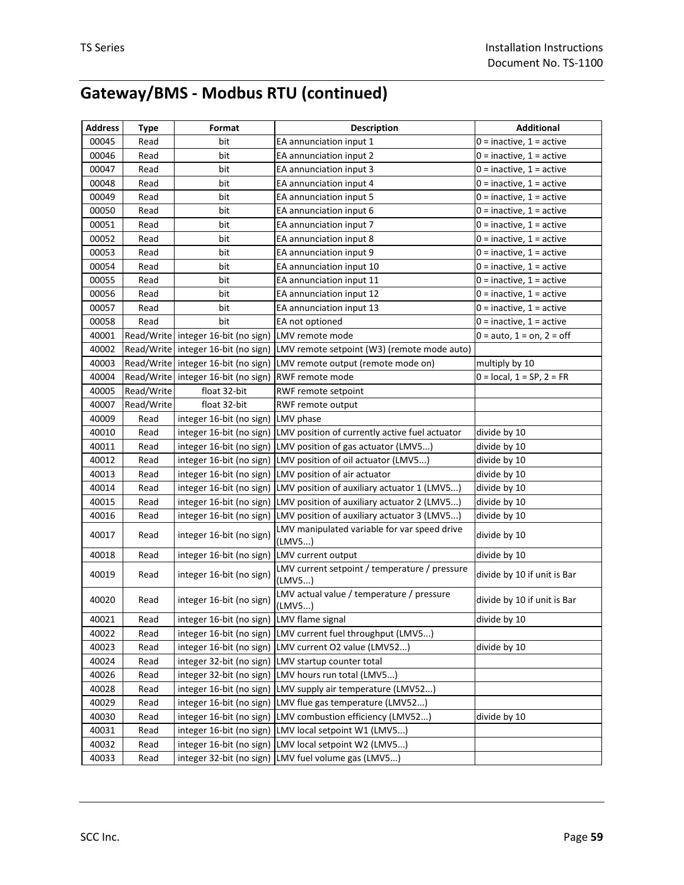# **Gateway/BMS - Modbus RTU (continued)**

| <b>Address</b> | <b>Type</b> | Format                                    | <b>Description</b>                                                        | <b>Additional</b>            |
|----------------|-------------|-------------------------------------------|---------------------------------------------------------------------------|------------------------------|
| 00045          | Read        | bit                                       | EA annunciation input 1                                                   | $0 =$ inactive, $1 =$ active |
| 00046          | Read        | bit                                       | EA annunciation input 2                                                   | $0 =$ inactive, $1 =$ active |
| 00047          | Read        | bit                                       | EA annunciation input 3                                                   | 0 = inactive, 1 = active     |
| 00048          | Read        | bit                                       | EA annunciation input 4                                                   | $0 =$ inactive, $1 =$ active |
| 00049          | Read        | bit                                       | EA annunciation input 5                                                   | $0 =$ inactive, $1 =$ active |
| 00050          | Read        | bit                                       | EA annunciation input 6                                                   | $0 =$ inactive, $1 =$ active |
| 00051          | Read        | bit                                       | EA annunciation input 7                                                   | $0 =$ inactive, $1 =$ active |
| 00052          | Read        | bit                                       | EA annunciation input 8                                                   | $0 =$ inactive, $1 =$ active |
| 00053          | Read        | bit                                       | EA annunciation input 9                                                   | $0 =$ inactive, $1 =$ active |
| 00054          | Read        | bit                                       | EA annunciation input 10                                                  | $0 =$ inactive, $1 =$ active |
| 00055          | Read        | bit                                       | EA annunciation input 11                                                  | $0 =$ inactive, $1 =$ active |
| 00056          | Read        | bit                                       | EA annunciation input 12                                                  | $0 =$ inactive, $1 =$ active |
| 00057          | Read        | bit                                       | EA annunciation input 13                                                  | $0 =$ inactive, $1 =$ active |
| 00058          | Read        | bit                                       | EA not optioned                                                           | $0 =$ inactive, $1 =$ active |
| 40001          |             | Read/Write integer 16-bit (no sign)       | LMV remote mode                                                           | $0 = auto, 1 = on, 2 = off$  |
| 40002          |             | Read/Write integer 16-bit (no sign)       | LMV remote setpoint (W3) (remote mode auto)                               |                              |
| 40003          |             | Read/Write integer 16-bit (no sign)       | LMV remote output (remote mode on)                                        | multiply by 10               |
| 40004          |             | Read/Write integer 16-bit (no sign)       | RWF remote mode                                                           | $0 = local, 1 = SP, 2 = FR$  |
| 40005          | Read/Write  | float 32-bit                              | RWF remote setpoint                                                       |                              |
| 40007          | Read/Write  | float 32-bit                              | RWF remote output                                                         |                              |
| 40009          | Read        | integer 16-bit (no sign)                  | LMV phase                                                                 |                              |
| 40010          | Read        |                                           | integer 16-bit (no sign)   LMV position of currently active fuel actuator | divide by 10                 |
| 40011          | Read        |                                           | integer 16-bit (no sign)   LMV position of gas actuator (LMV5)            | divide by 10                 |
| 40012          | Read        |                                           | integer 16-bit (no sign) LMV position of oil actuator (LMV5)              | divide by 10                 |
| 40013          | Read        |                                           | integer 16-bit (no sign) LMV position of air actuator                     | divide by 10                 |
| 40014          | Read        |                                           | integer 16-bit (no sign)   LMV position of auxiliary actuator 1 (LMV5)    | divide by 10                 |
| 40015          | Read        |                                           | integer 16-bit (no sign)   LMV position of auxiliary actuator 2 (LMV5)    | divide by 10                 |
| 40016          | Read        | integer 16-bit (no sign)                  | LMV position of auxiliary actuator 3 (LMV5)                               | divide by 10                 |
| 40017          | Read        | integer 16-bit (no sign)                  | LMV manipulated variable for var speed drive<br>(LMV5)                    | divide by 10                 |
| 40018          | Read        | integer 16-bit (no sign)                  | LMV current output                                                        | divide by 10                 |
| 40019          | Read        | integer 16-bit (no sign)                  | LMV current setpoint / temperature / pressure<br>(LMV5)                   | divide by 10 if unit is Bar  |
| 40020          | Read        | integer 16-bit (no sign)                  | LMV actual value / temperature / pressure<br>(LMVS)                       | divide by 10 if unit is Bar  |
| 40021          | Read        | integer 16-bit (no sign) LMV flame signal |                                                                           | divide by 10                 |
| 40022          | Read        |                                           | integer 16-bit (no sign) LMV current fuel throughput (LMV5)               |                              |
| 40023          | Read        |                                           | integer 16-bit (no sign) LMV current O2 value (LMV52)                     | divide by 10                 |
| 40024          | Read        |                                           | integer 32-bit (no sign) LMV startup counter total                        |                              |
| 40026          | Read        |                                           | integer 32-bit (no sign)   LMV hours run total (LMV5)                     |                              |
| 40028          | Read        |                                           | integer 16-bit (no sign) LMV supply air temperature (LMV52)               |                              |
| 40029          | Read        |                                           | integer 16-bit (no sign) LMV flue gas temperature (LMV52)                 |                              |
| 40030          | Read        |                                           | integer 16-bit (no sign) LMV combustion efficiency (LMV52)                | divide by 10                 |
| 40031          | Read        |                                           | integer 16-bit (no sign) LMV local setpoint W1 (LMV5)                     |                              |
| 40032          | Read        |                                           | integer 16-bit (no sign) LMV local setpoint W2 (LMV5)                     |                              |
| 40033          | Read        | integer 32-bit (no sign)                  | LMV fuel volume gas (LMV5)                                                |                              |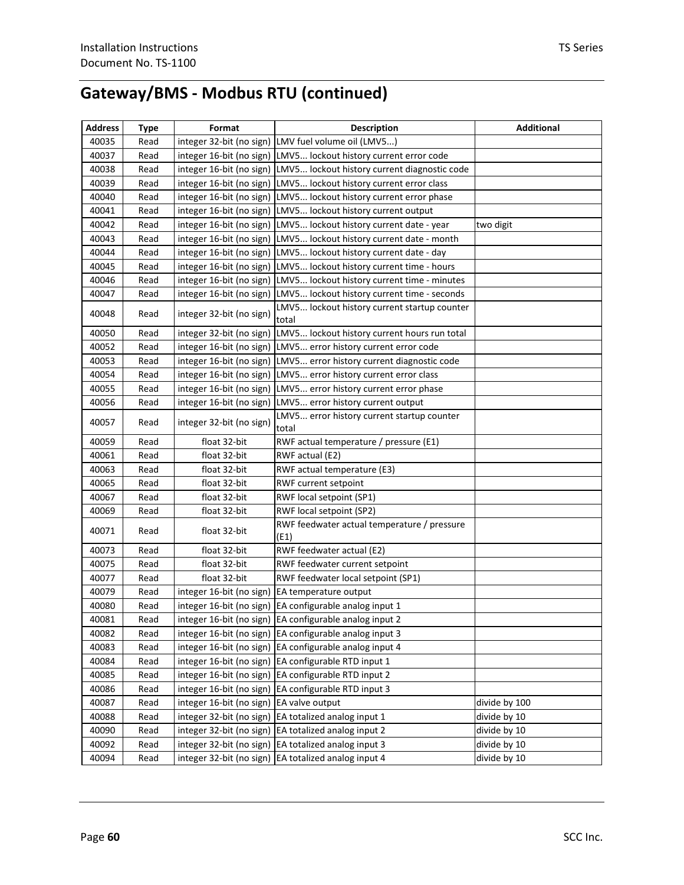# **Gateway/BMS - Modbus RTU (continued)**

| <b>Address</b> | <b>Type</b> | Format                   | <b>Description</b>                                                 | <b>Additional</b> |
|----------------|-------------|--------------------------|--------------------------------------------------------------------|-------------------|
| 40035          | Read        |                          | integer 32-bit (no sign) LMV fuel volume oil (LMV5)                |                   |
| 40037          | Read        |                          | integer 16-bit (no sign)  LMV5 lockout history current error code  |                   |
| 40038          | Read        | integer 16-bit (no sign) | LMV5 lockout history current diagnostic code                       |                   |
| 40039          | Read        | integer 16-bit (no sign) | LMV5 lockout history current error class                           |                   |
| 40040          | Read        | integer 16-bit (no sign) | LMV5 lockout history current error phase                           |                   |
| 40041          | Read        | integer 16-bit (no sign) | LMV5 lockout history current output                                |                   |
| 40042          | Read        | integer 16-bit (no sign) | LMV5 lockout history current date - year                           | two digit         |
| 40043          | Read        |                          | integer 16-bit (no sign) LMV5 lockout history current date - month |                   |
| 40044          | Read        |                          | integer 16-bit (no sign) LMV5 lockout history current date - day   |                   |
| 40045          | Read        | integer 16-bit (no sign) | LMV5 lockout history current time - hours                          |                   |
| 40046          | Read        | integer 16-bit (no sign) | LMV5 lockout history current time - minutes                        |                   |
| 40047          | Read        | integer 16-bit (no sign) | LMV5 lockout history current time - seconds                        |                   |
| 40048          | Read        | integer 32-bit (no sign) | LMV5 lockout history current startup counter<br>total              |                   |
| 40050          | Read        | integer 32-bit (no sign) | LMV5 lockout history current hours run total                       |                   |
| 40052          | Read        | integer 16-bit (no sign) | LMV5 error history current error code                              |                   |
| 40053          | Read        | integer 16-bit (no sign) | LMV5 error history current diagnostic code                         |                   |
| 40054          | Read        | integer 16-bit (no sign) | LMV5 error history current error class                             |                   |
| 40055          | Read        | integer 16-bit (no sign) | LMV5 error history current error phase                             |                   |
| 40056          | Read        | integer 16-bit (no sign) | LMV5 error history current output                                  |                   |
| 40057          | Read        | integer 32-bit (no sign) | LMV5 error history current startup counter<br>total                |                   |
| 40059          | Read        | float 32-bit             | RWF actual temperature / pressure (E1)                             |                   |
| 40061          | Read        | float 32-bit             | RWF actual (E2)                                                    |                   |
| 40063          | Read        | float 32-bit             | RWF actual temperature (E3)                                        |                   |
| 40065          | Read        | float 32-bit             | RWF current setpoint                                               |                   |
| 40067          | Read        | float 32-bit             | RWF local setpoint (SP1)                                           |                   |
| 40069          | Read        | float 32-bit             | RWF local setpoint (SP2)                                           |                   |
| 40071          | Read        | float 32-bit             | RWF feedwater actual temperature / pressure<br>(E1)                |                   |
| 40073          | Read        | float 32-bit             | RWF feedwater actual (E2)                                          |                   |
| 40075          | Read        | float 32-bit             | RWF feedwater current setpoint                                     |                   |
| 40077          | Read        | float 32-bit             | RWF feedwater local setpoint (SP1)                                 |                   |
| 40079          | Read        | integer 16-bit (no sign) | EA temperature output                                              |                   |
| 40080          | Read        |                          | integer 16-bit (no sign) EA configurable analog input 1            |                   |
| 40081          | Read        |                          | integer 16-bit (no sign) EA configurable analog input 2            |                   |
| 40082          | Read        |                          | integer 16-bit (no sign) EA configurable analog input 3            |                   |
| 40083          | Read        |                          | integer 16-bit (no sign) EA configurable analog input 4            |                   |
| 40084          | Read        |                          | integer 16-bit (no sign) EA configurable RTD input 1               |                   |
| 40085          | Read        |                          | integer 16-bit (no sign) EA configurable RTD input 2               |                   |
| 40086          | Read        | integer 16-bit (no sign) | EA configurable RTD input 3                                        |                   |
| 40087          | Read        | integer 16-bit (no sign) | EA valve output                                                    | divide by 100     |
| 40088          | Read        | integer 32-bit (no sign) | EA totalized analog input 1                                        | divide by 10      |
| 40090          | Read        | integer 32-bit (no sign) | EA totalized analog input 2                                        | divide by 10      |
| 40092          | Read        | integer 32-bit (no sign) | EA totalized analog input 3                                        | divide by 10      |
| 40094          | Read        | integer 32-bit (no sign) | EA totalized analog input 4                                        | divide by 10      |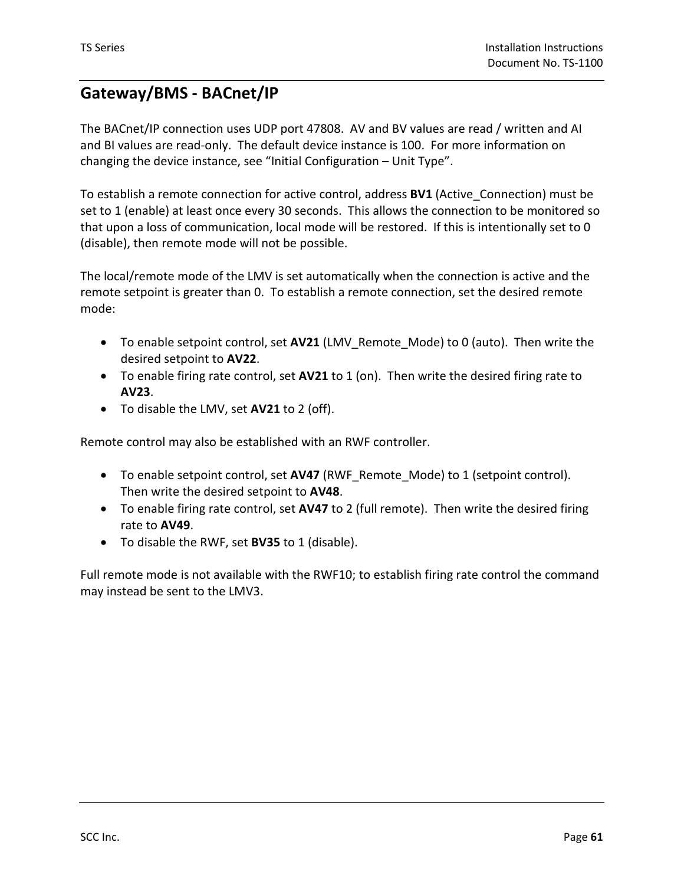### **Gateway/BMS - BACnet/IP**

The BACnet/IP connection uses UDP port 47808. AV and BV values are read / written and AI and BI values are read-only. The default device instance is 100. For more information on changing the device instance, see "Initial Configuration – Unit Type".

To establish a remote connection for active control, address **BV1** (Active\_Connection) must be set to 1 (enable) at least once every 30 seconds. This allows the connection to be monitored so that upon a loss of communication, local mode will be restored. If this is intentionally set to 0 (disable), then remote mode will not be possible.

The local/remote mode of the LMV is set automatically when the connection is active and the remote setpoint is greater than 0. To establish a remote connection, set the desired remote mode:

- To enable setpoint control, set **AV21** (LMV\_Remote\_Mode) to 0 (auto). Then write the desired setpoint to **AV22**.
- To enable firing rate control, set **AV21** to 1 (on). Then write the desired firing rate to **AV23**.
- To disable the LMV, set **AV21** to 2 (off).

Remote control may also be established with an RWF controller.

- To enable setpoint control, set **AV47** (RWF\_Remote\_Mode) to 1 (setpoint control). Then write the desired setpoint to **AV48**.
- To enable firing rate control, set **AV47** to 2 (full remote). Then write the desired firing rate to **AV49**.
- To disable the RWF, set **BV35** to 1 (disable).

Full remote mode is not available with the RWF10; to establish firing rate control the command may instead be sent to the LMV3.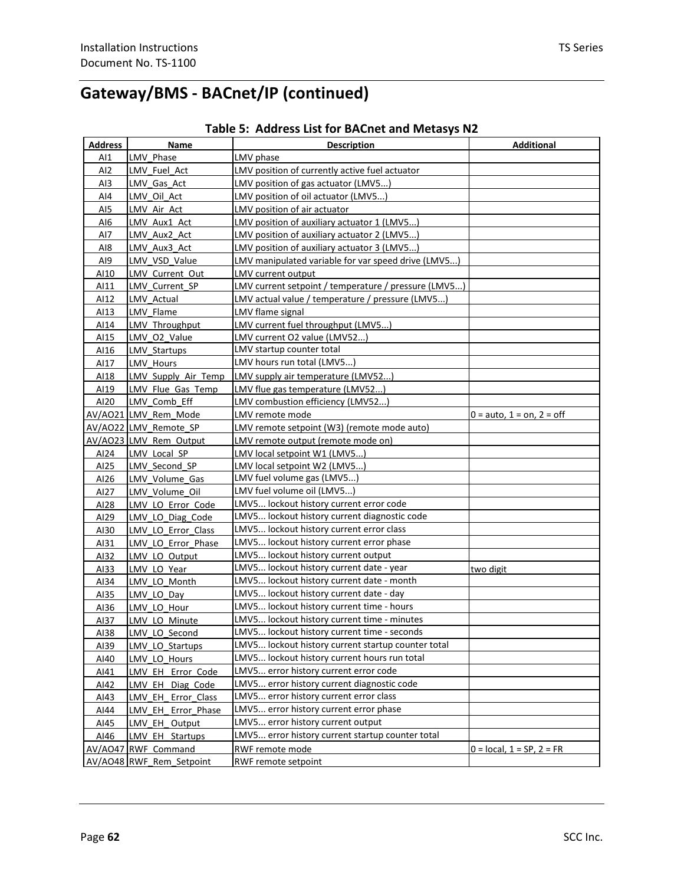| Address         | Name                     | <b>Description</b>                                   | <b>Additional</b>           |
|-----------------|--------------------------|------------------------------------------------------|-----------------------------|
| AI              | LMV Phase                | LMV phase                                            |                             |
| AI <sub>2</sub> | LMV Fuel Act             | LMV position of currently active fuel actuator       |                             |
| AI3             | LMV Gas Act              | LMV position of gas actuator (LMV5)                  |                             |
| AI4             | LMV Oil Act              | LMV position of oil actuator (LMV5)                  |                             |
| AI5             | LMV Air Act              | LMV position of air actuator                         |                             |
| AI6             | LMV Aux1 Act             | LMV position of auxiliary actuator 1 (LMV5)          |                             |
| AI7             | LMV Aux2 Act             | LMV position of auxiliary actuator 2 (LMV5)          |                             |
| AI8             | LMV Aux3 Act             | LMV position of auxiliary actuator 3 (LMV5)          |                             |
| AI9             | LMV VSD Value            | LMV manipulated variable for var speed drive (LMV5)  |                             |
| AI10            | LMV Current Out          | LMV current output                                   |                             |
| AI11            | LMV Current SP           | LMV current setpoint / temperature / pressure (LMV5) |                             |
| AI12            | LMV Actual               | LMV actual value / temperature / pressure (LMV5)     |                             |
| AI13            | LMV Flame                | LMV flame signal                                     |                             |
| AI14            | LMV Throughput           | LMV current fuel throughput (LMV5)                   |                             |
| AI15            | LMV O2 Value             | LMV current O2 value (LMV52)                         |                             |
| AI16            | <b>LMV Startups</b>      | LMV startup counter total                            |                             |
| AI17            | <b>LMV Hours</b>         | LMV hours run total (LMV5)                           |                             |
| AI18            | LMV Supply Air Temp      | LMV supply air temperature (LMV52)                   |                             |
| AI19            | LMV Flue Gas Temp        | LMV flue gas temperature (LMV52)                     |                             |
| AI20            | LMV Comb Eff             | LMV combustion efficiency (LMV52)                    |                             |
|                 | AV/AO21 LMV Rem Mode     | LMV remote mode                                      | $0 =$ auto, 1 = on, 2 = off |
|                 | AV/AO22 LMV_Remote_SP    | LMV remote setpoint (W3) (remote mode auto)          |                             |
|                 | AV/AO23 LMV Rem Output   | LMV remote output (remote mode on)                   |                             |
| AI24            | LMV Local SP             | LMV local setpoint W1 (LMV5)                         |                             |
| AI25            | LMV Second SP            | LMV local setpoint W2 (LMV5)                         |                             |
| AI26            | LMV Volume Gas           | LMV fuel volume gas (LMV5)                           |                             |
| AI27            | LMV Volume Oil           | LMV fuel volume oil (LMV5)                           |                             |
| AI28            | LMV LO Error Code        | LMV5 lockout history current error code              |                             |
| AI29            | LMV LO Diag Code         | LMV5 lockout history current diagnostic code         |                             |
| AI30            | LMV LO Error Class       | LMV5 lockout history current error class             |                             |
| AI31            | LMV LO Error Phase       | LMV5 lockout history current error phase             |                             |
| AI32            | LMV LO Output            | LMV5 lockout history current output                  |                             |
| AI33            | LMV LO Year              | LMV5 lockout history current date - year             | two digit                   |
| AI34            | LMV LO Month             | LMV5 lockout history current date - month            |                             |
| AI35            | LMV LO Day               | LMV5 lockout history current date - day              |                             |
| AI36            | LMV LO Hour              | LMV5 lockout history current time - hours            |                             |
| AI37            | LMV LO Minute            | LMV5 lockout history current time - minutes          |                             |
| AI38            | LMV LO Second            | LMV5 lockout history current time - seconds          |                             |
| AI39            | LMV LO Startups          | LMV5 lockout history current startup counter total   |                             |
| AI40            | LMV_LO_Hours             | LMV5 lockout history current hours run total         |                             |
| AI41            | LMV EH Error Code        | LMV5 error history current error code                |                             |
| AI42            | LMV EH Diag Code         | LMV5 error history current diagnostic code           |                             |
| AI43            | LMV EH Error Class       | LMV5 error history current error class               |                             |
| AI44            | LMV EH Error Phase       | LMV5 error history current error phase               |                             |
| AI45            | LMV EH Output            | LMV5 error history current output                    |                             |
| AI46            | LMV_EH_Startups          | LMV5 error history current startup counter total     |                             |
|                 | AV/AO47 RWF Command      | RWF remote mode                                      | $0 = local, 1 = SP, 2 = FR$ |
|                 | AV/AO48 RWF Rem Setpoint | RWF remote setpoint                                  |                             |
|                 |                          |                                                      |                             |

#### **Table 5: Address List for BACnet and Metasys N2**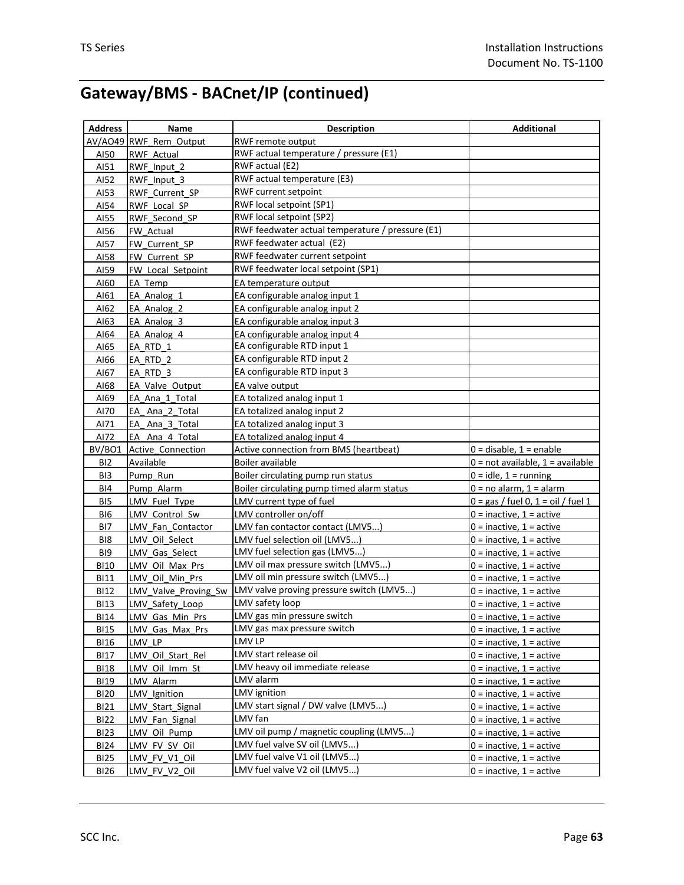| <b>Address</b>  | Name                     | <b>Description</b>                               | <b>Additional</b>                    |
|-----------------|--------------------------|--------------------------------------------------|--------------------------------------|
|                 | AV/AO49 RWF Rem Output   | RWF remote output                                |                                      |
| AI50            | <b>RWF Actual</b>        | RWF actual temperature / pressure (E1)           |                                      |
| AI51            | RWF Input 2              | RWF actual (E2)                                  |                                      |
| AI52            | RWF Input 3              | RWF actual temperature (E3)                      |                                      |
| AI53            | RWF Current SP           | <b>RWF current setpoint</b>                      |                                      |
| AI54            | RWF Local SP             | RWF local setpoint (SP1)                         |                                      |
| AI55            | RWF Second SP            | RWF local setpoint (SP2)                         |                                      |
| AI56            | FW Actual                | RWF feedwater actual temperature / pressure (E1) |                                      |
| AI57            | FW Current SP            | RWF feedwater actual (E2)                        |                                      |
| AI58            | FW Current SP            | RWF feedwater current setpoint                   |                                      |
| AI59            | FW Local Setpoint        | RWF feedwater local setpoint (SP1)               |                                      |
| A160            | EA Temp                  | EA temperature output                            |                                      |
| AI61            | EA Analog 1              | EA configurable analog input 1                   |                                      |
| AI62            | EA Analog 2              | EA configurable analog input 2                   |                                      |
| AI63            | EA Analog 3              | EA configurable analog input 3                   |                                      |
| AI64            | EA Analog 4              | EA configurable analog input 4                   |                                      |
| AI65            | EA RTD 1                 | EA configurable RTD input 1                      |                                      |
| AI66            | EA RTD 2                 | EA configurable RTD input 2                      |                                      |
| AI67            | EA RTD 3                 | EA configurable RTD input 3                      |                                      |
| AI68            | EA Valve Output          | EA valve output                                  |                                      |
| AI69            | EA Ana 1 Total           | EA totalized analog input 1                      |                                      |
| AI70            | EA Ana 2 Total           | EA totalized analog input 2                      |                                      |
| AI71            | EA Ana 3 Total           | EA totalized analog input 3                      |                                      |
| AI72            | EA Ana 4 Total           | EA totalized analog input 4                      |                                      |
| BV/BO1          | <b>Active Connection</b> | Active connection from BMS (heartbeat)           | 0 = disable, 1 = enable              |
| BI <sub>2</sub> | Available                | Boiler available                                 | $0 = not available, 1 = available$   |
| B <sub>13</sub> | Pump Run                 | Boiler circulating pump run status               | $0 = id$ e, $1 = running$            |
| BI4             | Pump Alarm               | Boiler circulating pump timed alarm status       | $0 = no$ alarm, $1 =$ alarm          |
| BI5             | LMV Fuel Type            | LMV current type of fuel                         | $0 =$ gas / fuel 0, 1 = oil / fuel 1 |
| BI <sub>6</sub> | LMV Control Sw           | LMV controller on/off                            | $0 =$ inactive, $1 =$ active         |
| BI7             | LMV Fan Contactor        | LMV fan contactor contact (LMV5)                 | $0 =$ inactive, $1 =$ active         |
| BI8             | LMV Oil Select           | LMV fuel selection oil (LMV5)                    | $0 =$ inactive, $1 =$ active         |
| BI9             | LMV Gas Select           | LMV fuel selection gas (LMV5)                    | $0 =$ inactive, $1 =$ active         |
| <b>BI10</b>     | LMV Oil Max Prs          | LMV oil max pressure switch (LMV5)               | $0 =$ inactive, $1 =$ active         |
| <b>BI11</b>     | LMV Oil Min Prs          | LMV oil min pressure switch (LMV5)               | $0 =$ inactive, $1 =$ active         |
| <b>BI12</b>     | LMV Valve Proving Sw     | LMV valve proving pressure switch (LMV5)         | $0 =$ inactive, $1 =$ active         |
| <b>BI13</b>     | LMV Safety Loop          | LMV safety loop                                  | $0 =$ inactive, $1 =$ active         |
| <b>BI14</b>     | LMV Gas Min Prs          | LMV gas min pressure switch                      | $0 =$ inactive, $1 =$ active         |
| <b>BI15</b>     | LMV Gas Max Prs          | LMV gas max pressure switch                      | $0 =$ inactive, $1 =$ active         |
| <b>BI16</b>     | LMV LP                   | LMV LP                                           | $0 =$ inactive, $1 =$ active         |
| <b>BI17</b>     | LMV Oil Start Rel        | LMV start release oil                            | $0 =$ inactive, $1 =$ active         |
| <b>BI18</b>     | LMV Oil Imm St           | LMV heavy oil immediate release                  | $0 =$ inactive, $1 =$ active         |
| <b>BI19</b>     | LMV Alarm                | LMV alarm                                        | $0 =$ inactive, $1 =$ active         |
| <b>BI20</b>     | LMV Ignition             | <b>LMV</b> ignition                              | $0 =$ inactive, $1 =$ active         |
| <b>BI21</b>     | LMV Start Signal         | LMV start signal / DW valve (LMV5)               | $0 =$ inactive, $1 =$ active         |
| <b>BI22</b>     | LMV Fan Signal           | LMV fan                                          | $0 =$ inactive, $1 =$ active         |
| <b>BI23</b>     | LMV Oil Pump             | LMV oil pump / magnetic coupling (LMV5)          | $0 =$ inactive, $1 =$ active         |
| <b>BI24</b>     | LMV FV SV Oil            | LMV fuel valve SV oil (LMV5)                     | $0 =$ inactive, $1 =$ active         |
| <b>BI25</b>     | LMV FV V1 Oil            | LMV fuel valve V1 oil (LMV5)                     | $0 =$ inactive, $1 =$ active         |
| <b>BI26</b>     | LMV FV V2 Oil            | LMV fuel valve V2 oil (LMV5)                     | $0 =$ inactive, $1 =$ active         |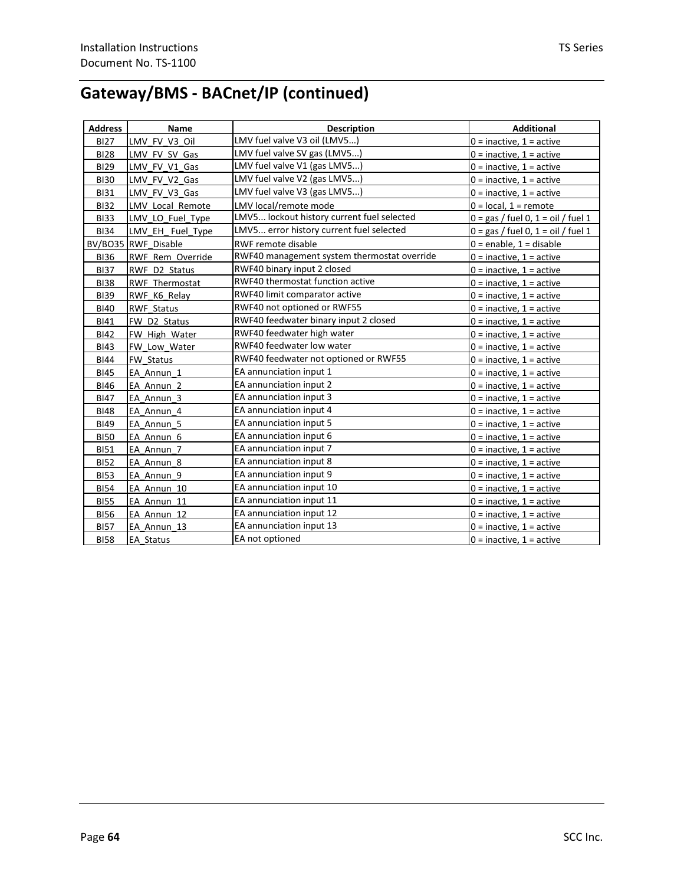| <b>Address</b> | Name                | <b>Description</b>                          | <b>Additional</b>                    |
|----------------|---------------------|---------------------------------------------|--------------------------------------|
| <b>BI27</b>    | LMV FV V3 Oil       | LMV fuel valve V3 oil (LMV5)                | $0 =$ inactive, $1 =$ active         |
| <b>BI28</b>    | LMV FV SV Gas       | LMV fuel valve SV gas (LMV5)                | $0 =$ inactive, $1 =$ active         |
| <b>BI29</b>    | LMV_FV_V1_Gas       | LMV fuel valve V1 (gas LMV5)                | $0 =$ inactive, $1 =$ active         |
| <b>BI30</b>    | LMV FV V2 Gas       | LMV fuel valve V2 (gas LMV5)                | $0 =$ inactive, $1 =$ active         |
| <b>BI31</b>    | LMV FV V3 Gas       | LMV fuel valve V3 (gas LMV5)                | $0 =$ inactive, $1 =$ active         |
| <b>BI32</b>    | LMV Local Remote    | LMV local/remote mode                       | $0 = local, 1 = remote$              |
| <b>BI33</b>    | LMV LO Fuel Type    | LMV5 lockout history current fuel selected  | $0 = gas /$ fuel 0, 1 = oil / fuel 1 |
| <b>BI34</b>    | LMV EH Fuel Type    | LMV5 error history current fuel selected    | $0 = gas /$ fuel 0, 1 = oil / fuel 1 |
|                | BV/BO35 RWF Disable | RWF remote disable                          | $0 =$ enable, 1 = disable            |
| <b>BI36</b>    | RWF Rem Override    | RWF40 management system thermostat override | $0 =$ inactive, $1 =$ active         |
| <b>BI37</b>    | RWF D2 Status       | RWF40 binary input 2 closed                 | $0 =$ inactive, $1 =$ active         |
| <b>BI38</b>    | RWF Thermostat      | RWF40 thermostat function active            | $0 =$ inactive, $1 =$ active         |
| <b>BI39</b>    | RWF K6 Relay        | RWF40 limit comparator active               | $0 =$ inactive, $1 =$ active         |
| <b>BI40</b>    | <b>RWF Status</b>   | RWF40 not optioned or RWF55                 | $0 =$ inactive, $1 =$ active         |
| <b>BI41</b>    | FW D2 Status        | RWF40 feedwater binary input 2 closed       | $0 =$ inactive, $1 =$ active         |
| <b>BI42</b>    | FW High Water       | RWF40 feedwater high water                  | $0 =$ inactive, $1 =$ active         |
| <b>BI43</b>    | FW Low Water        | RWF40 feedwater low water                   | $0 =$ inactive, $1 =$ active         |
| <b>BI44</b>    | FW Status           | RWF40 feedwater not optioned or RWF55       | $0 =$ inactive, $1 =$ active         |
| <b>BI45</b>    | EA Annun 1          | EA annunciation input 1                     | $0 =$ inactive, $1 =$ active         |
| <b>BI46</b>    | EA Annun 2          | EA annunciation input 2                     | $0 =$ inactive, $1 =$ active         |
| <b>BI47</b>    | EA Annun 3          | EA annunciation input 3                     | $0 =$ inactive, $1 =$ active         |
| <b>BI48</b>    | EA Annun 4          | EA annunciation input 4                     | $0 =$ inactive, $1 =$ active         |
| <b>BI49</b>    | EA Annun 5          | EA annunciation input 5                     | $0 =$ inactive, $1 =$ active         |
| <b>BI50</b>    | EA Annun 6          | EA annunciation input 6                     | $0 =$ inactive, $1 =$ active         |
| <b>BI51</b>    | EA Annun 7          | EA annunciation input 7                     | $0 =$ inactive, $1 =$ active         |
| <b>BI52</b>    | EA Annun 8          | EA annunciation input 8                     | $0 =$ inactive, $1 =$ active         |
| <b>BI53</b>    | EA Annun 9          | EA annunciation input 9                     | $0 =$ inactive, $1 =$ active         |
| <b>BI54</b>    | EA Annun 10         | EA annunciation input 10                    | $0 =$ inactive, $1 =$ active         |
| <b>BI55</b>    | EA Annun 11         | EA annunciation input 11                    | $0 =$ inactive, $1 =$ active         |
| <b>BI56</b>    | EA Annun 12         | EA annunciation input 12                    | $0 =$ inactive, $1 =$ active         |
| <b>BI57</b>    | EA Annun 13         | EA annunciation input 13                    | $0 =$ inactive, $1 =$ active         |
| <b>BI58</b>    | EA Status           | EA not optioned                             | $0 =$ inactive, $1 =$ active         |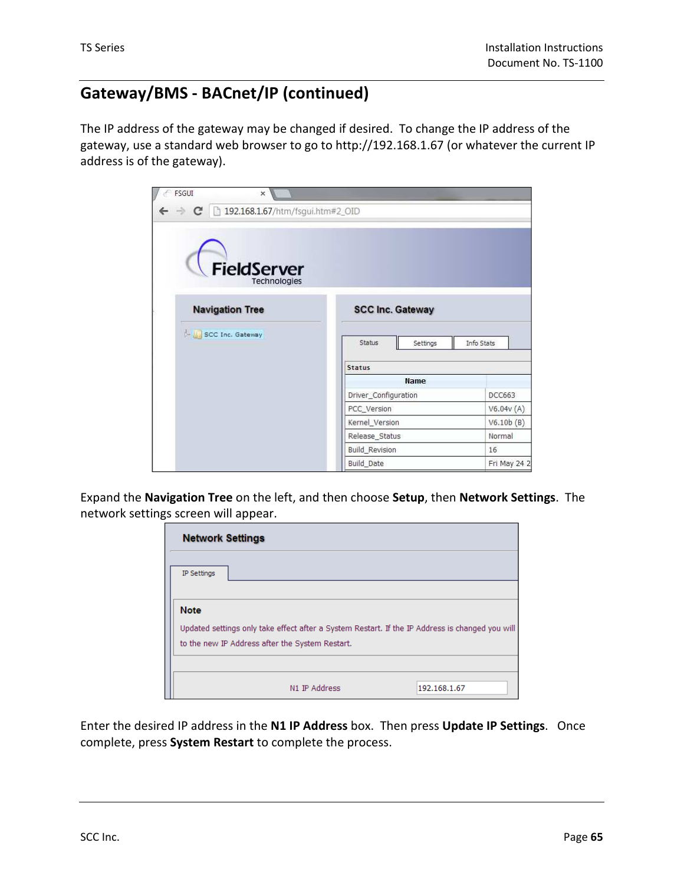The IP address of the gateway may be changed if desired. To change the IP address of the gateway, use a standard web browser to go to http://192.168.1.67 (or whatever the current IP address is of the gateway).



Expand the **Navigation Tree** on the left, and then choose **Setup**, then **Network Settings**. The network settings screen will appear.

| <b>Network Settings</b> |                                                                                                                                                    |              |
|-------------------------|----------------------------------------------------------------------------------------------------------------------------------------------------|--------------|
| IP Settings             |                                                                                                                                                    |              |
| <b>Note</b>             |                                                                                                                                                    |              |
|                         | Updated settings only take effect after a System Restart. If the IP Address is changed you will<br>to the new IP Address after the System Restart. |              |
|                         | N1 IP Address                                                                                                                                      | 192.168.1.67 |

Enter the desired IP address in the **N1 IP Address** box. Then press **Update IP Settings**. Once complete, press **System Restart** to complete the process.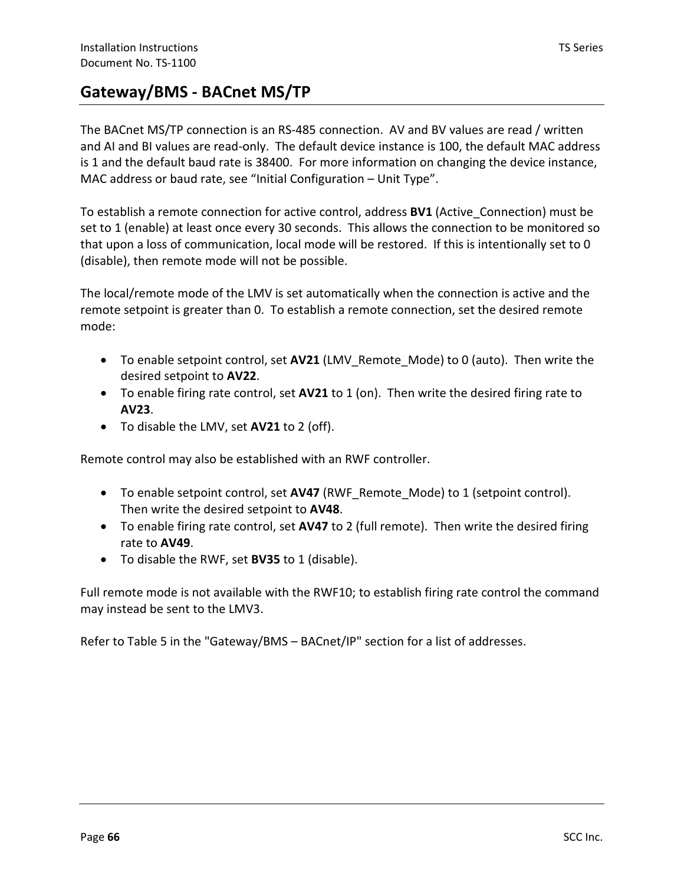### **Gateway/BMS - BACnet MS/TP**

The BACnet MS/TP connection is an RS-485 connection. AV and BV values are read / written and AI and BI values are read-only. The default device instance is 100, the default MAC address is 1 and the default baud rate is 38400. For more information on changing the device instance, MAC address or baud rate, see "Initial Configuration – Unit Type".

To establish a remote connection for active control, address **BV1** (Active\_Connection) must be set to 1 (enable) at least once every 30 seconds. This allows the connection to be monitored so that upon a loss of communication, local mode will be restored. If this is intentionally set to 0 (disable), then remote mode will not be possible.

The local/remote mode of the LMV is set automatically when the connection is active and the remote setpoint is greater than 0. To establish a remote connection, set the desired remote mode:

- To enable setpoint control, set **AV21** (LMV\_Remote\_Mode) to 0 (auto). Then write the desired setpoint to **AV22**.
- To enable firing rate control, set **AV21** to 1 (on). Then write the desired firing rate to **AV23**.
- To disable the LMV, set **AV21** to 2 (off).

Remote control may also be established with an RWF controller.

- To enable setpoint control, set **AV47** (RWF\_Remote\_Mode) to 1 (setpoint control). Then write the desired setpoint to **AV48**.
- To enable firing rate control, set **AV47** to 2 (full remote). Then write the desired firing rate to **AV49**.
- To disable the RWF, set **BV35** to 1 (disable).

Full remote mode is not available with the RWF10; to establish firing rate control the command may instead be sent to the LMV3.

Refer to Table 5 in the "Gateway/BMS – BACnet/IP" section for a list of addresses.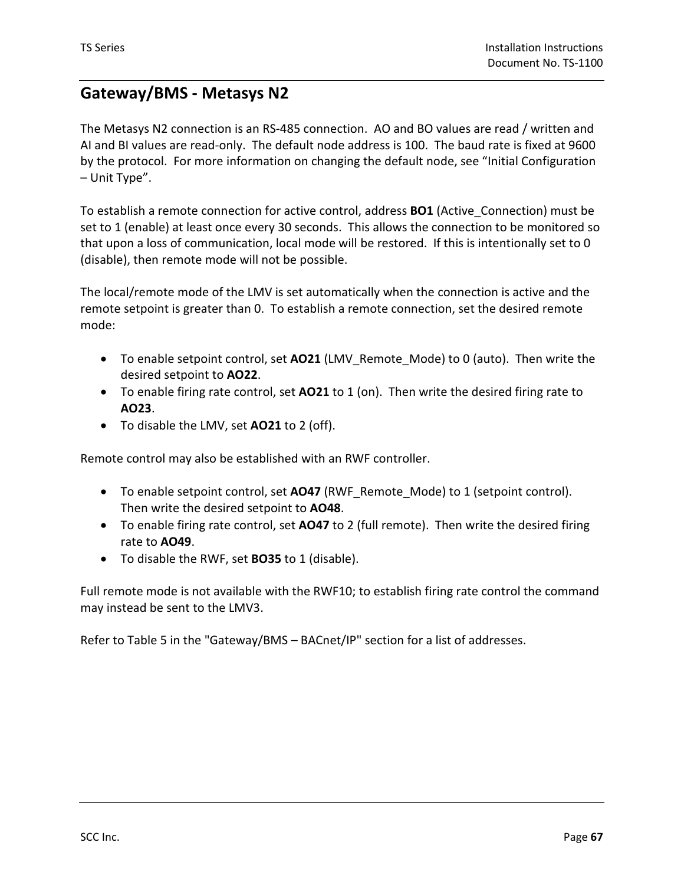### **Gateway/BMS - Metasys N2**

The Metasys N2 connection is an RS-485 connection. AO and BO values are read / written and AI and BI values are read-only. The default node address is 100. The baud rate is fixed at 9600 by the protocol. For more information on changing the default node, see "Initial Configuration – Unit Type".

To establish a remote connection for active control, address **BO1** (Active\_Connection) must be set to 1 (enable) at least once every 30 seconds. This allows the connection to be monitored so that upon a loss of communication, local mode will be restored. If this is intentionally set to 0 (disable), then remote mode will not be possible.

The local/remote mode of the LMV is set automatically when the connection is active and the remote setpoint is greater than 0. To establish a remote connection, set the desired remote mode:

- To enable setpoint control, set **AO21** (LMV\_Remote\_Mode) to 0 (auto). Then write the desired setpoint to **AO22**.
- To enable firing rate control, set **AO21** to 1 (on). Then write the desired firing rate to **AO23**.
- To disable the LMV, set **AO21** to 2 (off).

Remote control may also be established with an RWF controller.

- To enable setpoint control, set **AO47** (RWF\_Remote\_Mode) to 1 (setpoint control). Then write the desired setpoint to **AO48**.
- To enable firing rate control, set **AO47** to 2 (full remote). Then write the desired firing rate to **AO49**.
- To disable the RWF, set **BO35** to 1 (disable).

Full remote mode is not available with the RWF10; to establish firing rate control the command may instead be sent to the LMV3.

Refer to Table 5 in the "Gateway/BMS – BACnet/IP" section for a list of addresses.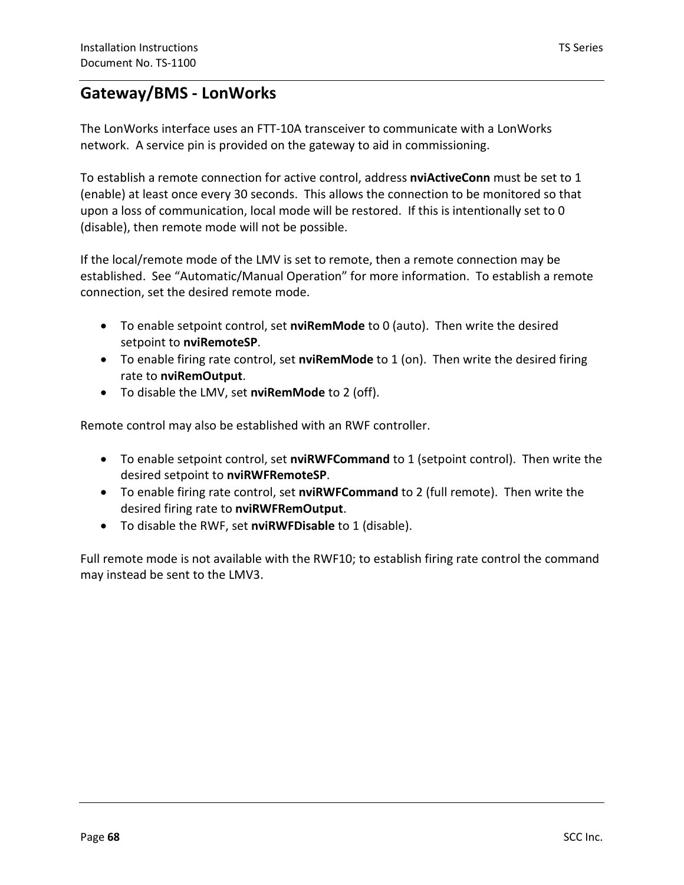### **Gateway/BMS - LonWorks**

The LonWorks interface uses an FTT-10A transceiver to communicate with a LonWorks network. A service pin is provided on the gateway to aid in commissioning.

To establish a remote connection for active control, address **nviActiveConn** must be set to 1 (enable) at least once every 30 seconds. This allows the connection to be monitored so that upon a loss of communication, local mode will be restored. If this is intentionally set to 0 (disable), then remote mode will not be possible.

If the local/remote mode of the LMV is set to remote, then a remote connection may be established. See "Automatic/Manual Operation" for more information. To establish a remote connection, set the desired remote mode.

- To enable setpoint control, set **nviRemMode** to 0 (auto). Then write the desired setpoint to **nviRemoteSP**.
- To enable firing rate control, set **nviRemMode** to 1 (on). Then write the desired firing rate to **nviRemOutput**.
- To disable the LMV, set **nviRemMode** to 2 (off).

Remote control may also be established with an RWF controller.

- To enable setpoint control, set **nviRWFCommand** to 1 (setpoint control). Then write the desired setpoint to **nviRWFRemoteSP**.
- To enable firing rate control, set **nviRWFCommand** to 2 (full remote). Then write the desired firing rate to **nviRWFRemOutput**.
- To disable the RWF, set **nviRWFDisable** to 1 (disable).

Full remote mode is not available with the RWF10; to establish firing rate control the command may instead be sent to the LMV3.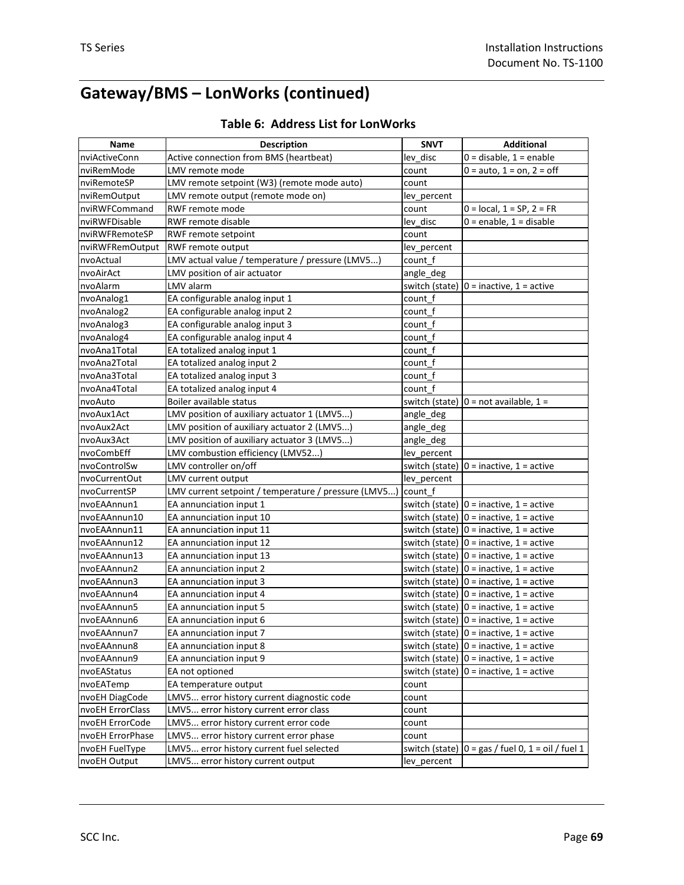# **Gateway/BMS – LonWorks (continued)**

| Name             | <b>Description</b>                                   | <b>SNVT</b>    | <b>Additional</b>                                    |
|------------------|------------------------------------------------------|----------------|------------------------------------------------------|
| nviActiveConn    | Active connection from BMS (heartbeat)               | lev disc       | $0 =$ disable, $1 =$ enable                          |
| nviRemMode       | LMV remote mode                                      | count          | $0 = auto, 1 = on, 2 = off$                          |
| nviRemoteSP      | LMV remote setpoint (W3) (remote mode auto)          | count          |                                                      |
| nviRemOutput     | LMV remote output (remote mode on)                   | lev percent    |                                                      |
| nviRWFCommand    | RWF remote mode                                      | count          | $0 = local, 1 = SP, 2 = FR$                          |
| nviRWFDisable    | RWF remote disable                                   | lev_disc       | $0 =$ enable, $1 =$ disable                          |
| nviRWFRemoteSP   | RWF remote setpoint                                  | count          |                                                      |
| nviRWFRemOutput  | RWF remote output                                    | lev percent    |                                                      |
| nvoActual        | LMV actual value / temperature / pressure (LMV5)     | count f        |                                                      |
| nvoAirAct        | LMV position of air actuator                         | angle_deg      |                                                      |
| nvoAlarm         | LMV alarm                                            |                | switch (state) $ 0 =$ inactive, 1 = active           |
| nvoAnalog1       | EA configurable analog input 1                       | count f        |                                                      |
| nvoAnalog2       | EA configurable analog input 2                       | count f        |                                                      |
| nvoAnalog3       | EA configurable analog input 3                       | count f        |                                                      |
| nvoAnalog4       | EA configurable analog input 4                       | count_f        |                                                      |
| nvoAna1Total     | EA totalized analog input 1                          | count f        |                                                      |
| nvoAna2Total     | EA totalized analog input 2                          | count_f        |                                                      |
| nvoAna3Total     | EA totalized analog input 3                          | count_f        |                                                      |
| nvoAna4Total     | EA totalized analog input 4                          | count f        |                                                      |
| nvoAuto          | Boiler available status                              |                | switch (state) $ 0 = \text{not available}, 1 =$      |
| nvoAux1Act       | LMV position of auxiliary actuator 1 (LMV5)          | angle_deg      |                                                      |
| nvoAux2Act       | LMV position of auxiliary actuator 2 (LMV5)          | angle_deg      |                                                      |
| nvoAux3Act       | LMV position of auxiliary actuator 3 (LMV5)          | angle_deg      |                                                      |
| nvoCombEff       | LMV combustion efficiency (LMV52)                    | lev_percent    |                                                      |
| nvoControlSw     | LMV controller on/off                                |                | switch (state) $ 0 =$ inactive, 1 = active           |
| nvoCurrentOut    | LMV current output                                   | lev_percent    |                                                      |
| nvoCurrentSP     | LMV current setpoint / temperature / pressure (LMV5) | count f        |                                                      |
| nvoEAAnnun1      | EA annunciation input 1                              |                | switch (state) $ 0 =$ inactive, 1 = active           |
| nvoEAAnnun10     | EA annunciation input 10                             |                | switch (state) $ 0 =$ inactive, 1 = active           |
| nvoEAAnnun11     | EA annunciation input 11                             |                | switch (state) $ 0 =$ inactive, $1 =$ active         |
| nvoEAAnnun12     | EA annunciation input 12                             |                | switch (state) $ 0 =$ inactive, 1 = active           |
| nvoEAAnnun13     | EA annunciation input 13                             |                | switch (state) $ 0 =$ inactive, 1 = active           |
| nvoEAAnnun2      | EA annunciation input 2                              |                | switch (state) $0 =$ inactive, $1 =$ active          |
| nvoEAAnnun3      | EA annunciation input 3                              |                | switch (state) $0 =$ inactive, $1 =$ active          |
| nvoEAAnnun4      | EA annunciation input 4                              |                | switch (state) $ 0 =$ inactive, 1 = active           |
| nvoEAAnnun5      | EA annunciation input 5                              |                | switch (state) $ 0 =$ inactive, 1 = active           |
| nvoEAAnnun6      | EA annunciation input 6                              |                | switch (state) $ 0 =$ inactive, 1 = active           |
| nvoEAAnnun7      | EA annunciation input 7                              |                | switch (state) $ 0 =$ inactive, $1 =$ active         |
| nvoEAAnnun8      | EA annunciation input 8                              | switch (state) | $0 =$ inactive, $1 =$ active                         |
| nvoEAAnnun9      | EA annunciation input 9                              | switch (state) | $0 =$ inactive, $1 =$ active                         |
| nvoEAStatus      | EA not optioned                                      |                | switch (state) $ 0 =$ inactive, 1 = active           |
| nvoEATemp        | EA temperature output                                | count          |                                                      |
| nvoEH DiagCode   | LMV5 error history current diagnostic code           | count          |                                                      |
| nvoEH ErrorClass | LMV5 error history current error class               | count          |                                                      |
| nvoEH ErrorCode  | LMV5 error history current error code                | count          |                                                      |
| nvoEH ErrorPhase | LMV5 error history current error phase               | count          |                                                      |
| nvoEH FuelType   | LMV5 error history current fuel selected             |                | switch (state) $ 0 = gas /$ fuel 0, 1 = oil / fuel 1 |
| nvoEH Output     | LMV5 error history current output                    | lev_percent    |                                                      |

#### **Table 6: Address List for LonWorks**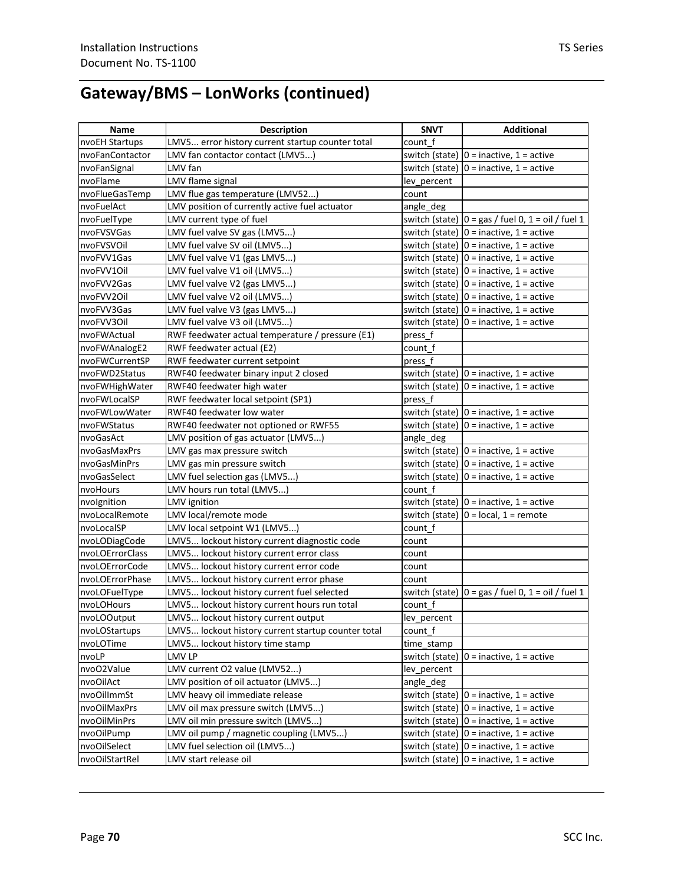# **Gateway/BMS – LonWorks (continued)**

| Name            | <b>Description</b>                                 | <b>SNVT</b>    | <b>Additional</b>                                                         |
|-----------------|----------------------------------------------------|----------------|---------------------------------------------------------------------------|
| nvoEH Startups  | LMV5 error history current startup counter total   | count f        |                                                                           |
| nvoFanContactor | LMV fan contactor contact (LMV5)                   |                | switch (state) $ 0 =$ inactive, 1 = active                                |
| nvoFanSignal    | LMV fan                                            |                | switch (state) $ 0 =$ inactive, 1 = active                                |
| nvoFlame        | LMV flame signal                                   | lev percent    |                                                                           |
| nvoFlueGasTemp  | LMV flue gas temperature (LMV52)                   | count          |                                                                           |
| nvoFuelAct      | LMV position of currently active fuel actuator     | angle_deg      |                                                                           |
| nvoFuelType     | LMV current type of fuel                           |                | switch (state) $ 0 = gas /$ fuel 0, 1 = oil / fuel 1                      |
| nvoFVSVGas      | LMV fuel valve SV gas (LMV5)                       |                | switch (state) $ 0 =$ inactive, 1 = active                                |
| nvoFVSVOil      | LMV fuel valve SV oil (LMV5)                       |                | switch (state) $ 0 =$ inactive, 1 = active                                |
| nvoFVV1Gas      | LMV fuel valve V1 (gas LMV5)                       |                | switch (state) $ 0 =$ inactive, 1 = active                                |
| nvoFVV10il      | LMV fuel valve V1 oil (LMV5)                       |                | switch (state) $ 0 =$ inactive, 1 = active                                |
| nvoFVV2Gas      | LMV fuel valve V2 (gas LMV5)                       |                | switch (state) $ 0 =$ inactive, 1 = active                                |
| nvoFVV20il      | LMV fuel valve V2 oil (LMV5)                       |                | switch (state) $ 0 =$ inactive, 1 = active                                |
| nvoFVV3Gas      | LMV fuel valve V3 (gas LMV5)                       |                | switch (state) $ 0 =$ inactive, 1 = active                                |
| nvoFVV30il      | LMV fuel valve V3 oil (LMV5)                       |                | switch (state) $ 0 =$ inactive, 1 = active                                |
| nvoFWActual     | RWF feedwater actual temperature / pressure (E1)   | press f        |                                                                           |
| nvoFWAnalogE2   | RWF feedwater actual (E2)                          | count f        |                                                                           |
| nvoFWCurrentSP  | RWF feedwater current setpoint                     | press f        |                                                                           |
| nvoFWD2Status   | RWF40 feedwater binary input 2 closed              |                | switch (state) $ 0 =$ inactive, 1 = active                                |
| nvoFWHighWater  | RWF40 feedwater high water                         |                | switch (state) $ 0 =$ inactive, 1 = active                                |
| nvoFWLocalSP    | RWF feedwater local setpoint (SP1)                 | press f        |                                                                           |
| nvoFWLowWater   | RWF40 feedwater low water                          |                | switch (state) $ 0 =$ inactive, 1 = active                                |
| nvoFWStatus     | RWF40 feedwater not optioned or RWF55              |                | switch (state) $ 0 =$ inactive, 1 = active                                |
| nvoGasAct       | LMV position of gas actuator (LMV5)                | angle_deg      |                                                                           |
| nvoGasMaxPrs    | LMV gas max pressure switch                        |                | switch (state) $ 0 =$ inactive, 1 = active                                |
| nvoGasMinPrs    | LMV gas min pressure switch                        |                | switch (state) $ 0 =$ inactive, 1 = active                                |
| nvoGasSelect    | LMV fuel selection gas (LMV5)                      |                | switch (state) $ 0 =$ inactive, 1 = active                                |
| nvoHours        | LMV hours run total (LMV5)                         | count f        |                                                                           |
| nvolgnition     | LMV ignition                                       |                | switch (state) $ 0 =$ inactive, 1 = active                                |
| nvoLocalRemote  | LMV local/remote mode                              |                | switch (state) $ 0 = \text{local}, 1 = \text{remote}$                     |
| nvoLocalSP      | LMV local setpoint W1 (LMV5)                       | count_f        |                                                                           |
| nvoLODiagCode   | LMV5 lockout history current diagnostic code       | count          |                                                                           |
| nvoLOErrorClass | LMV5 lockout history current error class           | count          |                                                                           |
| nvoLOErrorCode  | LMV5 lockout history current error code            | count          |                                                                           |
| nvoLOErrorPhase | LMV5 lockout history current error phase           | count          |                                                                           |
| nvoLOFuelType   | LMV5 lockout history current fuel selected         |                | switch (state) $\vert 0 = \text{gas / fuel } 0, 1 = \text{oil / fuel } 1$ |
| nvoLOHours      | LMV5 lockout history current hours run total       | count f        |                                                                           |
| nvoLOOutput     | LMV5 lockout history current output                | lev percent    |                                                                           |
| nvoLOStartups   | LMV5 lockout history current startup counter total | count f        |                                                                           |
| nvoLOTime       | LMV5 lockout history time stamp                    | time_stamp     |                                                                           |
| nvoLP           | LMV LP                                             |                | switch (state) $ 0 =$ inactive, 1 = active                                |
| nvoO2Value      | LMV current O2 value (LMV52)                       | lev percent    |                                                                           |
| nvoOilAct       | LMV position of oil actuator (LMV5)                | angle_deg      |                                                                           |
| nvoOilImmSt     | LMV heavy oil immediate release                    |                | switch (state) $ 0 =$ inactive, 1 = active                                |
| nvoOilMaxPrs    | LMV oil max pressure switch (LMV5)                 |                | switch (state) $ 0 =$ inactive, $1 =$ active                              |
| nvoOilMinPrs    | LMV oil min pressure switch (LMV5)                 |                | switch (state) $ 0 =$ inactive, 1 = active                                |
| nvoOilPump      | LMV oil pump / magnetic coupling (LMV5)            |                | switch (state) $ 0 =$ inactive, 1 = active                                |
| nvoOilSelect    | LMV fuel selection oil (LMV5)                      |                | switch (state) $ 0 =$ inactive, 1 = active                                |
| nvoOilStartRel  | LMV start release oil                              | switch (state) | $0 =$ inactive, $1 =$ active                                              |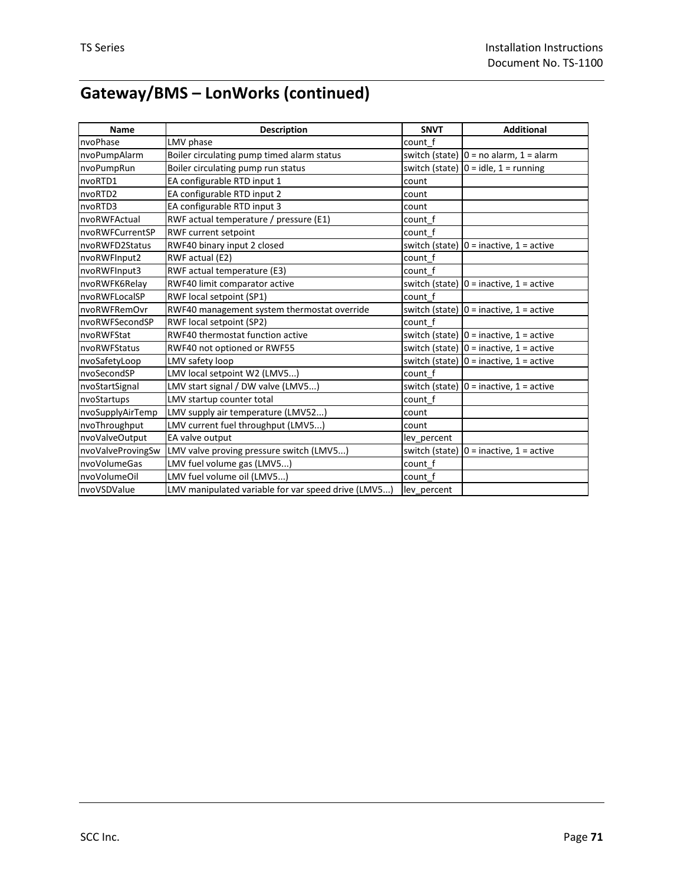# **Gateway/BMS – LonWorks (continued)**

| Name              | <b>Description</b>                                  | <b>SNVT</b>    | <b>Additional</b>                          |
|-------------------|-----------------------------------------------------|----------------|--------------------------------------------|
| nvoPhase          | LMV phase                                           | count f        |                                            |
| nvoPumpAlarm      | Boiler circulating pump timed alarm status          |                | switch (state) $ 0 =$ no alarm, 1 = alarm  |
| nvoPumpRun        | Boiler circulating pump run status                  |                | switch (state) $ 0 =$ idle, 1 = running    |
| nvoRTD1           | EA configurable RTD input 1                         | count          |                                            |
| nvoRTD2           | EA configurable RTD input 2                         | count          |                                            |
| nvoRTD3           | EA configurable RTD input 3                         | count          |                                            |
| nvoRWFActual      | RWF actual temperature / pressure (E1)              | count f        |                                            |
| nvoRWFCurrentSP   | RWF current setpoint                                | count f        |                                            |
| nvoRWFD2Status    | RWF40 binary input 2 closed                         |                | switch (state) $ 0 =$ inactive, 1 = active |
| nvoRWFInput2      | RWF actual (E2)                                     | count f        |                                            |
| nvoRWFInput3      | RWF actual temperature (E3)                         | count f        |                                            |
| nvoRWFK6Relay     | RWF40 limit comparator active                       |                | switch (state) $ 0 =$ inactive, 1 = active |
| nvoRWFLocalSP     | RWF local setpoint (SP1)                            | count f        |                                            |
| nvoRWFRemOvr      | RWF40 management system thermostat override         |                | switch (state) $ 0 =$ inactive, 1 = active |
| nvoRWFSecondSP    | RWF local setpoint (SP2)                            | count f        |                                            |
| nvoRWFStat        | RWF40 thermostat function active                    |                | switch (state) $ 0 =$ inactive, 1 = active |
| nvoRWFStatus      | RWF40 not optioned or RWF55                         |                | switch (state) $ 0 =$ inactive, 1 = active |
| nvoSafetyLoop     | LMV safety loop                                     |                | switch (state) $ 0 =$ inactive, 1 = active |
| nvoSecondSP       | LMV local setpoint W2 (LMV5)                        | count f        |                                            |
| nvoStartSignal    | LMV start signal / DW valve (LMV5)                  |                | switch (state) $ 0 =$ inactive, 1 = active |
| nvoStartups       | LMV startup counter total                           | count f        |                                            |
| nvoSupplyAirTemp  | LMV supply air temperature (LMV52)                  | count          |                                            |
| nvoThroughput     | LMV current fuel throughput (LMV5)                  | count          |                                            |
| nvoValveOutput    | EA valve output                                     | lev percent    |                                            |
| nvoValveProvingSw | LMV valve proving pressure switch (LMV5)            | switch (state) | $0 =$ inactive, $1 =$ active               |
| nvoVolumeGas      | LMV fuel volume gas (LMV5)                          | count f        |                                            |
| nvoVolumeOil      | LMV fuel volume oil (LMV5)                          | count_f        |                                            |
| nvoVSDValue       | LMV manipulated variable for var speed drive (LMV5) | lev_percent    |                                            |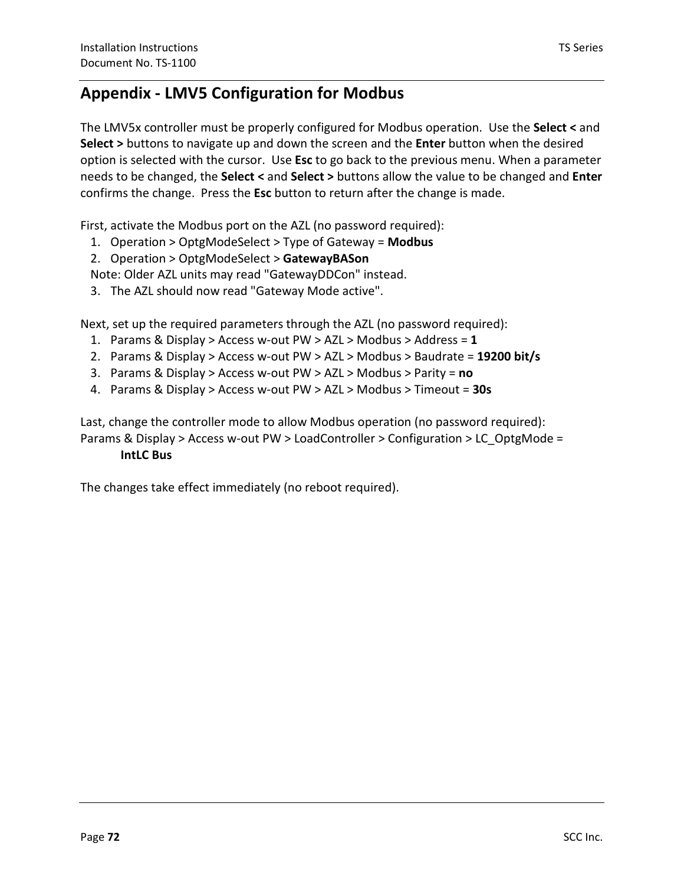### **Appendix - LMV5 Configuration for Modbus**

The LMV5x controller must be properly configured for Modbus operation. Use the **Select <** and **Select >** buttons to navigate up and down the screen and the **Enter** button when the desired option is selected with the cursor. Use **Esc** to go back to the previous menu. When a parameter needs to be changed, the **Select <** and **Select >** buttons allow the value to be changed and **Enter** confirms the change. Press the **Esc** button to return after the change is made.

First, activate the Modbus port on the AZL (no password required):

- 1. Operation > OptgModeSelect > Type of Gateway = **Modbus**
- 2. Operation > OptgModeSelect > **GatewayBASon**
- Note: Older AZL units may read "GatewayDDCon" instead.
- 3. The AZL should now read "Gateway Mode active".

Next, set up the required parameters through the AZL (no password required):

- 1. Params & Display > Access w-out PW > AZL > Modbus > Address = **1**
- 2. Params & Display > Access w-out PW > AZL > Modbus > Baudrate = **19200 bit/s**
- 3. Params & Display > Access w-out PW > AZL > Modbus > Parity = **no**
- 4. Params & Display > Access w-out PW > AZL > Modbus > Timeout = **30s**

Last, change the controller mode to allow Modbus operation (no password required): Params & Display > Access w-out PW > LoadController > Configuration > LC\_OptgMode =

#### **IntLC Bus**

The changes take effect immediately (no reboot required).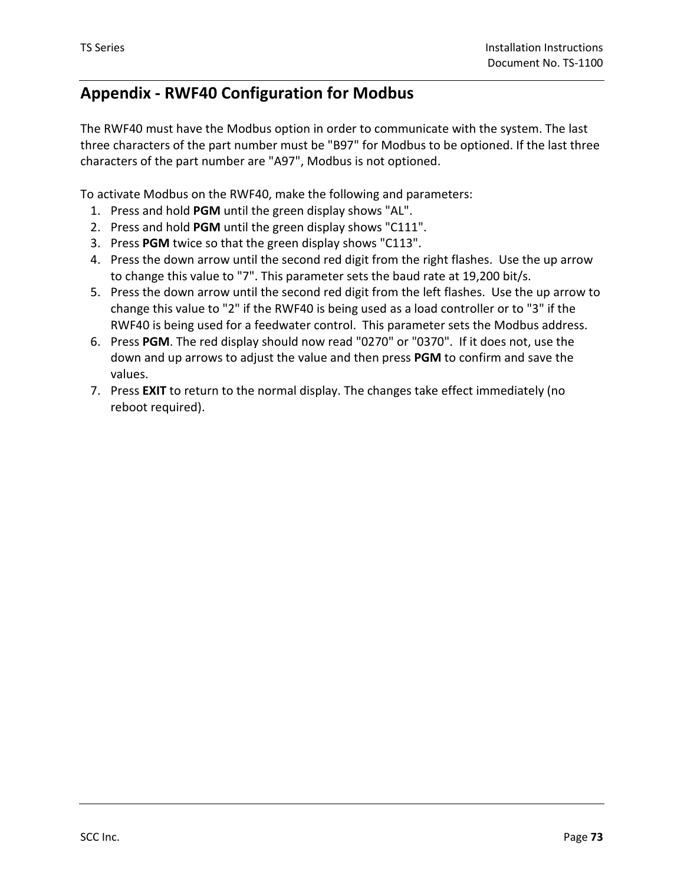## **Appendix - RWF40 Configuration for Modbus**

The RWF40 must have the Modbus option in order to communicate with the system. The last three characters of the part number must be "B97" for Modbus to be optioned. If the last three characters of the part number are "A97", Modbus is not optioned.

To activate Modbus on the RWF40, make the following and parameters:

- 1. Press and hold **PGM** until the green display shows "AL".
- 2. Press and hold **PGM** until the green display shows "C111".
- 3. Press **PGM** twice so that the green display shows "C113".
- 4. Press the down arrow until the second red digit from the right flashes. Use the up arrow to change this value to "7". This parameter sets the baud rate at 19,200 bit/s.
- 5. Press the down arrow until the second red digit from the left flashes. Use the up arrow to change this value to "2" if the RWF40 is being used as a load controller or to "3" if the RWF40 is being used for a feedwater control. This parameter sets the Modbus address.
- 6. Press **PGM**. The red display should now read "0270" or "0370". If it does not, use the down and up arrows to adjust the value and then press **PGM** to confirm and save the values.
- 7. Press **EXIT** to return to the normal display. The changes take effect immediately (no reboot required).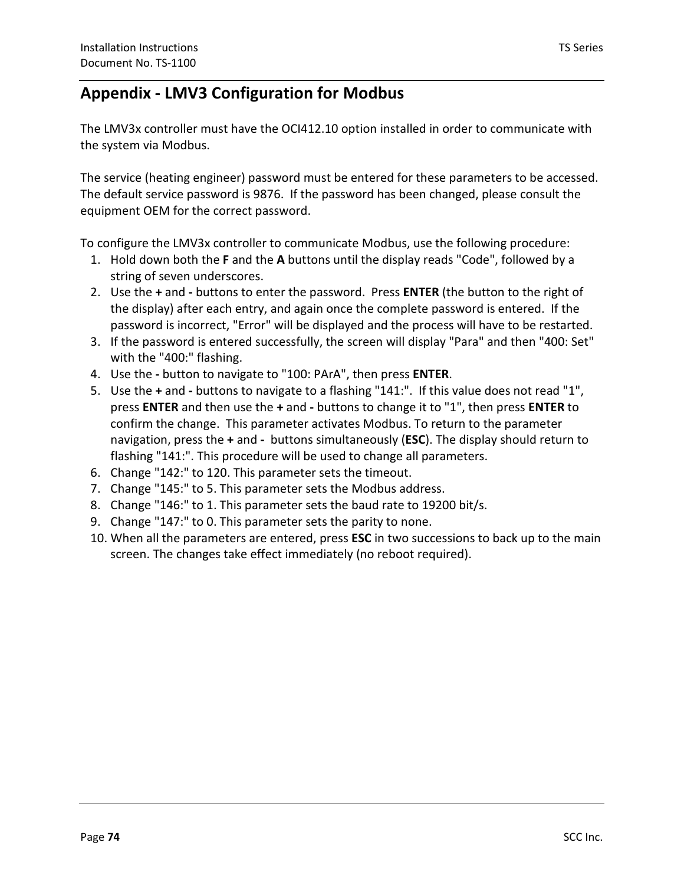## **Appendix - LMV3 Configuration for Modbus**

The LMV3x controller must have the OCI412.10 option installed in order to communicate with the system via Modbus.

The service (heating engineer) password must be entered for these parameters to be accessed. The default service password is 9876. If the password has been changed, please consult the equipment OEM for the correct password.

To configure the LMV3x controller to communicate Modbus, use the following procedure:

- 1. Hold down both the **F** and the **A** buttons until the display reads "Code", followed by a string of seven underscores.
- 2. Use the **+** and **-** buttons to enter the password. Press **ENTER** (the button to the right of the display) after each entry, and again once the complete password is entered. If the password is incorrect, "Error" will be displayed and the process will have to be restarted.
- 3. If the password is entered successfully, the screen will display "Para" and then "400: Set" with the "400:" flashing.
- 4. Use the **-** button to navigate to "100: PArA", then press **ENTER**.
- navigation, press the + and buttons simultaneously (ESC). The display should return to 5. Use the **+** and **-** buttons to navigate to a flashing "141:". If this value does not read "1", press **ENTER** and then use the **+** and **-** buttons to change it to "1", then press **ENTER** to confirm the change. This parameter activates Modbus. To return to the parameter flashing "141:". This procedure will be used to change all parameters.
- 6. Change "142:" to 120. This parameter sets the timeout.
- 7. Change "145:" to 5. This parameter sets the Modbus address.
- 8. Change "146:" to 1. This parameter sets the baud rate to 19200 bit/s.
- 9. Change "147:" to 0. This parameter sets the parity to none.
- 10. When all the parameters are entered, press **ESC** in two successions to back up to the main screen. The changes take effect immediately (no reboot required).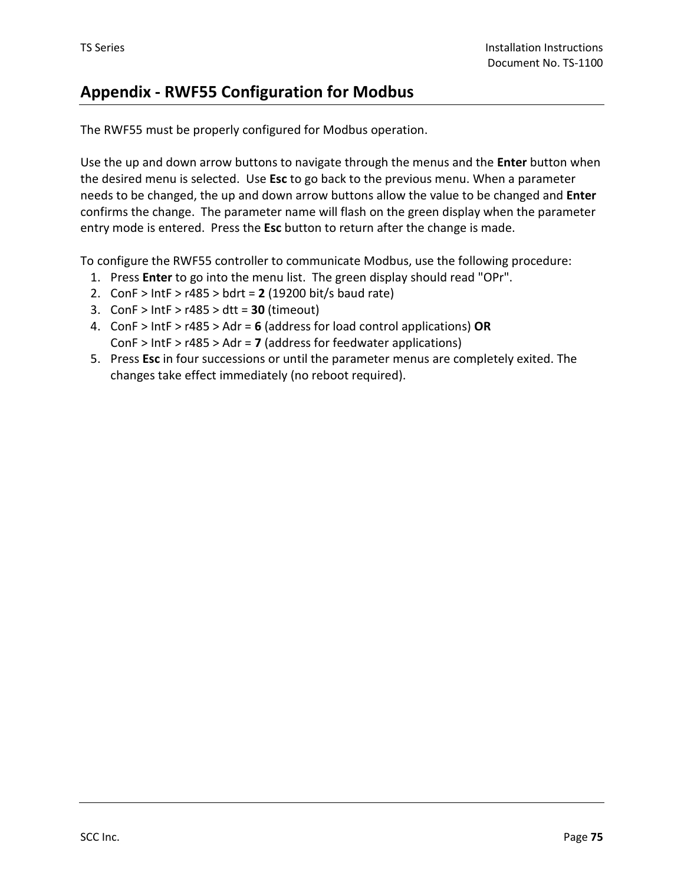## **Appendix - RWF55 Configuration for Modbus**

The RWF55 must be properly configured for Modbus operation.

Use the up and down arrow buttons to navigate through the menus and the **Enter** button when the desired menu is selected. Use **Esc** to go back to the previous menu. When a parameter needs to be changed, the up and down arrow buttons allow the value to be changed and **Enter** confirms the change. The parameter name will flash on the green display when the parameter entry mode is entered. Press the **Esc** button to return after the change is made.

To configure the RWF55 controller to communicate Modbus, use the following procedure:

- 1. Press **Enter** to go into the menu list. The green display should read "OPr".
- 2. ConF > IntF > r485 > bdrt = **2** (19200 bit/s baud rate)
- 3. ConF > IntF > r485 > dtt = **30** (timeout)
- 4. ConF > IntF > r485 > Adr = **6** (address for load control applications) **OR** ConF > IntF > r485 > Adr = **7** (address for feedwater applications)
- 5. Press **Esc** in four successions or until the parameter menus are completely exited. The changes take effect immediately (no reboot required).